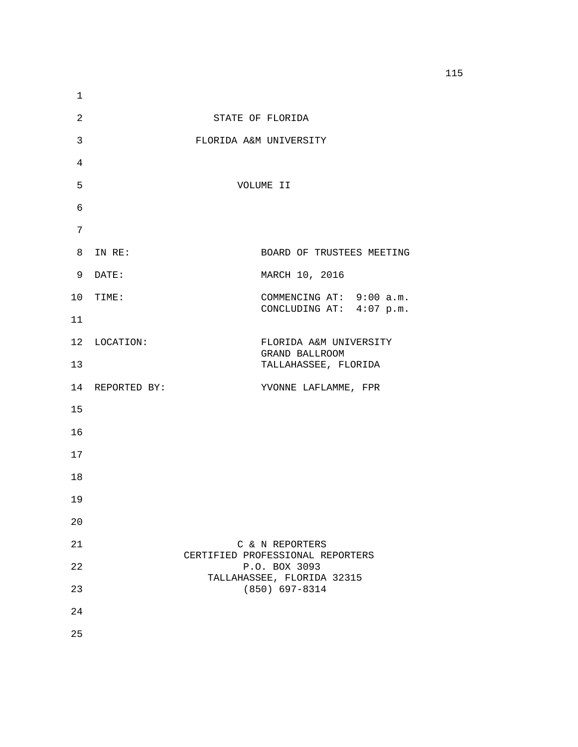| 1              |                 |                                                   |
|----------------|-----------------|---------------------------------------------------|
| $\overline{2}$ |                 | STATE OF FLORIDA                                  |
| $\mathsf{3}$   |                 | FLORIDA A&M UNIVERSITY                            |
| 4              |                 |                                                   |
| 5              |                 | VOLUME II                                         |
| 6              |                 |                                                   |
| 7              |                 |                                                   |
| 8              | IN RE:          | BOARD OF TRUSTEES MEETING                         |
| 9              | DATE:           | MARCH 10, 2016                                    |
|                | 10 TIME:        | COMMENCING AT: 9:00 a.m.                          |
| 11             |                 | CONCLUDING AT: 4:07 p.m.                          |
|                | 12 LOCATION:    | FLORIDA A&M UNIVERSITY<br>GRAND BALLROOM          |
| 13             |                 | TALLAHASSEE, FLORIDA                              |
|                | 14 REPORTED BY: | YVONNE LAFLAMME, FPR                              |
| 15             |                 |                                                   |
| 16             |                 |                                                   |
| 17             |                 |                                                   |
| 18             |                 |                                                   |
| 19             |                 |                                                   |
| 20             |                 |                                                   |
| 21             |                 | C & N REPORTERS                                   |
| 22             |                 | CERTIFIED PROFESSIONAL REPORTERS<br>P.O. BOX 3093 |
| 23             |                 | TALLAHASSEE, FLORIDA 32315<br>$(850) 697 - 8314$  |
| 24             |                 |                                                   |
| 25             |                 |                                                   |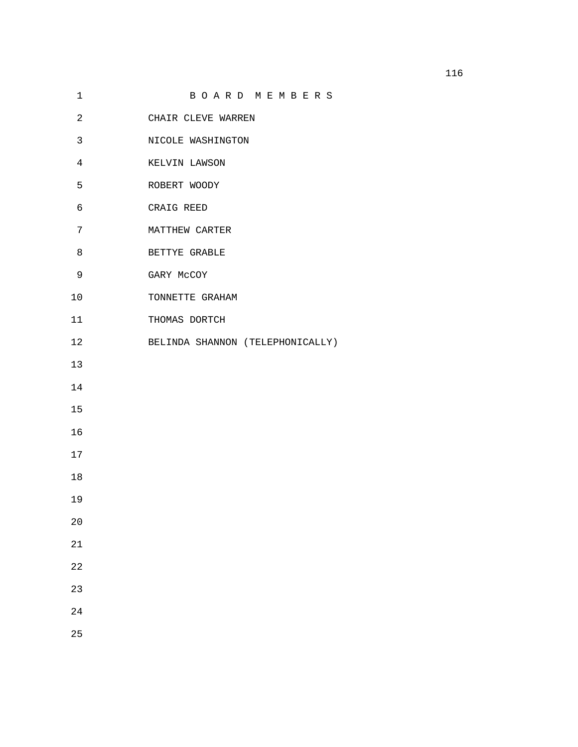|                |                                  | 116 |
|----------------|----------------------------------|-----|
| $\mathbf 1$    | BOARD MEMBERS                    |     |
| $\overline{a}$ | CHAIR CLEVE WARREN               |     |
| 3              | NICOLE WASHINGTON                |     |
| 4              | KELVIN LAWSON                    |     |
| 5              | ROBERT WOODY                     |     |
| 6              | CRAIG REED                       |     |
| $7\phantom{.}$ | MATTHEW CARTER                   |     |
| 8              | BETTYE GRABLE                    |     |
| $\mathsf 9$    | GARY MCCOY                       |     |
| 10             | TONNETTE GRAHAM                  |     |
| 11             | THOMAS DORTCH                    |     |
| 12             | BELINDA SHANNON (TELEPHONICALLY) |     |
| 13             |                                  |     |
| 14             |                                  |     |
| 15             |                                  |     |
| 16             |                                  |     |
| 17             |                                  |     |
| 18             |                                  |     |
| 19             |                                  |     |
| 20             |                                  |     |
| 21             |                                  |     |
| 22             |                                  |     |
| 23             |                                  |     |
| 24             |                                  |     |
|                |                                  |     |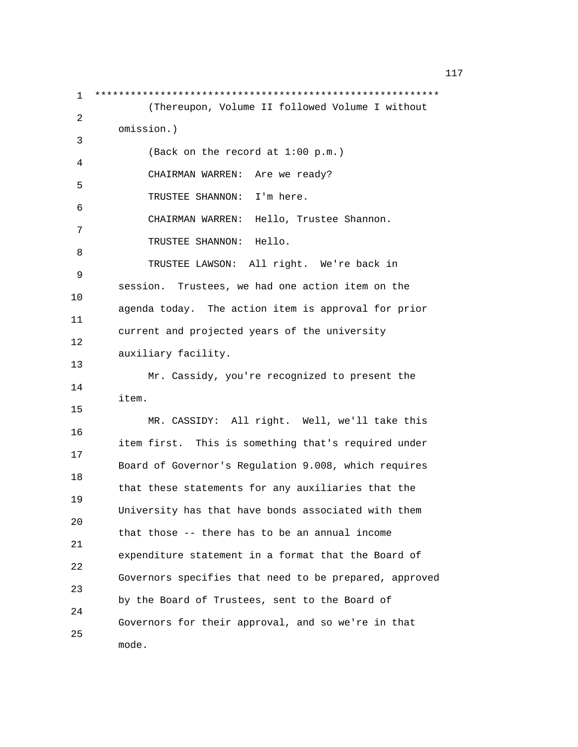1 \*\*\*\*\*\*\*\*\*\*\*\*\*\*\*\*\*\*\*\*\*\*\*\*\*\*\*\*\*\*\*\*\*\*\*\*\*\*\*\*\*\*\*\*\*\*\*\*\*\*\*\*\*\*\*\*\*\* (Thereupon, Volume II followed Volume I without 2 omission.) 3 (Back on the record at 1:00 p.m.) 4 CHAIRMAN WARREN: Are we ready? 5 TRUSTEE SHANNON: I'm here. 6 CHAIRMAN WARREN: Hello, Trustee Shannon. 7 TRUSTEE SHANNON: Hello. 8 TRUSTEE LAWSON: All right. We're back in 9 session. Trustees, we had one action item on the 10 agenda today. The action item is approval for prior 11 current and projected years of the university 12 auxiliary facility. 13 Mr. Cassidy, you're recognized to present the 14 item. 15 MR. CASSIDY: All right. Well, we'll take this 16 item first. This is something that's required under 17 Board of Governor's Regulation 9.008, which requires 18 that these statements for any auxiliaries that the 19 University has that have bonds associated with them 20 that those -- there has to be an annual income 21 expenditure statement in a format that the Board of 22 Governors specifies that need to be prepared, approved 23 by the Board of Trustees, sent to the Board of 24 Governors for their approval, and so we're in that 25 mode.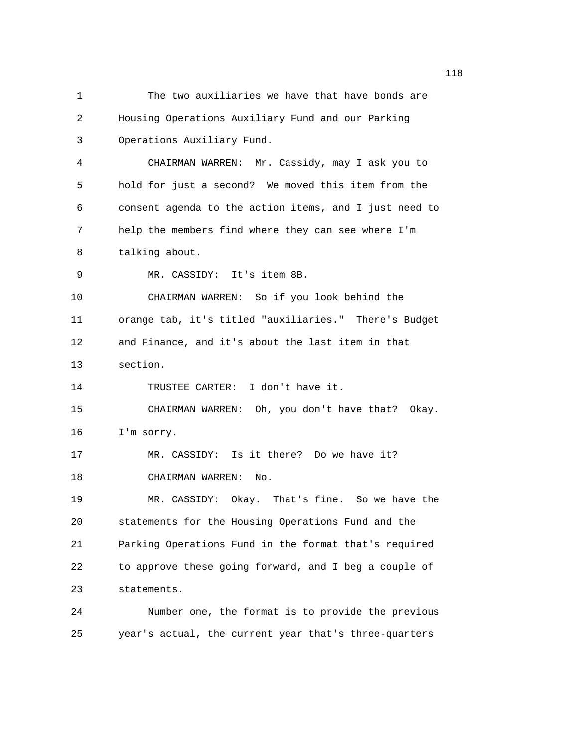1 The two auxiliaries we have that have bonds are 2 Housing Operations Auxiliary Fund and our Parking 3 Operations Auxiliary Fund. 4 CHAIRMAN WARREN: Mr. Cassidy, may I ask you to 5 hold for just a second? We moved this item from the 6 consent agenda to the action items, and I just need to 7 help the members find where they can see where I'm 8 talking about. 9 MR. CASSIDY: It's item 8B. 10 CHAIRMAN WARREN: So if you look behind the 11 orange tab, it's titled "auxiliaries." There's Budget 12 and Finance, and it's about the last item in that 13 section. 14 TRUSTEE CARTER: I don't have it. 15 CHAIRMAN WARREN: Oh, you don't have that? Okay. 16 I'm sorry. 17 MR. CASSIDY: Is it there? Do we have it? 18 CHAIRMAN WARREN: No. 19 MR. CASSIDY: Okay. That's fine. So we have the 20 statements for the Housing Operations Fund and the 21 Parking Operations Fund in the format that's required 22 to approve these going forward, and I beg a couple of 23 statements. 24 Number one, the format is to provide the previous 25 year's actual, the current year that's three-quarters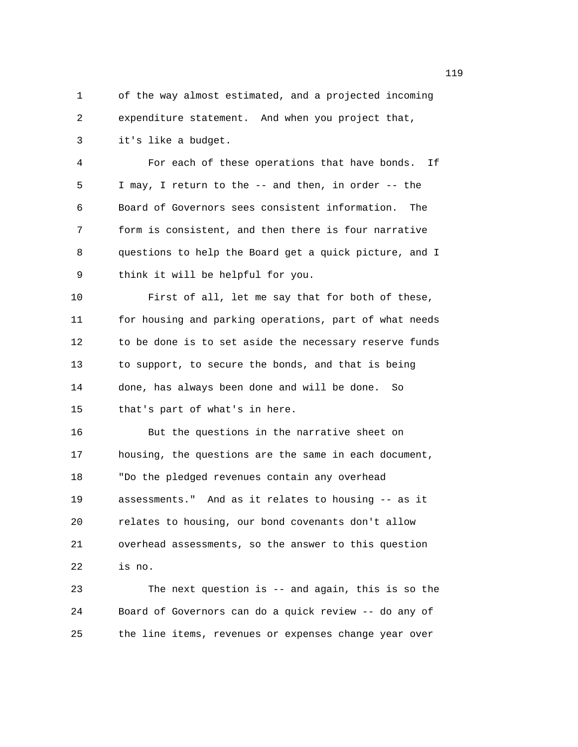1 of the way almost estimated, and a projected incoming 2 expenditure statement. And when you project that,

3 it's like a budget.

4 For each of these operations that have bonds. If 5 I may, I return to the -- and then, in order -- the 6 Board of Governors sees consistent information. The 7 form is consistent, and then there is four narrative 8 questions to help the Board get a quick picture, and I 9 think it will be helpful for you.

10 First of all, let me say that for both of these, 11 for housing and parking operations, part of what needs 12 to be done is to set aside the necessary reserve funds 13 to support, to secure the bonds, and that is being 14 done, has always been done and will be done. So 15 that's part of what's in here.

16 But the questions in the narrative sheet on 17 housing, the questions are the same in each document, 18 "Do the pledged revenues contain any overhead 19 assessments." And as it relates to housing -- as it 20 relates to housing, our bond covenants don't allow 21 overhead assessments, so the answer to this question 22 is no.

23 The next question is -- and again, this is so the 24 Board of Governors can do a quick review -- do any of 25 the line items, revenues or expenses change year over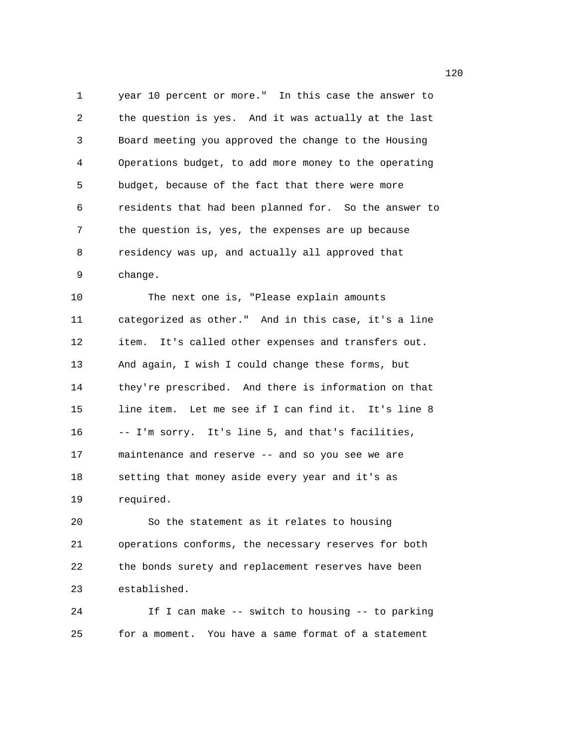1 year 10 percent or more." In this case the answer to 2 the question is yes. And it was actually at the last 3 Board meeting you approved the change to the Housing 4 Operations budget, to add more money to the operating 5 budget, because of the fact that there were more 6 residents that had been planned for. So the answer to 7 the question is, yes, the expenses are up because 8 residency was up, and actually all approved that 9 change.

10 The next one is, "Please explain amounts 11 categorized as other." And in this case, it's a line 12 item. It's called other expenses and transfers out. 13 And again, I wish I could change these forms, but 14 they're prescribed. And there is information on that 15 line item. Let me see if I can find it. It's line 8 16 -- I'm sorry. It's line 5, and that's facilities, 17 maintenance and reserve -- and so you see we are 18 setting that money aside every year and it's as 19 required.

20 So the statement as it relates to housing 21 operations conforms, the necessary reserves for both 22 the bonds surety and replacement reserves have been 23 established.

24 If I can make -- switch to housing -- to parking 25 for a moment. You have a same format of a statement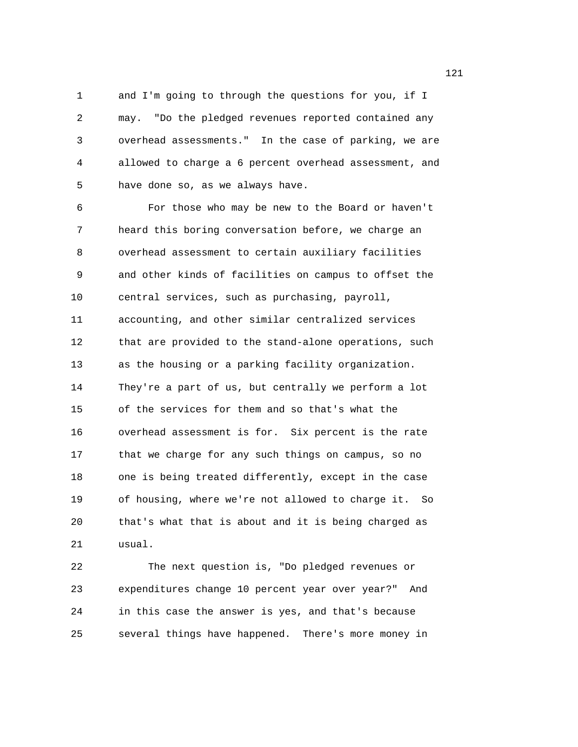1 and I'm going to through the questions for you, if I 2 may. "Do the pledged revenues reported contained any 3 overhead assessments." In the case of parking, we are 4 allowed to charge a 6 percent overhead assessment, and 5 have done so, as we always have.

6 For those who may be new to the Board or haven't 7 heard this boring conversation before, we charge an 8 overhead assessment to certain auxiliary facilities 9 and other kinds of facilities on campus to offset the 10 central services, such as purchasing, payroll, 11 accounting, and other similar centralized services 12 that are provided to the stand-alone operations, such 13 as the housing or a parking facility organization. 14 They're a part of us, but centrally we perform a lot 15 of the services for them and so that's what the 16 overhead assessment is for. Six percent is the rate 17 that we charge for any such things on campus, so no 18 one is being treated differently, except in the case 19 of housing, where we're not allowed to charge it. So 20 that's what that is about and it is being charged as 21 usual.

22 The next question is, "Do pledged revenues or 23 expenditures change 10 percent year over year?" And 24 in this case the answer is yes, and that's because 25 several things have happened. There's more money in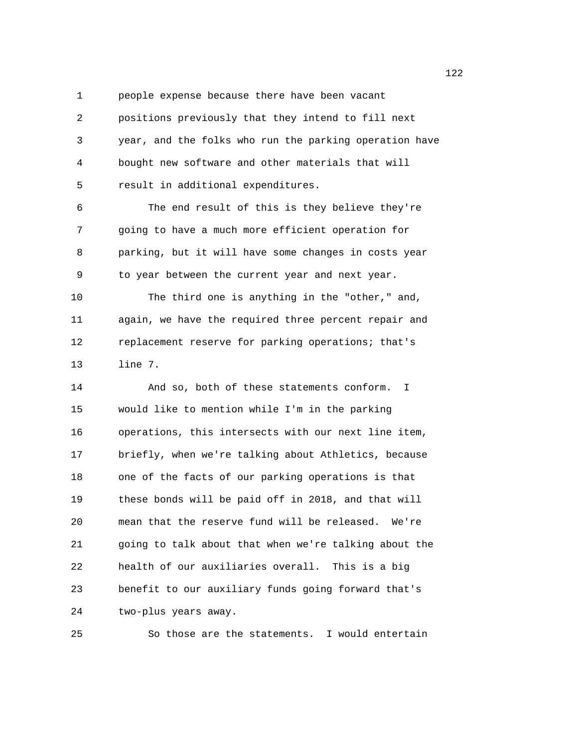1 people expense because there have been vacant 2 positions previously that they intend to fill next 3 year, and the folks who run the parking operation have 4 bought new software and other materials that will 5 result in additional expenditures.

6 The end result of this is they believe they're 7 going to have a much more efficient operation for 8 parking, but it will have some changes in costs year 9 to year between the current year and next year. 10 The third one is anything in the "other," and, 11 again, we have the required three percent repair and 12 replacement reserve for parking operations; that's

13 line 7.

14 And so, both of these statements conform. I 15 would like to mention while I'm in the parking 16 operations, this intersects with our next line item, 17 briefly, when we're talking about Athletics, because 18 one of the facts of our parking operations is that 19 these bonds will be paid off in 2018, and that will 20 mean that the reserve fund will be released. We're 21 going to talk about that when we're talking about the 22 health of our auxiliaries overall. This is a big 23 benefit to our auxiliary funds going forward that's 24 two-plus years away.

25 So those are the statements. I would entertain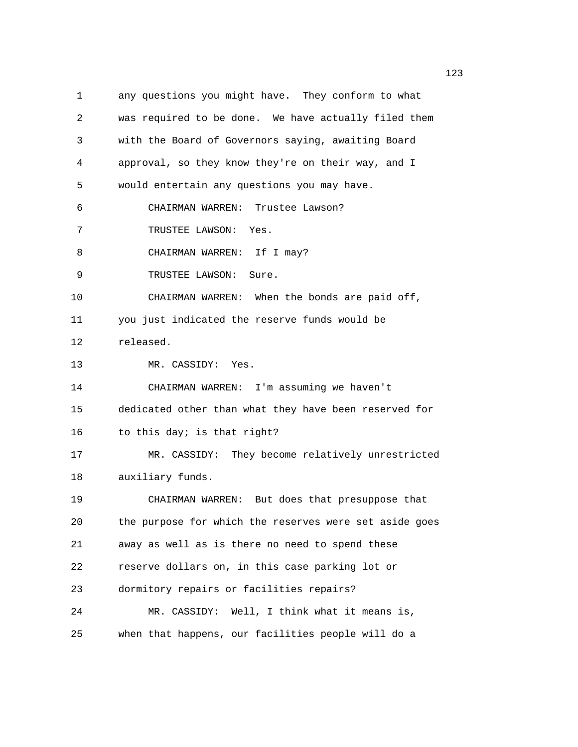1 any questions you might have. They conform to what 2 was required to be done. We have actually filed them 3 with the Board of Governors saying, awaiting Board 4 approval, so they know they're on their way, and I 5 would entertain any questions you may have. 6 CHAIRMAN WARREN: Trustee Lawson? 7 TRUSTEE LAWSON: Yes. 8 CHAIRMAN WARREN: If I may? 9 TRUSTEE LAWSON: Sure. 10 CHAIRMAN WARREN: When the bonds are paid off, 11 you just indicated the reserve funds would be 12 released. 13 MR. CASSIDY: Yes. 14 CHAIRMAN WARREN: I'm assuming we haven't 15 dedicated other than what they have been reserved for 16 to this day; is that right? 17 MR. CASSIDY: They become relatively unrestricted 18 auxiliary funds. 19 CHAIRMAN WARREN: But does that presuppose that 20 the purpose for which the reserves were set aside goes 21 away as well as is there no need to spend these 22 reserve dollars on, in this case parking lot or 23 dormitory repairs or facilities repairs? 24 MR. CASSIDY: Well, I think what it means is, 25 when that happens, our facilities people will do a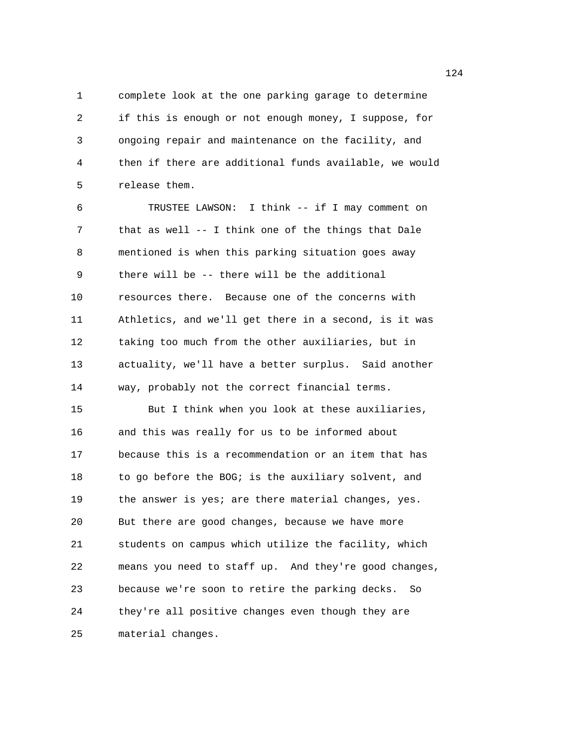1 complete look at the one parking garage to determine 2 if this is enough or not enough money, I suppose, for 3 ongoing repair and maintenance on the facility, and 4 then if there are additional funds available, we would 5 release them.

6 TRUSTEE LAWSON: I think -- if I may comment on 7 that as well -- I think one of the things that Dale 8 mentioned is when this parking situation goes away 9 there will be -- there will be the additional 10 resources there. Because one of the concerns with 11 Athletics, and we'll get there in a second, is it was 12 taking too much from the other auxiliaries, but in 13 actuality, we'll have a better surplus. Said another 14 way, probably not the correct financial terms. 15 But I think when you look at these auxiliaries,

16 and this was really for us to be informed about 17 because this is a recommendation or an item that has 18 to go before the BOG; is the auxiliary solvent, and 19 the answer is yes; are there material changes, yes. 20 But there are good changes, because we have more 21 students on campus which utilize the facility, which 22 means you need to staff up. And they're good changes, 23 because we're soon to retire the parking decks. So 24 they're all positive changes even though they are 25 material changes.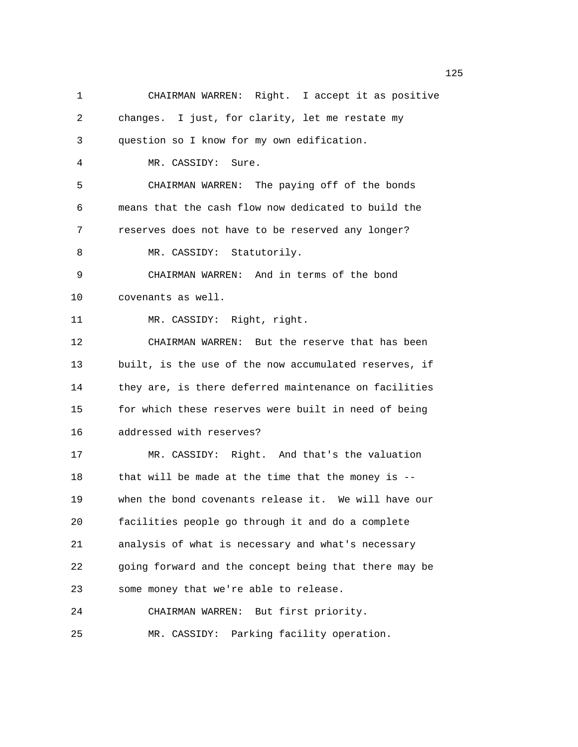| $\mathbf 1$ | CHAIRMAN WARREN: Right. I accept it as positive       |
|-------------|-------------------------------------------------------|
| 2           | changes. I just, for clarity, let me restate my       |
| 3           | question so I know for my own edification.            |
| 4           | MR. CASSIDY: Sure.                                    |
| 5           | CHAIRMAN WARREN: The paying off of the bonds          |
| 6           | means that the cash flow now dedicated to build the   |
| 7           | reserves does not have to be reserved any longer?     |
| 8           | MR. CASSIDY: Statutorily.                             |
| 9           | CHAIRMAN WARREN: And in terms of the bond             |
| 10          | covenants as well.                                    |
| 11          | MR. CASSIDY: Right, right.                            |
| 12          | CHAIRMAN WARREN: But the reserve that has been        |
| 13          | built, is the use of the now accumulated reserves, if |
| 14          | they are, is there deferred maintenance on facilities |
| 15          | for which these reserves were built in need of being  |
| 16          | addressed with reserves?                              |
| 17          | MR. CASSIDY: Right. And that's the valuation          |
| 18          | that will be made at the time that the money is $-$ - |
| 19          | when the bond covenants release it. We will have our  |
| 20          | facilities people go through it and do a complete     |
| 21          | analysis of what is necessary and what's necessary    |
| 22          | going forward and the concept being that there may be |
| 23          | some money that we're able to release.                |
| 24          | But first priority.<br>CHAIRMAN WARREN:               |
| 25          | Parking facility operation.<br>MR. CASSIDY:           |

n 125 ann an 125 an t-Òire an 125 an t-Òire an 125 an t-Òire an 125 an t-Òire an 125 an t-Òire an 125 an t-Òir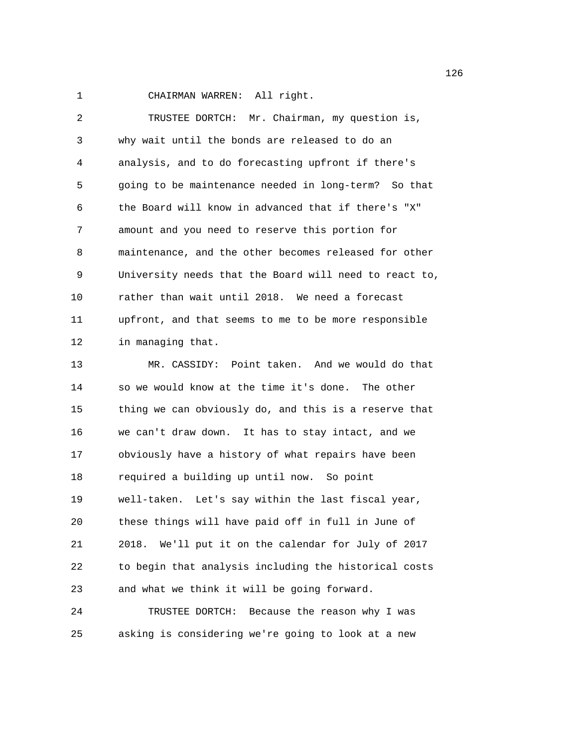1 CHAIRMAN WARREN: All right.

| 2  | TRUSTEE DORTCH: Mr. Chairman, my question is,          |
|----|--------------------------------------------------------|
| 3  | why wait until the bonds are released to do an         |
| 4  | analysis, and to do forecasting upfront if there's     |
| 5  | going to be maintenance needed in long-term? So that   |
| 6  | the Board will know in advanced that if there's "X"    |
| 7  | amount and you need to reserve this portion for        |
| 8  | maintenance, and the other becomes released for other  |
| 9  | University needs that the Board will need to react to, |
| 10 | rather than wait until 2018. We need a forecast        |
| 11 | upfront, and that seems to me to be more responsible   |
| 12 | in managing that.                                      |
| 13 | MR. CASSIDY: Point taken. And we would do that         |
| 14 | so we would know at the time it's done. The other      |
| 15 | thing we can obviously do, and this is a reserve that  |
| 16 | we can't draw down. It has to stay intact, and we      |
| 17 | obviously have a history of what repairs have been     |
| 18 | required a building up until now. So point             |
| 19 | well-taken. Let's say within the last fiscal year,     |
| 20 | these things will have paid off in full in June of     |
| 21 | 2018. We'll put it on the calendar for July of 2017    |
| 22 | to begin that analysis including the historical costs  |
| 23 | and what we think it will be going forward.            |
| 24 | Because the reason why I was<br>TRUSTEE DORTCH:        |

25 asking is considering we're going to look at a new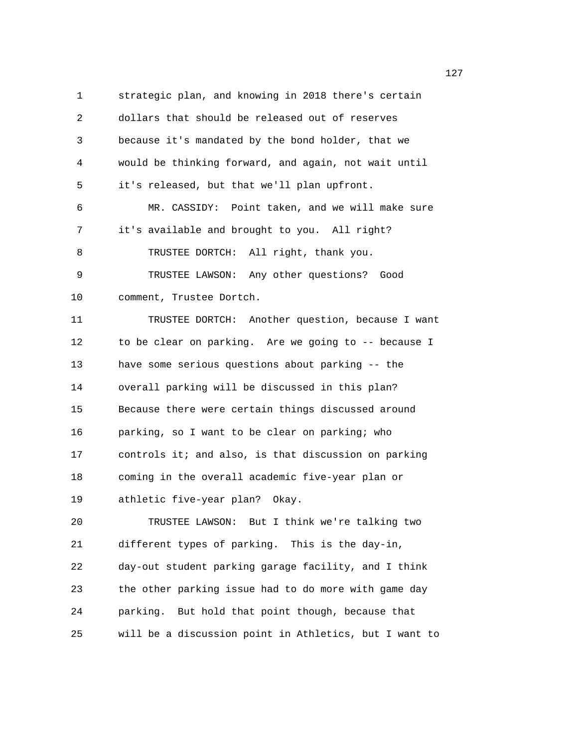1 strategic plan, and knowing in 2018 there's certain 2 dollars that should be released out of reserves 3 because it's mandated by the bond holder, that we 4 would be thinking forward, and again, not wait until 5 it's released, but that we'll plan upfront. 6 MR. CASSIDY: Point taken, and we will make sure 7 it's available and brought to you. All right? 8 TRUSTEE DORTCH: All right, thank you. 9 TRUSTEE LAWSON: Any other questions? Good 10 comment, Trustee Dortch. 11 TRUSTEE DORTCH: Another question, because I want 12 to be clear on parking. Are we going to -- because I 13 have some serious questions about parking -- the 14 overall parking will be discussed in this plan? 15 Because there were certain things discussed around 16 parking, so I want to be clear on parking; who 17 controls it; and also, is that discussion on parking 18 coming in the overall academic five-year plan or 19 athletic five-year plan? Okay. 20 TRUSTEE LAWSON: But I think we're talking two 21 different types of parking. This is the day-in,

23 the other parking issue had to do more with game day 24 parking. But hold that point though, because that 25 will be a discussion point in Athletics, but I want to

22 day-out student parking garage facility, and I think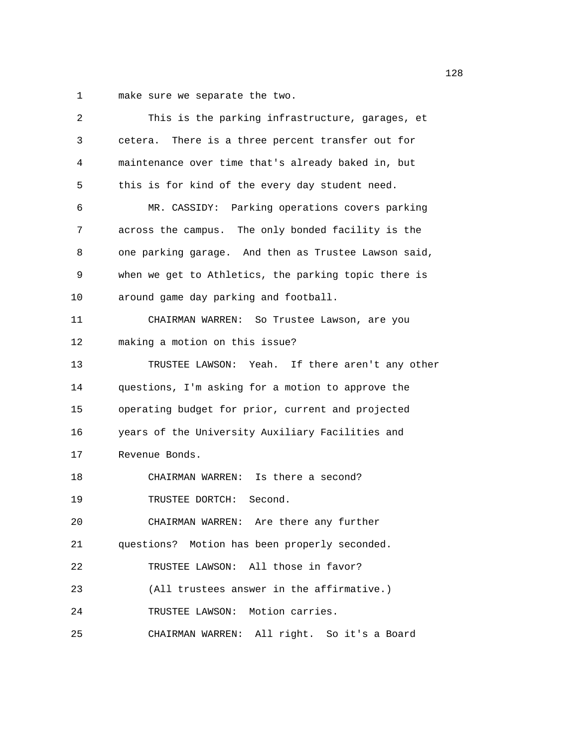1 make sure we separate the two.

| 2  | This is the parking infrastructure, garages, et      |
|----|------------------------------------------------------|
| 3  | cetera. There is a three percent transfer out for    |
| 4  | maintenance over time that's already baked in, but   |
| 5  | this is for kind of the every day student need.      |
| 6  | MR. CASSIDY: Parking operations covers parking       |
| 7  | across the campus. The only bonded facility is the   |
| 8  | one parking garage. And then as Trustee Lawson said, |
| 9  | when we get to Athletics, the parking topic there is |
| 10 | around game day parking and football.                |
| 11 | CHAIRMAN WARREN: So Trustee Lawson, are you          |
| 12 | making a motion on this issue?                       |
| 13 | TRUSTEE LAWSON: Yeah. If there aren't any other      |
| 14 | questions, I'm asking for a motion to approve the    |
| 15 | operating budget for prior, current and projected    |
| 16 | years of the University Auxiliary Facilities and     |
| 17 | Revenue Bonds.                                       |
| 18 | CHAIRMAN WARREN: Is there a second?                  |
| 19 | TRUSTEE DORTCH: Second.                              |
| 20 | CHAIRMAN WARREN: Are there any further               |
| 21 | questions? Motion has been properly seconded.        |
| 22 | TRUSTEE LAWSON: All those in favor?                  |
| 23 | (All trustees answer in the affirmative.)            |
| 24 | TRUSTEE LAWSON: Motion carries.                      |
| 25 | CHAIRMAN WARREN: All right. So it's a Board          |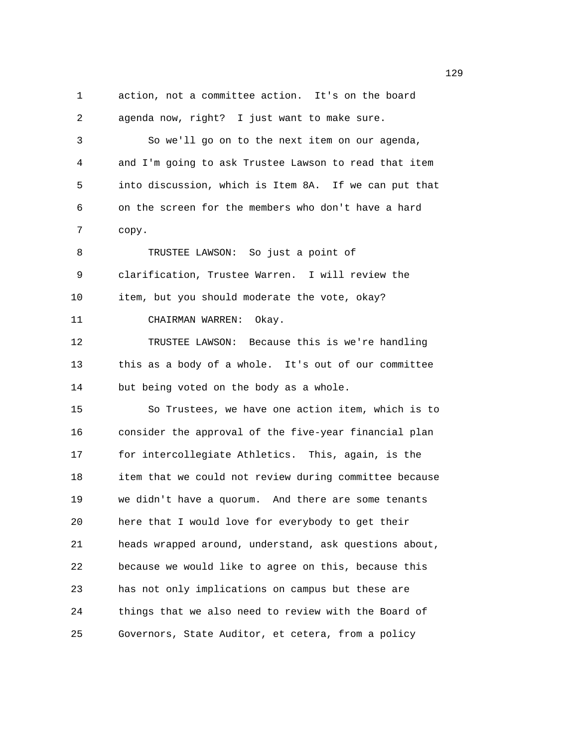$129$ 1 action, not a committee action. It's on the board 2 agenda now, right? I just want to make sure. 3 So we'll go on to the next item on our agenda, 4 and I'm going to ask Trustee Lawson to read that item 5 into discussion, which is Item 8A. If we can put that 6 on the screen for the members who don't have a hard 7 copy. 8 TRUSTEE LAWSON: So just a point of 9 clarification, Trustee Warren. I will review the 10 item, but you should moderate the vote, okay? 11 CHAIRMAN WARREN: Okay. 12 TRUSTEE LAWSON: Because this is we're handling 13 this as a body of a whole. It's out of our committee 14 but being voted on the body as a whole. 15 So Trustees, we have one action item, which is to 16 consider the approval of the five-year financial plan 17 for intercollegiate Athletics. This, again, is the 18 item that we could not review during committee because 19 we didn't have a quorum. And there are some tenants 20 here that I would love for everybody to get their 21 heads wrapped around, understand, ask questions about, 22 because we would like to agree on this, because this 23 has not only implications on campus but these are 24 things that we also need to review with the Board of 25 Governors, State Auditor, et cetera, from a policy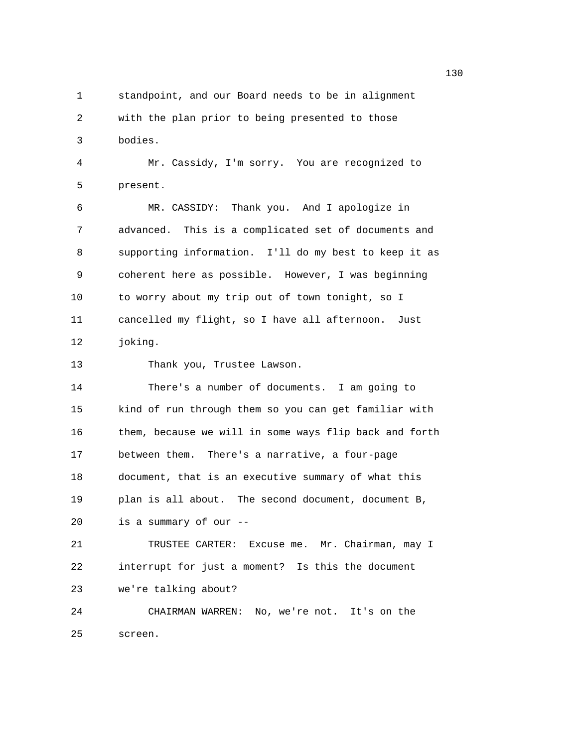1 standpoint, and our Board needs to be in alignment 2 with the plan prior to being presented to those 3 bodies. 4 Mr. Cassidy, I'm sorry. You are recognized to 5 present. 6 MR. CASSIDY: Thank you. And I apologize in 7 advanced. This is a complicated set of documents and 8 supporting information. I'll do my best to keep it as 9 coherent here as possible. However, I was beginning 10 to worry about my trip out of town tonight, so I 11 cancelled my flight, so I have all afternoon. Just 12 joking. 13 Thank you, Trustee Lawson. 14 There's a number of documents. I am going to 15 kind of run through them so you can get familiar with 16 them, because we will in some ways flip back and forth 17 between them. There's a narrative, a four-page 18 document, that is an executive summary of what this 19 plan is all about. The second document, document B, 20 is a summary of our -- 21 TRUSTEE CARTER: Excuse me. Mr. Chairman, may I 22 interrupt for just a moment? Is this the document 23 we're talking about? 24 CHAIRMAN WARREN: No, we're not. It's on the 25 screen.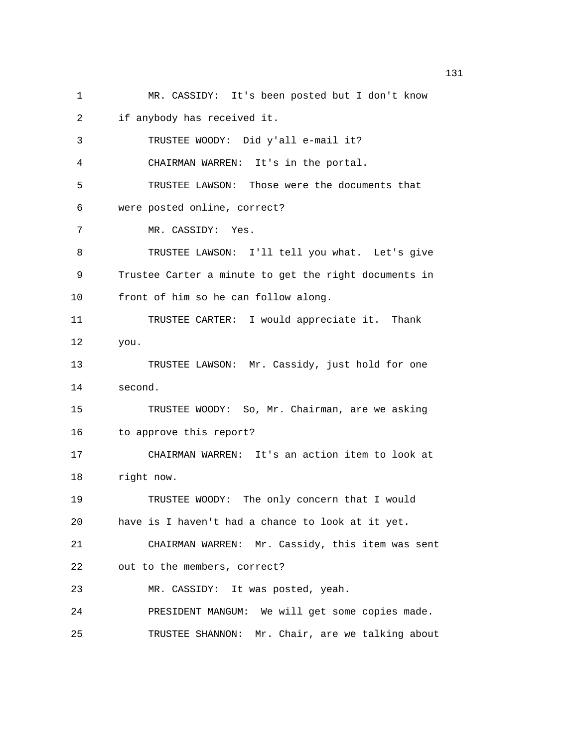1 MR. CASSIDY: It's been posted but I don't know 2 if anybody has received it. 3 TRUSTEE WOODY: Did y'all e-mail it? 4 CHAIRMAN WARREN: It's in the portal. 5 TRUSTEE LAWSON: Those were the documents that 6 were posted online, correct? 7 MR. CASSIDY: Yes. 8 TRUSTEE LAWSON: I'll tell you what. Let's give 9 Trustee Carter a minute to get the right documents in 10 front of him so he can follow along. 11 TRUSTEE CARTER: I would appreciate it. Thank 12 you. 13 TRUSTEE LAWSON: Mr. Cassidy, just hold for one 14 second. 15 TRUSTEE WOODY: So, Mr. Chairman, are we asking 16 to approve this report? 17 CHAIRMAN WARREN: It's an action item to look at 18 right now. 19 TRUSTEE WOODY: The only concern that I would 20 have is I haven't had a chance to look at it yet. 21 CHAIRMAN WARREN: Mr. Cassidy, this item was sent 22 out to the members, correct? 23 MR. CASSIDY: It was posted, yeah. 24 PRESIDENT MANGUM: We will get some copies made. 25 TRUSTEE SHANNON: Mr. Chair, are we talking about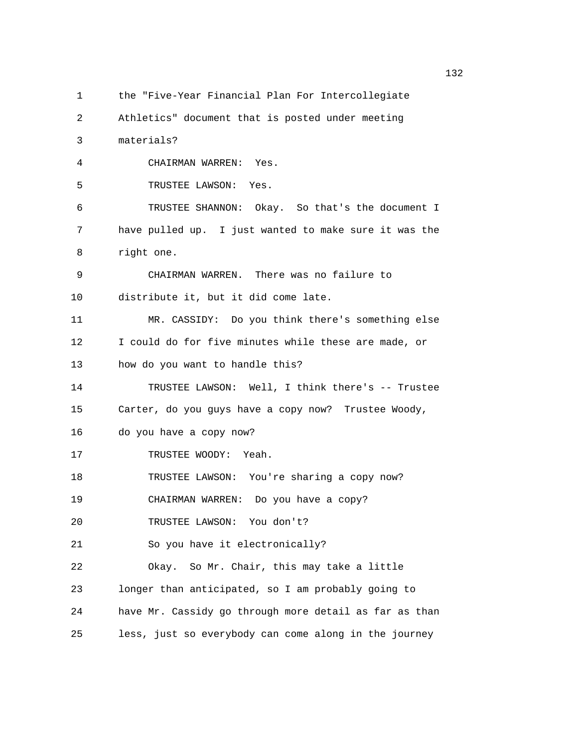```
1 the "Five-Year Financial Plan For Intercollegiate
```

```
2 Athletics" document that is posted under meeting
```
3 materials?

4 CHAIRMAN WARREN: Yes.

5 TRUSTEE LAWSON: Yes.

6 TRUSTEE SHANNON: Okay. So that's the document I 7 have pulled up. I just wanted to make sure it was the 8 right one.

9 CHAIRMAN WARREN. There was no failure to

10 distribute it, but it did come late.

11 MR. CASSIDY: Do you think there's something else 12 I could do for five minutes while these are made, or 13 how do you want to handle this?

14 TRUSTEE LAWSON: Well, I think there's -- Trustee

15 Carter, do you guys have a copy now? Trustee Woody,

16 do you have a copy now?

17 TRUSTEE WOODY: Yeah.

18 TRUSTEE LAWSON: You're sharing a copy now?

19 CHAIRMAN WARREN: Do you have a copy?

20 TRUSTEE LAWSON: You don't?

21 So you have it electronically?

22 Okay. So Mr. Chair, this may take a little 23 longer than anticipated, so I am probably going to

24 have Mr. Cassidy go through more detail as far as than

25 less, just so everybody can come along in the journey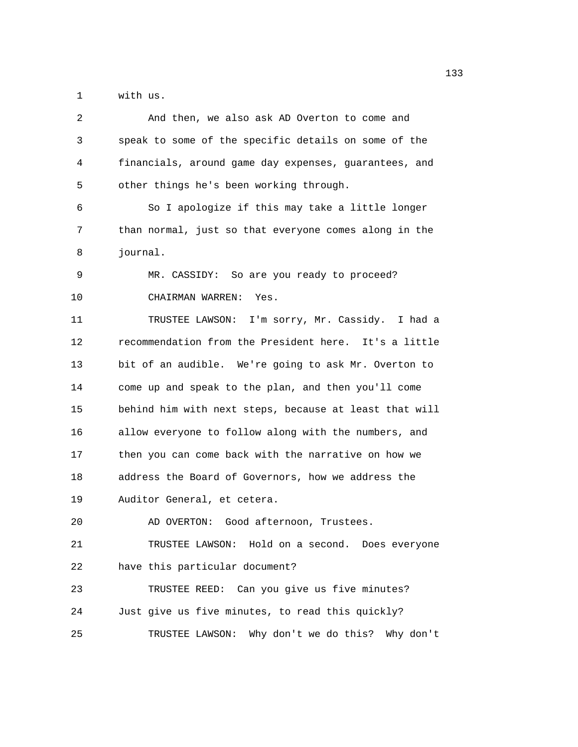1 with us.

| 2  | And then, we also ask AD Overton to come and           |
|----|--------------------------------------------------------|
| 3  | speak to some of the specific details on some of the   |
| 4  | financials, around game day expenses, guarantees, and  |
| 5  | other things he's been working through.                |
| 6  | So I apologize if this may take a little longer        |
| 7  | than normal, just so that everyone comes along in the  |
| 8  | journal.                                               |
| 9  | MR. CASSIDY: So are you ready to proceed?              |
| 10 | CHAIRMAN WARREN:<br>Yes.                               |
| 11 | TRUSTEE LAWSON: I'm sorry, Mr. Cassidy. I had a        |
| 12 | recommendation from the President here. It's a little  |
| 13 | bit of an audible. We're going to ask Mr. Overton to   |
| 14 | come up and speak to the plan, and then you'll come    |
| 15 | behind him with next steps, because at least that will |
| 16 | allow everyone to follow along with the numbers, and   |
| 17 | then you can come back with the narrative on how we    |
| 18 | address the Board of Governors, how we address the     |
| 19 | Auditor General, et cetera.                            |
| 20 | AD OVERTON: Good afternoon, Trustees.                  |
| 21 | TRUSTEE LAWSON: Hold on a second. Does everyone        |
| 22 | have this particular document?                         |
| 23 | TRUSTEE REED: Can you give us five minutes?            |
| 24 | Just give us five minutes, to read this quickly?       |
| 25 | TRUSTEE LAWSON: Why don't we do this? Why don't        |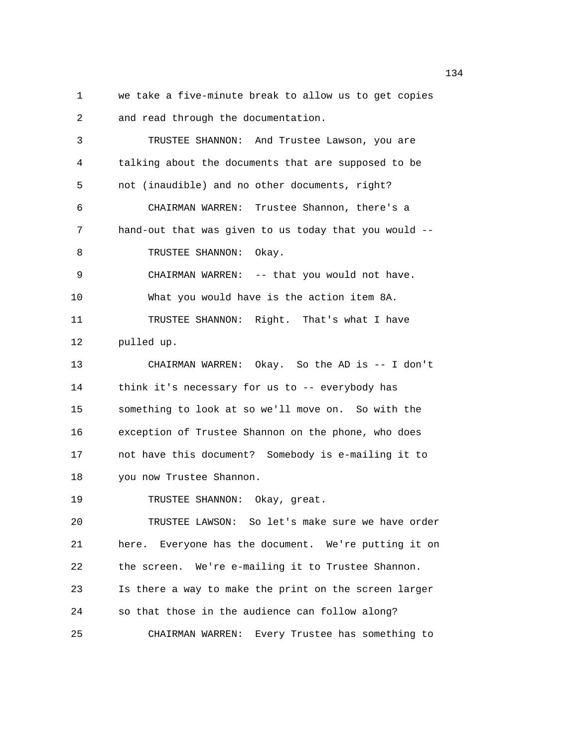1 we take a five-minute break to allow us to get copies 2 and read through the documentation.

3 TRUSTEE SHANNON: And Trustee Lawson, you are 4 talking about the documents that are supposed to be 5 not (inaudible) and no other documents, right? 6 CHAIRMAN WARREN: Trustee Shannon, there's a 7 hand-out that was given to us today that you would -- 8 TRUSTEE SHANNON: Okay. 9 CHAIRMAN WARREN: -- that you would not have. 10 What you would have is the action item 8A. 11 TRUSTEE SHANNON: Right. That's what I have 12 pulled up. 13 CHAIRMAN WARREN: Okay. So the AD is -- I don't 14 think it's necessary for us to -- everybody has 15 something to look at so we'll move on. So with the 16 exception of Trustee Shannon on the phone, who does 17 not have this document? Somebody is e-mailing it to 18 you now Trustee Shannon. 19 TRUSTEE SHANNON: Okay, great. 20 TRUSTEE LAWSON: So let's make sure we have order 21 here. Everyone has the document. We're putting it on 22 the screen. We're e-mailing it to Trustee Shannon. 23 Is there a way to make the print on the screen larger 24 so that those in the audience can follow along?

25 CHAIRMAN WARREN: Every Trustee has something to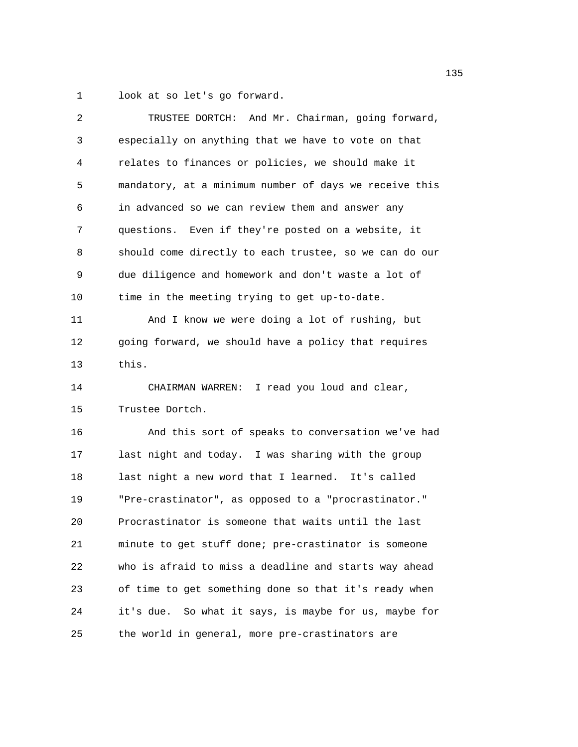1 look at so let's go forward.

| 2  | TRUSTEE DORTCH: And Mr. Chairman, going forward,       |
|----|--------------------------------------------------------|
| 3  | especially on anything that we have to vote on that    |
| 4  | relates to finances or policies, we should make it     |
| 5  | mandatory, at a minimum number of days we receive this |
| 6  | in advanced so we can review them and answer any       |
| 7  | questions. Even if they're posted on a website, it     |
| 8  | should come directly to each trustee, so we can do our |
| 9  | due diligence and homework and don't waste a lot of    |
| 10 | time in the meeting trying to get up-to-date.          |
| 11 | And I know we were doing a lot of rushing, but         |
| 12 | going forward, we should have a policy that requires   |
| 13 | this.                                                  |
| 14 | CHAIRMAN WARREN: I read you loud and clear,            |
| 15 | Trustee Dortch.                                        |
| 16 | And this sort of speaks to conversation we've had      |
| 17 | last night and today. I was sharing with the group     |
| 18 | last night a new word that I learned. It's called      |
| 19 | "Pre-crastinator", as opposed to a "procrastinator."   |
| 20 | Procrastinator is someone that waits until the last    |
| 21 | minute to get stuff done; pre-crastinator is someone   |
| 22 | who is afraid to miss a deadline and starts way ahead  |
| 23 | of time to get something done so that it's ready when  |
| 24 | it's due. So what it says, is maybe for us, maybe for  |
| 25 | the world in general, more pre-crastinators are        |
|    |                                                        |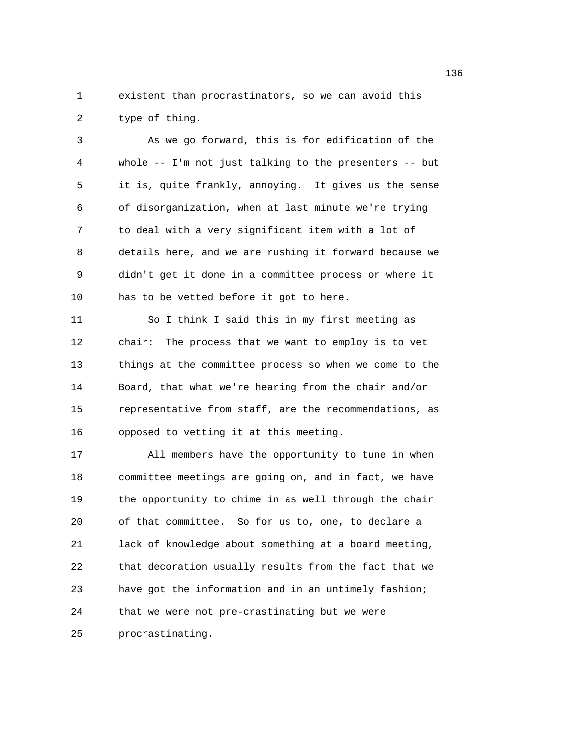1 existent than procrastinators, so we can avoid this 2 type of thing.

3 As we go forward, this is for edification of the 4 whole -- I'm not just talking to the presenters -- but 5 it is, quite frankly, annoying. It gives us the sense 6 of disorganization, when at last minute we're trying 7 to deal with a very significant item with a lot of 8 details here, and we are rushing it forward because we 9 didn't get it done in a committee process or where it 10 has to be vetted before it got to here.

11 So I think I said this in my first meeting as 12 chair: The process that we want to employ is to vet 13 things at the committee process so when we come to the 14 Board, that what we're hearing from the chair and/or 15 representative from staff, are the recommendations, as 16 opposed to vetting it at this meeting.

17 All members have the opportunity to tune in when 18 committee meetings are going on, and in fact, we have 19 the opportunity to chime in as well through the chair 20 of that committee. So for us to, one, to declare a 21 lack of knowledge about something at a board meeting, 22 that decoration usually results from the fact that we 23 have got the information and in an untimely fashion; 24 that we were not pre-crastinating but we were

25 procrastinating.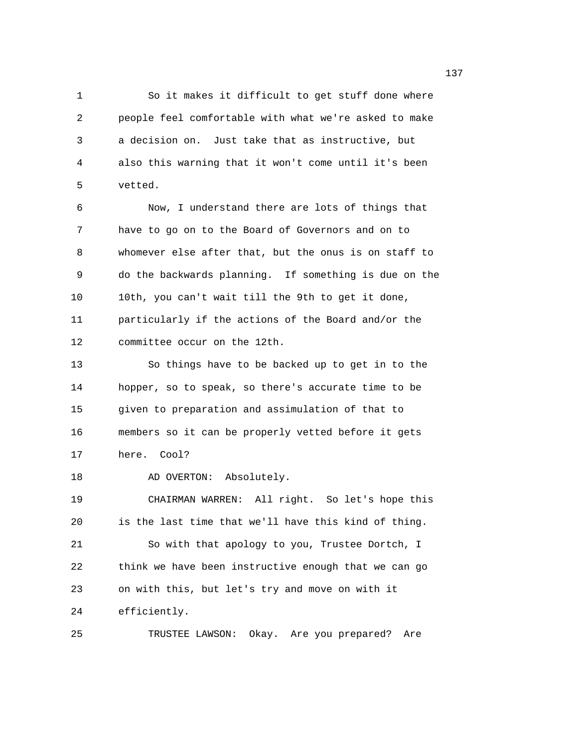1 So it makes it difficult to get stuff done where 2 people feel comfortable with what we're asked to make 3 a decision on. Just take that as instructive, but 4 also this warning that it won't come until it's been 5 vetted.

6 Now, I understand there are lots of things that 7 have to go on to the Board of Governors and on to 8 whomever else after that, but the onus is on staff to 9 do the backwards planning. If something is due on the 10 10th, you can't wait till the 9th to get it done, 11 particularly if the actions of the Board and/or the 12 committee occur on the 12th.

13 So things have to be backed up to get in to the 14 hopper, so to speak, so there's accurate time to be 15 given to preparation and assimulation of that to 16 members so it can be properly vetted before it gets 17 here. Cool?

18 AD OVERTON: Absolutely.

19 CHAIRMAN WARREN: All right. So let's hope this 20 is the last time that we'll have this kind of thing. 21 So with that apology to you, Trustee Dortch, I 22 think we have been instructive enough that we can go 23 on with this, but let's try and move on with it 24 efficiently.

25 TRUSTEE LAWSON: Okay. Are you prepared? Are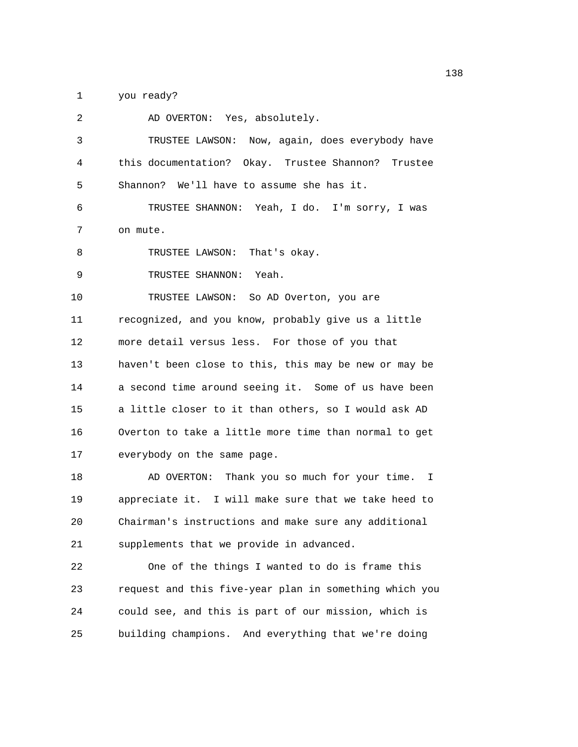1 you ready?

| 2  | AD OVERTON: Yes, absolutely.                           |
|----|--------------------------------------------------------|
| 3  | TRUSTEE LAWSON: Now, again, does everybody have        |
| 4  | this documentation? Okay. Trustee Shannon? Trustee     |
| 5  | Shannon? We'll have to assume she has it.              |
| 6  | TRUSTEE SHANNON: Yeah, I do. I'm sorry, I was          |
| 7  | on mute.                                               |
| 8  | TRUSTEE LAWSON: That's okay.                           |
| 9  | TRUSTEE SHANNON: Yeah.                                 |
| 10 | TRUSTEE LAWSON: So AD Overton, you are                 |
| 11 | recognized, and you know, probably give us a little    |
| 12 | more detail versus less. For those of you that         |
| 13 | haven't been close to this, this may be new or may be  |
| 14 | a second time around seeing it. Some of us have been   |
| 15 | a little closer to it than others, so I would ask AD   |
| 16 | Overton to take a little more time than normal to get  |
| 17 | everybody on the same page.                            |
| 18 | AD OVERTON: Thank you so much for your time. I         |
| 19 | appreciate it. I will make sure that we take heed to   |
| 20 | Chairman's instructions and make sure any additional   |
| 21 | supplements that we provide in advanced.               |
| 22 | One of the things I wanted to do is frame this         |
| 23 | request and this five-year plan in something which you |
| 24 | could see, and this is part of our mission, which is   |
| 25 | building champions. And everything that we're doing    |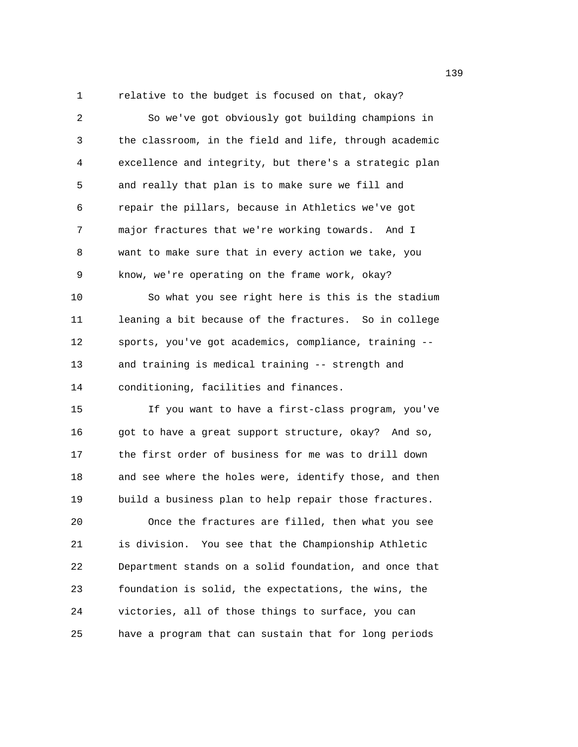1 relative to the budget is focused on that, okay?

2 So we've got obviously got building champions in 3 the classroom, in the field and life, through academic 4 excellence and integrity, but there's a strategic plan 5 and really that plan is to make sure we fill and 6 repair the pillars, because in Athletics we've got 7 major fractures that we're working towards. And I 8 want to make sure that in every action we take, you 9 know, we're operating on the frame work, okay? 10 So what you see right here is this is the stadium 11 leaning a bit because of the fractures. So in college 12 sports, you've got academics, compliance, training -- 13 and training is medical training -- strength and 14 conditioning, facilities and finances. 15 If you want to have a first-class program, you've 16 got to have a great support structure, okay? And so, 17 the first order of business for me was to drill down 18 and see where the holes were, identify those, and then 19 build a business plan to help repair those fractures. 20 Once the fractures are filled, then what you see 21 is division. You see that the Championship Athletic 22 Department stands on a solid foundation, and once that 23 foundation is solid, the expectations, the wins, the 24 victories, all of those things to surface, you can 25 have a program that can sustain that for long periods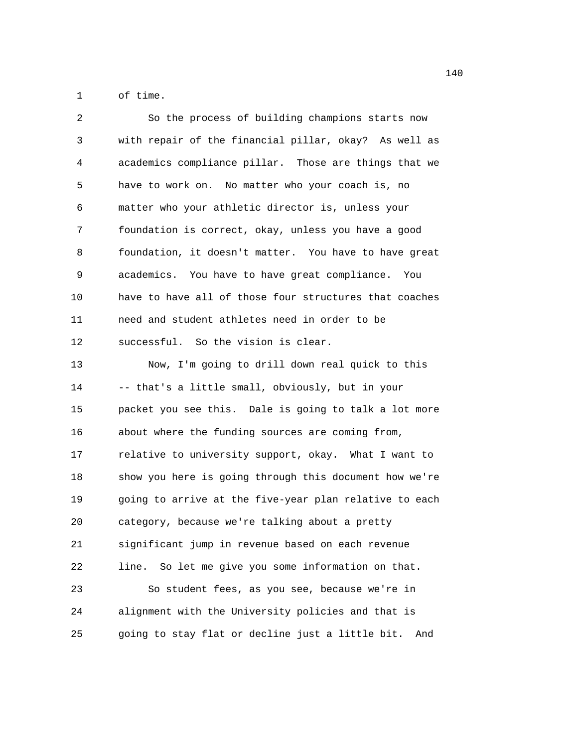1 of time.

| 2  | So the process of building champions starts now         |
|----|---------------------------------------------------------|
| 3  | with repair of the financial pillar, okay? As well as   |
| 4  | academics compliance pillar. Those are things that we   |
| 5  | have to work on. No matter who your coach is, no        |
| 6  | matter who your athletic director is, unless your       |
| 7  | foundation is correct, okay, unless you have a good     |
| 8  | foundation, it doesn't matter. You have to have great   |
| 9  | academics. You have to have great compliance. You       |
| 10 | have to have all of those four structures that coaches  |
| 11 | need and student athletes need in order to be           |
| 12 | successful. So the vision is clear.                     |
| 13 | Now, I'm going to drill down real quick to this         |
| 14 | -- that's a little small, obviously, but in your        |
| 15 | packet you see this. Dale is going to talk a lot more   |
| 16 | about where the funding sources are coming from,        |
| 17 | relative to university support, okay. What I want to    |
| 18 | show you here is going through this document how we're  |
| 19 | going to arrive at the five-year plan relative to each  |
| 20 | category, because we're talking about a pretty          |
| 21 | significant jump in revenue based on each revenue       |
| 22 | So let me give you some information on that.<br>line.   |
| 23 | So student fees, as you see, because we're in           |
| 24 | alignment with the University policies and that is      |
| 25 | going to stay flat or decline just a little bit.<br>And |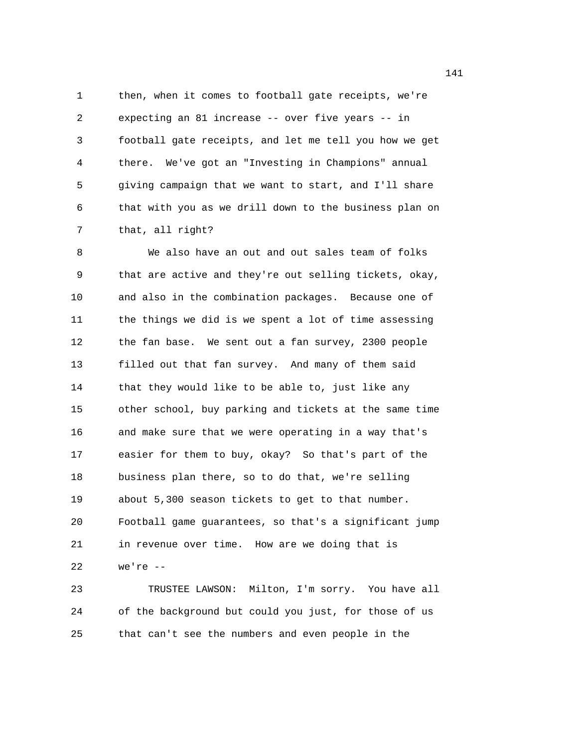1 then, when it comes to football gate receipts, we're 2 expecting an 81 increase -- over five years -- in 3 football gate receipts, and let me tell you how we get 4 there. We've got an "Investing in Champions" annual 5 giving campaign that we want to start, and I'll share 6 that with you as we drill down to the business plan on 7 that, all right?

8 We also have an out and out sales team of folks 9 that are active and they're out selling tickets, okay, 10 and also in the combination packages. Because one of 11 the things we did is we spent a lot of time assessing 12 the fan base. We sent out a fan survey, 2300 people 13 filled out that fan survey. And many of them said 14 that they would like to be able to, just like any 15 other school, buy parking and tickets at the same time 16 and make sure that we were operating in a way that's 17 easier for them to buy, okay? So that's part of the 18 business plan there, so to do that, we're selling 19 about 5,300 season tickets to get to that number. 20 Football game guarantees, so that's a significant jump 21 in revenue over time. How are we doing that is 22 we're --

23 TRUSTEE LAWSON: Milton, I'm sorry. You have all 24 of the background but could you just, for those of us 25 that can't see the numbers and even people in the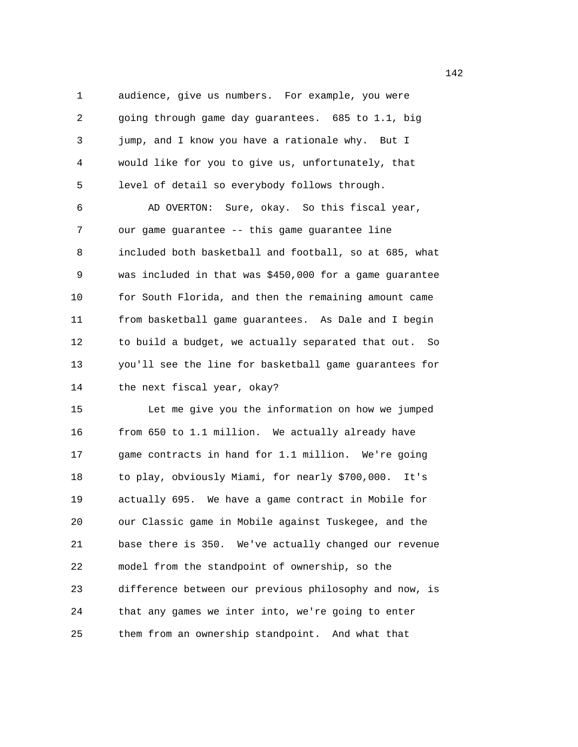1 audience, give us numbers. For example, you were 2 going through game day guarantees. 685 to 1.1, big 3 jump, and I know you have a rationale why. But I 4 would like for you to give us, unfortunately, that 5 level of detail so everybody follows through.

6 AD OVERTON: Sure, okay. So this fiscal year, 7 our game guarantee -- this game guarantee line 8 included both basketball and football, so at 685, what 9 was included in that was \$450,000 for a game guarantee 10 for South Florida, and then the remaining amount came 11 from basketball game guarantees. As Dale and I begin 12 to build a budget, we actually separated that out. So 13 you'll see the line for basketball game guarantees for 14 the next fiscal year, okay?

15 Let me give you the information on how we jumped 16 from 650 to 1.1 million. We actually already have 17 game contracts in hand for 1.1 million. We're going 18 to play, obviously Miami, for nearly \$700,000. It's 19 actually 695. We have a game contract in Mobile for 20 our Classic game in Mobile against Tuskegee, and the 21 base there is 350. We've actually changed our revenue 22 model from the standpoint of ownership, so the 23 difference between our previous philosophy and now, is 24 that any games we inter into, we're going to enter 25 them from an ownership standpoint. And what that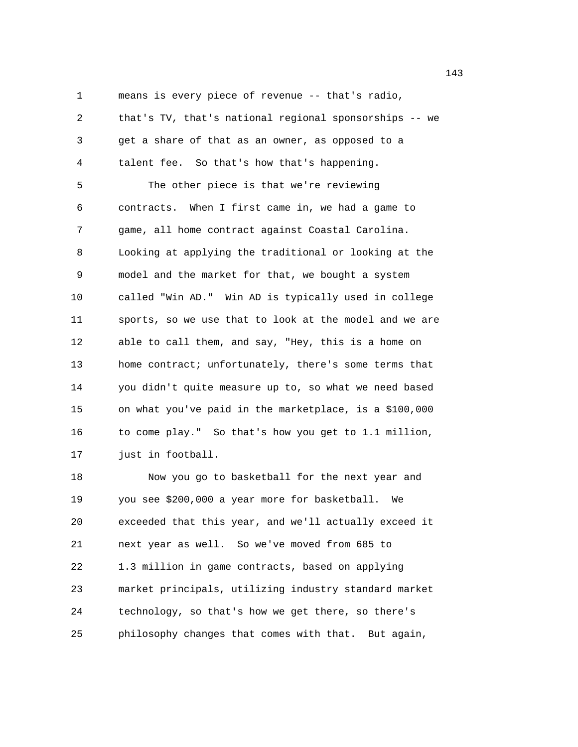1 means is every piece of revenue -- that's radio,

2 that's TV, that's national regional sponsorships -- we 3 get a share of that as an owner, as opposed to a 4 talent fee. So that's how that's happening. 5 The other piece is that we're reviewing 6 contracts. When I first came in, we had a game to 7 game, all home contract against Coastal Carolina. 8 Looking at applying the traditional or looking at the 9 model and the market for that, we bought a system 10 called "Win AD." Win AD is typically used in college 11 sports, so we use that to look at the model and we are 12 able to call them, and say, "Hey, this is a home on 13 home contract; unfortunately, there's some terms that 14 you didn't quite measure up to, so what we need based 15 on what you've paid in the marketplace, is a \$100,000 16 to come play." So that's how you get to 1.1 million, 17 just in football. 18 Now you go to basketball for the next year and

19 you see \$200,000 a year more for basketball. We 20 exceeded that this year, and we'll actually exceed it 21 next year as well. So we've moved from 685 to 22 1.3 million in game contracts, based on applying 23 market principals, utilizing industry standard market 24 technology, so that's how we get there, so there's 25 philosophy changes that comes with that. But again,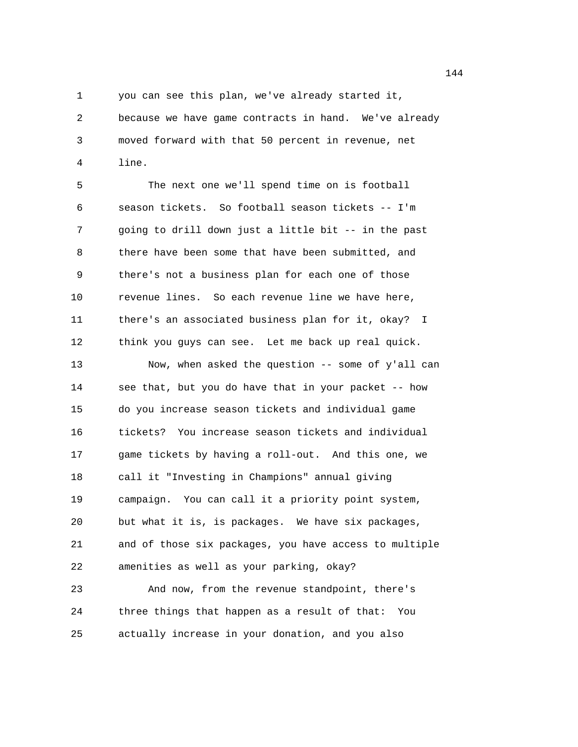1 you can see this plan, we've already started it,

2 because we have game contracts in hand. We've already 3 moved forward with that 50 percent in revenue, net 4 line.

5 The next one we'll spend time on is football 6 season tickets. So football season tickets -- I'm 7 going to drill down just a little bit -- in the past 8 there have been some that have been submitted, and 9 there's not a business plan for each one of those 10 revenue lines. So each revenue line we have here, 11 there's an associated business plan for it, okay? I 12 think you guys can see. Let me back up real quick. 13 Now, when asked the question -- some of y'all can 14 see that, but you do have that in your packet -- how 15 do you increase season tickets and individual game 16 tickets? You increase season tickets and individual 17 game tickets by having a roll-out. And this one, we 18 call it "Investing in Champions" annual giving 19 campaign. You can call it a priority point system, 20 but what it is, is packages. We have six packages, 21 and of those six packages, you have access to multiple 22 amenities as well as your parking, okay? 23 And now, from the revenue standpoint, there's 24 three things that happen as a result of that: You

25 actually increase in your donation, and you also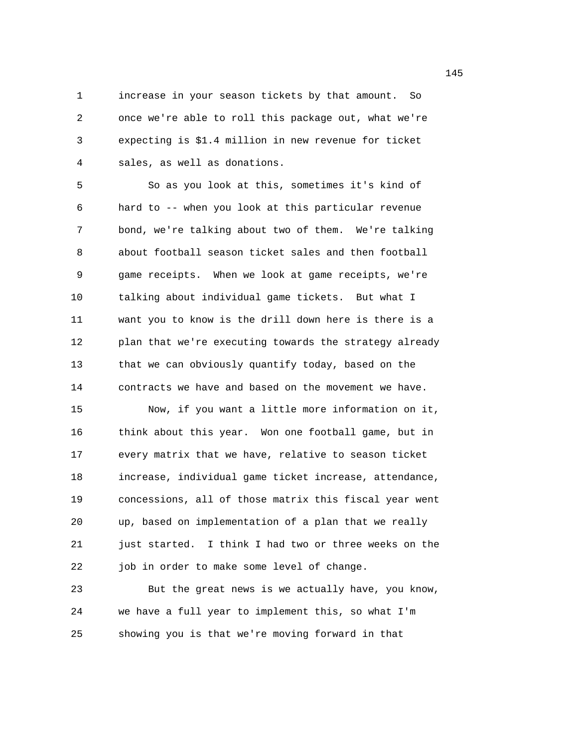1 increase in your season tickets by that amount. So 2 once we're able to roll this package out, what we're 3 expecting is \$1.4 million in new revenue for ticket 4 sales, as well as donations.

5 So as you look at this, sometimes it's kind of 6 hard to -- when you look at this particular revenue 7 bond, we're talking about two of them. We're talking 8 about football season ticket sales and then football 9 game receipts. When we look at game receipts, we're 10 talking about individual game tickets. But what I 11 want you to know is the drill down here is there is a 12 plan that we're executing towards the strategy already 13 that we can obviously quantify today, based on the 14 contracts we have and based on the movement we have.

15 Now, if you want a little more information on it, 16 think about this year. Won one football game, but in 17 every matrix that we have, relative to season ticket 18 increase, individual game ticket increase, attendance, 19 concessions, all of those matrix this fiscal year went 20 up, based on implementation of a plan that we really 21 just started. I think I had two or three weeks on the 22 job in order to make some level of change.

23 But the great news is we actually have, you know, 24 we have a full year to implement this, so what I'm 25 showing you is that we're moving forward in that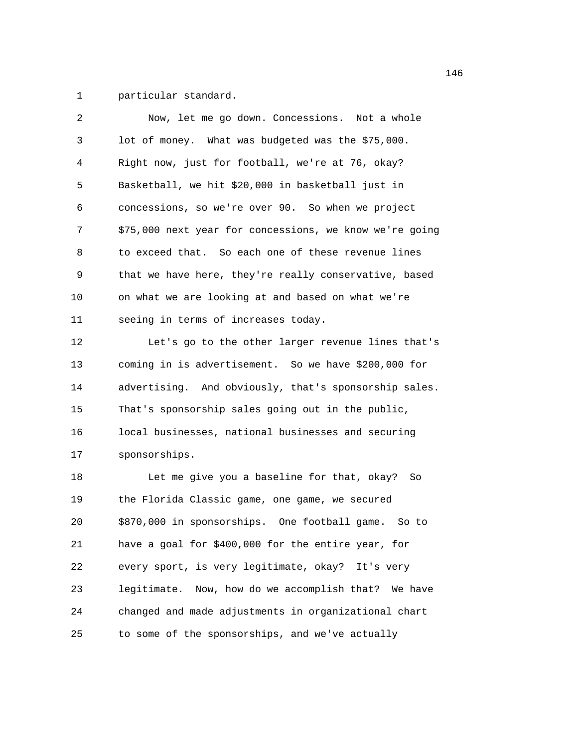1 particular standard.

| 2  | Now, let me go down. Concessions. Not a whole           |
|----|---------------------------------------------------------|
| 3  | lot of money. What was budgeted was the \$75,000.       |
| 4  | Right now, just for football, we're at 76, okay?        |
| 5  | Basketball, we hit \$20,000 in basketball just in       |
| 6  | concessions, so we're over 90. So when we project       |
| 7  | \$75,000 next year for concessions, we know we're going |
| 8  | to exceed that. So each one of these revenue lines      |
| 9  | that we have here, they're really conservative, based   |
| 10 | on what we are looking at and based on what we're       |
| 11 | seeing in terms of increases today.                     |
| 12 | Let's go to the other larger revenue lines that's       |
| 13 | coming in is advertisement. So we have \$200,000 for    |
| 14 | advertising. And obviously, that's sponsorship sales.   |
| 15 | That's sponsorship sales going out in the public,       |
| 16 | local businesses, national businesses and securing      |
| 17 | sponsorships.                                           |
| 18 | Let me give you a baseline for that, okay?<br>So        |
| 19 | the Florida Classic game, one game, we secured          |
| 20 | \$870,000 in sponsorships. One football game. So to     |
| 21 | have a goal for \$400,000 for the entire year, for      |
| 22 | every sport, is very legitimate, okay? It's very        |
| 23 | legitimate. Now, how do we accomplish that? We have     |
| 24 | changed and made adjustments in organizational chart    |
| 25 | to some of the sponsorships, and we've actually         |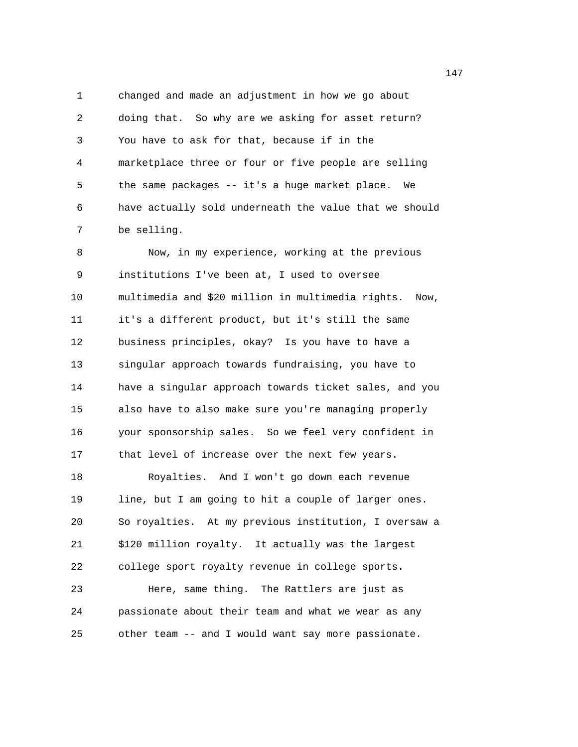1 changed and made an adjustment in how we go about 2 doing that. So why are we asking for asset return? 3 You have to ask for that, because if in the 4 marketplace three or four or five people are selling 5 the same packages -- it's a huge market place. We 6 have actually sold underneath the value that we should 7 be selling.

8 Now, in my experience, working at the previous 9 institutions I've been at, I used to oversee 10 multimedia and \$20 million in multimedia rights. Now, 11 it's a different product, but it's still the same 12 business principles, okay? Is you have to have a 13 singular approach towards fundraising, you have to 14 have a singular approach towards ticket sales, and you 15 also have to also make sure you're managing properly 16 your sponsorship sales. So we feel very confident in 17 that level of increase over the next few years. 18 Royalties. And I won't go down each revenue 19 line, but I am going to hit a couple of larger ones. 20 So royalties. At my previous institution, I oversaw a 21 \$120 million royalty. It actually was the largest 22 college sport royalty revenue in college sports. 23 Here, same thing. The Rattlers are just as 24 passionate about their team and what we wear as any 25 other team -- and I would want say more passionate.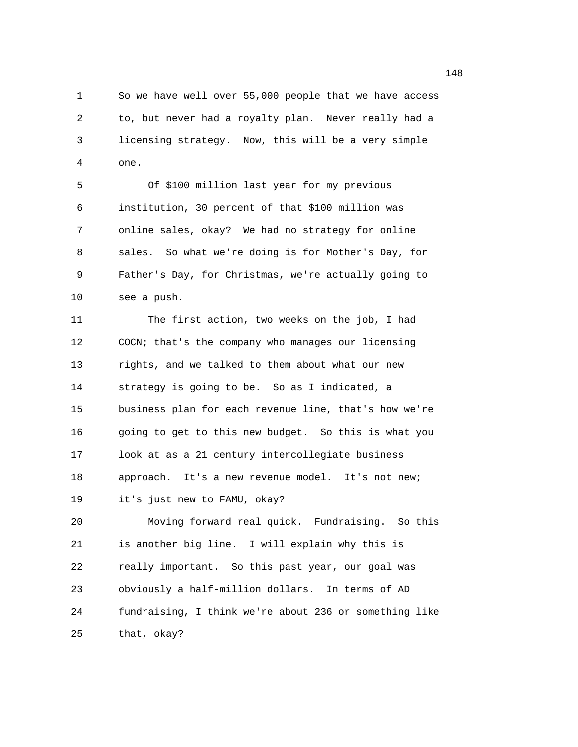1 So we have well over 55,000 people that we have access 2 to, but never had a royalty plan. Never really had a 3 licensing strategy. Now, this will be a very simple 4 one.

5 Of \$100 million last year for my previous 6 institution, 30 percent of that \$100 million was 7 online sales, okay? We had no strategy for online 8 sales. So what we're doing is for Mother's Day, for 9 Father's Day, for Christmas, we're actually going to 10 see a push.

11 The first action, two weeks on the job, I had 12 COCN; that's the company who manages our licensing 13 rights, and we talked to them about what our new 14 strategy is going to be. So as I indicated, a 15 business plan for each revenue line, that's how we're 16 going to get to this new budget. So this is what you 17 look at as a 21 century intercollegiate business 18 approach. It's a new revenue model. It's not new; 19 it's just new to FAMU, okay?

20 Moving forward real quick. Fundraising. So this 21 is another big line. I will explain why this is 22 really important. So this past year, our goal was 23 obviously a half-million dollars. In terms of AD 24 fundraising, I think we're about 236 or something like 25 that, okay?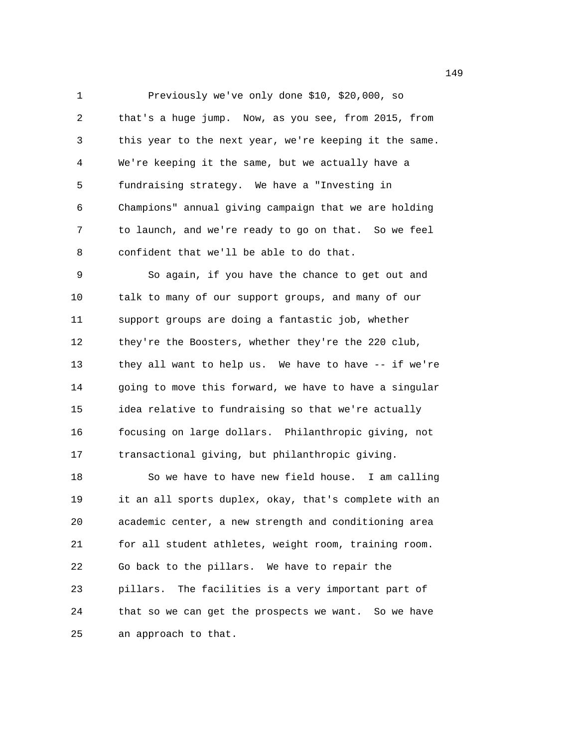1 Previously we've only done \$10, \$20,000, so 2 that's a huge jump. Now, as you see, from 2015, from 3 this year to the next year, we're keeping it the same. 4 We're keeping it the same, but we actually have a 5 fundraising strategy. We have a "Investing in 6 Champions" annual giving campaign that we are holding 7 to launch, and we're ready to go on that. So we feel 8 confident that we'll be able to do that.

9 So again, if you have the chance to get out and 10 talk to many of our support groups, and many of our 11 support groups are doing a fantastic job, whether 12 they're the Boosters, whether they're the 220 club, 13 they all want to help us. We have to have -- if we're 14 going to move this forward, we have to have a singular 15 idea relative to fundraising so that we're actually 16 focusing on large dollars. Philanthropic giving, not 17 transactional giving, but philanthropic giving.

18 So we have to have new field house. I am calling 19 it an all sports duplex, okay, that's complete with an 20 academic center, a new strength and conditioning area 21 for all student athletes, weight room, training room. 22 Go back to the pillars. We have to repair the 23 pillars. The facilities is a very important part of 24 that so we can get the prospects we want. So we have 25 an approach to that.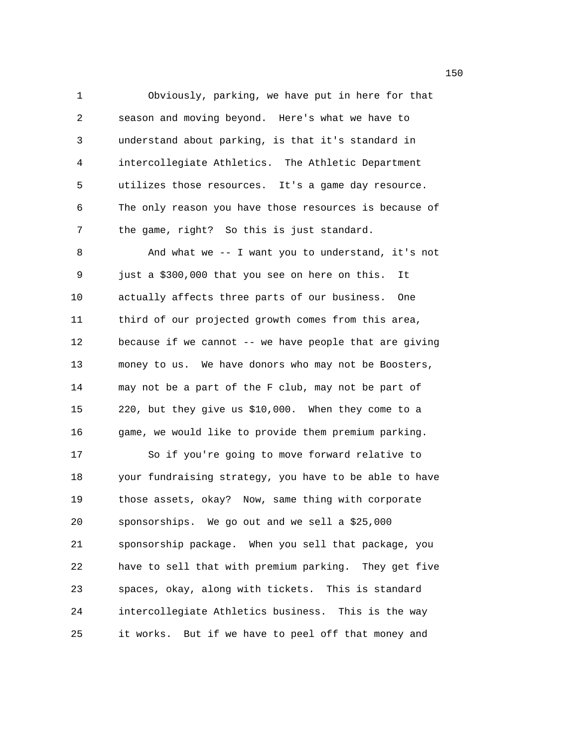1 Obviously, parking, we have put in here for that 2 season and moving beyond. Here's what we have to 3 understand about parking, is that it's standard in 4 intercollegiate Athletics. The Athletic Department 5 utilizes those resources. It's a game day resource. 6 The only reason you have those resources is because of 7 the game, right? So this is just standard. 8 And what we -- I want you to understand, it's not 9 just a \$300,000 that you see on here on this. It 10 actually affects three parts of our business. One 11 third of our projected growth comes from this area, 12 because if we cannot -- we have people that are giving 13 money to us. We have donors who may not be Boosters, 14 may not be a part of the F club, may not be part of 15 220, but they give us \$10,000. When they come to a 16 game, we would like to provide them premium parking. 17 So if you're going to move forward relative to 18 your fundraising strategy, you have to be able to have 19 those assets, okay? Now, same thing with corporate 20 sponsorships. We go out and we sell a \$25,000 21 sponsorship package. When you sell that package, you 22 have to sell that with premium parking. They get five 23 spaces, okay, along with tickets. This is standard 24 intercollegiate Athletics business. This is the way

25 it works. But if we have to peel off that money and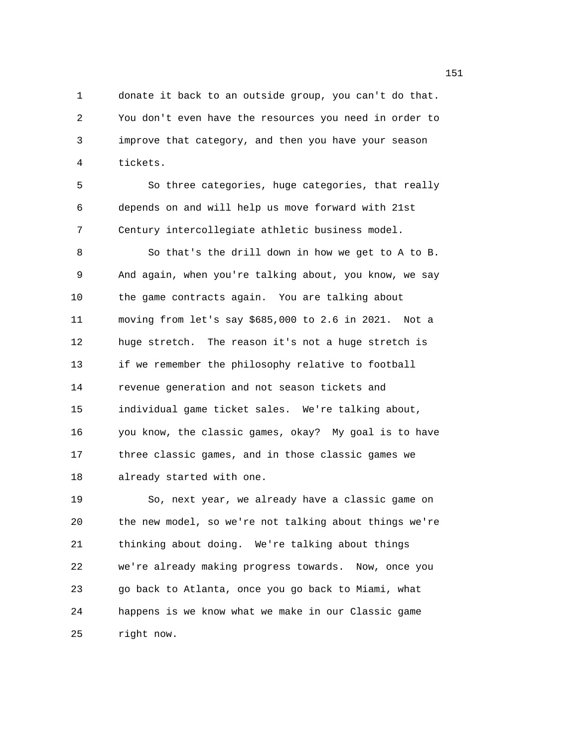1 donate it back to an outside group, you can't do that. 2 You don't even have the resources you need in order to 3 improve that category, and then you have your season 4 tickets.

5 So three categories, huge categories, that really 6 depends on and will help us move forward with 21st 7 Century intercollegiate athletic business model.

8 So that's the drill down in how we get to A to B. 9 And again, when you're talking about, you know, we say 10 the game contracts again. You are talking about 11 moving from let's say \$685,000 to 2.6 in 2021. Not a 12 huge stretch. The reason it's not a huge stretch is 13 if we remember the philosophy relative to football 14 revenue generation and not season tickets and 15 individual game ticket sales. We're talking about, 16 you know, the classic games, okay? My goal is to have 17 three classic games, and in those classic games we 18 already started with one.

19 So, next year, we already have a classic game on 20 the new model, so we're not talking about things we're 21 thinking about doing. We're talking about things 22 we're already making progress towards. Now, once you 23 go back to Atlanta, once you go back to Miami, what 24 happens is we know what we make in our Classic game 25 right now.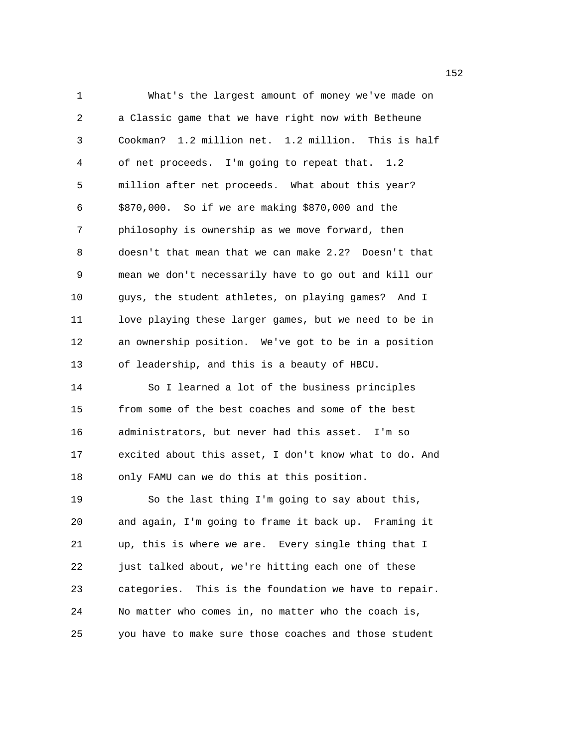1 What's the largest amount of money we've made on 2 a Classic game that we have right now with Betheune 3 Cookman? 1.2 million net. 1.2 million. This is half 4 of net proceeds. I'm going to repeat that. 1.2 5 million after net proceeds. What about this year? 6 \$870,000. So if we are making \$870,000 and the 7 philosophy is ownership as we move forward, then 8 doesn't that mean that we can make 2.2? Doesn't that 9 mean we don't necessarily have to go out and kill our 10 guys, the student athletes, on playing games? And I 11 love playing these larger games, but we need to be in 12 an ownership position. We've got to be in a position 13 of leadership, and this is a beauty of HBCU. 14 So I learned a lot of the business principles 15 from some of the best coaches and some of the best 16 administrators, but never had this asset. I'm so 17 excited about this asset, I don't know what to do. And 18 only FAMU can we do this at this position. 19 So the last thing I'm going to say about this, 20 and again, I'm going to frame it back up. Framing it 21 up, this is where we are. Every single thing that I 22 just talked about, we're hitting each one of these 23 categories. This is the foundation we have to repair. 24 No matter who comes in, no matter who the coach is, 25 you have to make sure those coaches and those student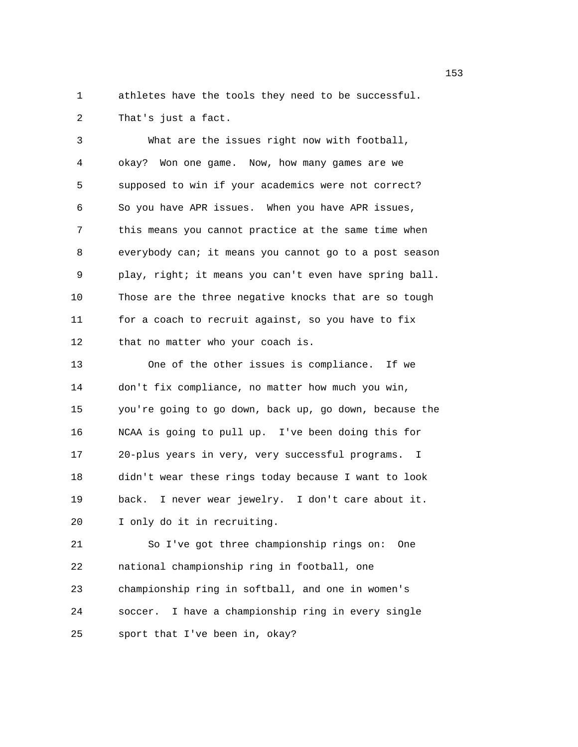1 athletes have the tools they need to be successful. 2 That's just a fact.

3 What are the issues right now with football, 4 okay? Won one game. Now, how many games are we 5 supposed to win if your academics were not correct? 6 So you have APR issues. When you have APR issues, 7 this means you cannot practice at the same time when 8 everybody can; it means you cannot go to a post season 9 play, right; it means you can't even have spring ball. 10 Those are the three negative knocks that are so tough 11 for a coach to recruit against, so you have to fix 12 that no matter who your coach is. 13 One of the other issues is compliance. If we 14 don't fix compliance, no matter how much you win,

15 you're going to go down, back up, go down, because the 16 NCAA is going to pull up. I've been doing this for 17 20-plus years in very, very successful programs. I 18 didn't wear these rings today because I want to look 19 back. I never wear jewelry. I don't care about it. 20 I only do it in recruiting.

21 So I've got three championship rings on: One 22 national championship ring in football, one 23 championship ring in softball, and one in women's 24 soccer. I have a championship ring in every single 25 sport that I've been in, okay?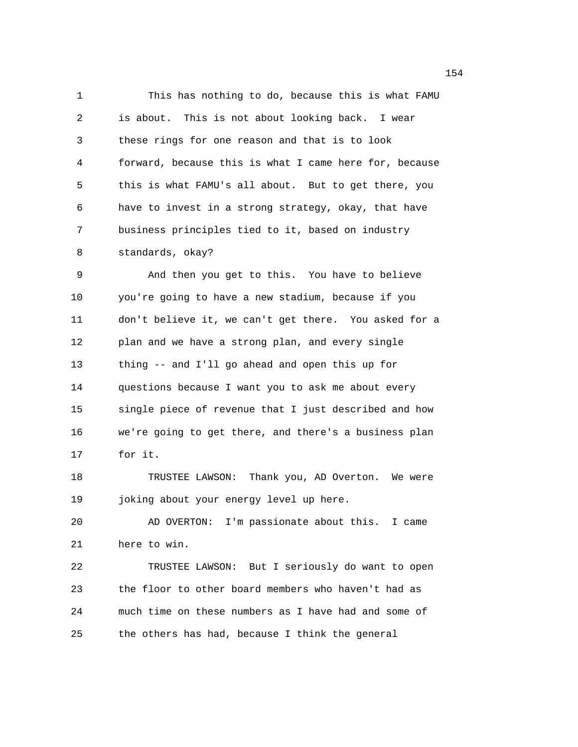1 This has nothing to do, because this is what FAMU 2 is about. This is not about looking back. I wear 3 these rings for one reason and that is to look 4 forward, because this is what I came here for, because 5 this is what FAMU's all about. But to get there, you 6 have to invest in a strong strategy, okay, that have 7 business principles tied to it, based on industry 8 standards, okay? 9 And then you get to this. You have to believe 10 you're going to have a new stadium, because if you 11 don't believe it, we can't get there. You asked for a 12 plan and we have a strong plan, and every single 13 thing -- and I'll go ahead and open this up for 14 questions because I want you to ask me about every 15 single piece of revenue that I just described and how 16 we're going to get there, and there's a business plan 17 for it. 18 TRUSTEE LAWSON: Thank you, AD Overton. We were 19 joking about your energy level up here. 20 AD OVERTON: I'm passionate about this. I came 21 here to win. 22 TRUSTEE LAWSON: But I seriously do want to open 23 the floor to other board members who haven't had as 24 much time on these numbers as I have had and some of 25 the others has had, because I think the general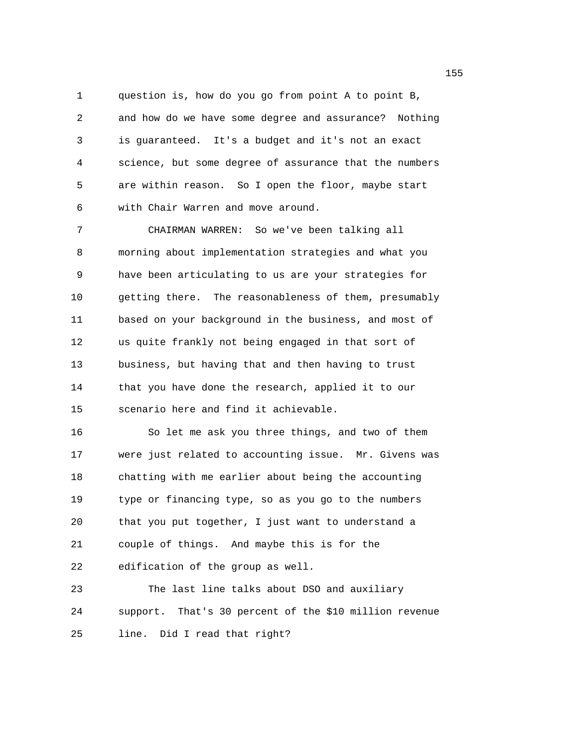1 question is, how do you go from point A to point B, 2 and how do we have some degree and assurance? Nothing 3 is guaranteed. It's a budget and it's not an exact 4 science, but some degree of assurance that the numbers 5 are within reason. So I open the floor, maybe start 6 with Chair Warren and move around.

7 CHAIRMAN WARREN: So we've been talking all 8 morning about implementation strategies and what you 9 have been articulating to us are your strategies for 10 getting there. The reasonableness of them, presumably 11 based on your background in the business, and most of 12 us quite frankly not being engaged in that sort of 13 business, but having that and then having to trust 14 that you have done the research, applied it to our 15 scenario here and find it achievable.

16 So let me ask you three things, and two of them 17 were just related to accounting issue. Mr. Givens was 18 chatting with me earlier about being the accounting 19 type or financing type, so as you go to the numbers 20 that you put together, I just want to understand a 21 couple of things. And maybe this is for the 22 edification of the group as well.

23 The last line talks about DSO and auxiliary 24 support. That's 30 percent of the \$10 million revenue 25 line. Did I read that right?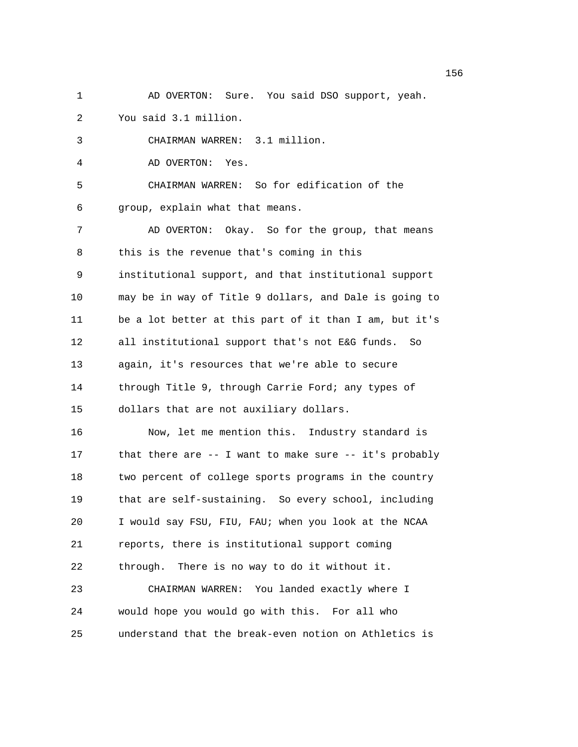1 AD OVERTON: Sure. You said DSO support, yeah. 2 You said 3.1 million. 3 CHAIRMAN WARREN: 3.1 million. 4 AD OVERTON: Yes. 5 CHAIRMAN WARREN: So for edification of the 6 group, explain what that means. 7 AD OVERTON: Okay. So for the group, that means 8 this is the revenue that's coming in this 9 institutional support, and that institutional support 10 may be in way of Title 9 dollars, and Dale is going to 11 be a lot better at this part of it than I am, but it's 12 all institutional support that's not E&G funds. So 13 again, it's resources that we're able to secure 14 through Title 9, through Carrie Ford; any types of 15 dollars that are not auxiliary dollars. 16 Now, let me mention this. Industry standard is 17 that there are -- I want to make sure -- it's probably 18 two percent of college sports programs in the country 19 that are self-sustaining. So every school, including 20 I would say FSU, FIU, FAU; when you look at the NCAA 21 reports, there is institutional support coming 22 through. There is no way to do it without it. 23 CHAIRMAN WARREN: You landed exactly where I 24 would hope you would go with this. For all who

25 understand that the break-even notion on Athletics is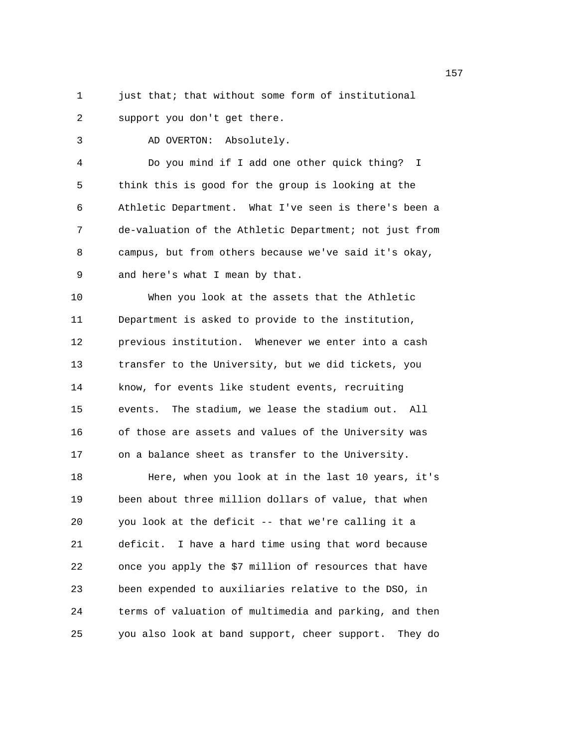1 just that; that without some form of institutional 2 support you don't get there.

3 AD OVERTON: Absolutely.

4 Do you mind if I add one other quick thing? I 5 think this is good for the group is looking at the 6 Athletic Department. What I've seen is there's been a 7 de-valuation of the Athletic Department; not just from 8 campus, but from others because we've said it's okay, 9 and here's what I mean by that.

10 When you look at the assets that the Athletic 11 Department is asked to provide to the institution, 12 previous institution. Whenever we enter into a cash 13 transfer to the University, but we did tickets, you 14 know, for events like student events, recruiting 15 events. The stadium, we lease the stadium out. All 16 of those are assets and values of the University was 17 on a balance sheet as transfer to the University. 18 Here, when you look at in the last 10 years, it's 19 been about three million dollars of value, that when 20 you look at the deficit -- that we're calling it a 21 deficit. I have a hard time using that word because 22 once you apply the \$7 million of resources that have 23 been expended to auxiliaries relative to the DSO, in 24 terms of valuation of multimedia and parking, and then 25 you also look at band support, cheer support. They do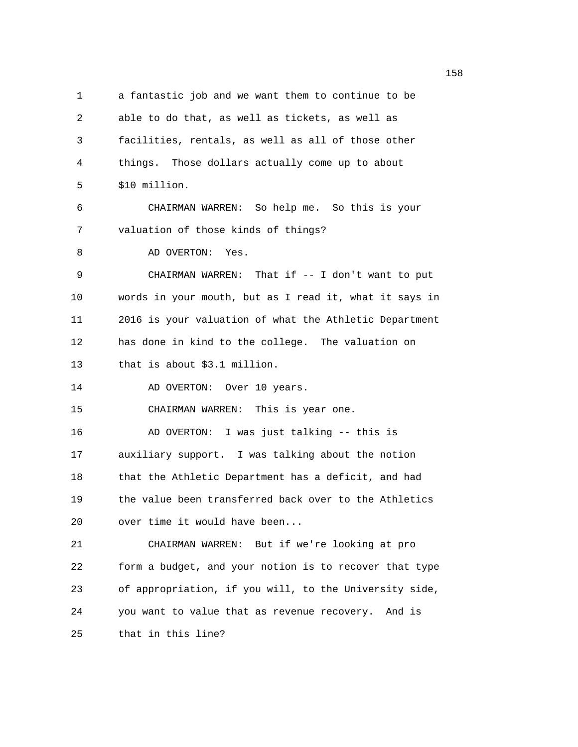1 a fantastic job and we want them to continue to be 2 able to do that, as well as tickets, as well as 3 facilities, rentals, as well as all of those other 4 things. Those dollars actually come up to about 5 \$10 million. 6 CHAIRMAN WARREN: So help me. So this is your 7 valuation of those kinds of things? 8 AD OVERTON: Yes. 9 CHAIRMAN WARREN: That if -- I don't want to put 10 words in your mouth, but as I read it, what it says in 11 2016 is your valuation of what the Athletic Department 12 has done in kind to the college. The valuation on 13 that is about \$3.1 million. 14 AD OVERTON: Over 10 years. 15 CHAIRMAN WARREN: This is year one. 16 AD OVERTON: I was just talking -- this is 17 auxiliary support. I was talking about the notion 18 that the Athletic Department has a deficit, and had 19 the value been transferred back over to the Athletics 20 over time it would have been... 21 CHAIRMAN WARREN: But if we're looking at pro 22 form a budget, and your notion is to recover that type 23 of appropriation, if you will, to the University side, 24 you want to value that as revenue recovery. And is 25 that in this line?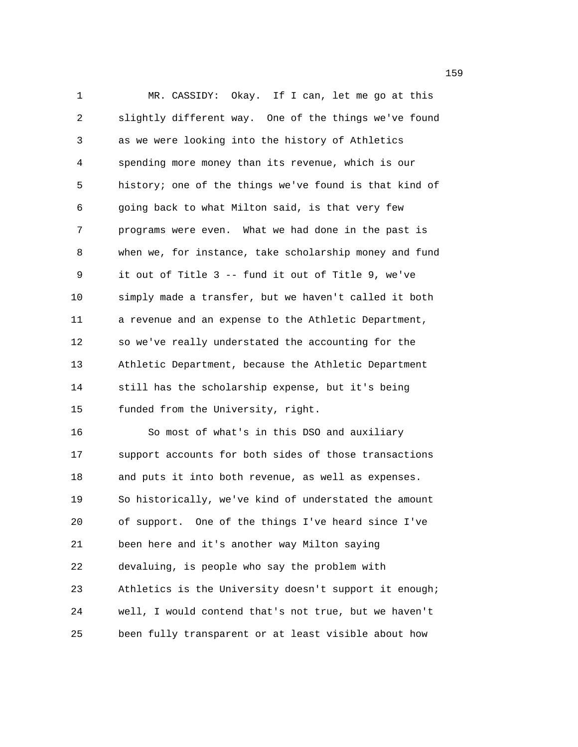1 MR. CASSIDY: Okay. If I can, let me go at this 2 slightly different way. One of the things we've found 3 as we were looking into the history of Athletics 4 spending more money than its revenue, which is our 5 history; one of the things we've found is that kind of 6 going back to what Milton said, is that very few 7 programs were even. What we had done in the past is 8 when we, for instance, take scholarship money and fund 9 it out of Title 3 -- fund it out of Title 9, we've 10 simply made a transfer, but we haven't called it both 11 a revenue and an expense to the Athletic Department, 12 so we've really understated the accounting for the 13 Athletic Department, because the Athletic Department 14 still has the scholarship expense, but it's being 15 funded from the University, right. 16 So most of what's in this DSO and auxiliary 17 support accounts for both sides of those transactions 18 and puts it into both revenue, as well as expenses. 19 So historically, we've kind of understated the amount 20 of support. One of the things I've heard since I've 21 been here and it's another way Milton saying 22 devaluing, is people who say the problem with 23 Athletics is the University doesn't support it enough; 24 well, I would contend that's not true, but we haven't 25 been fully transparent or at least visible about how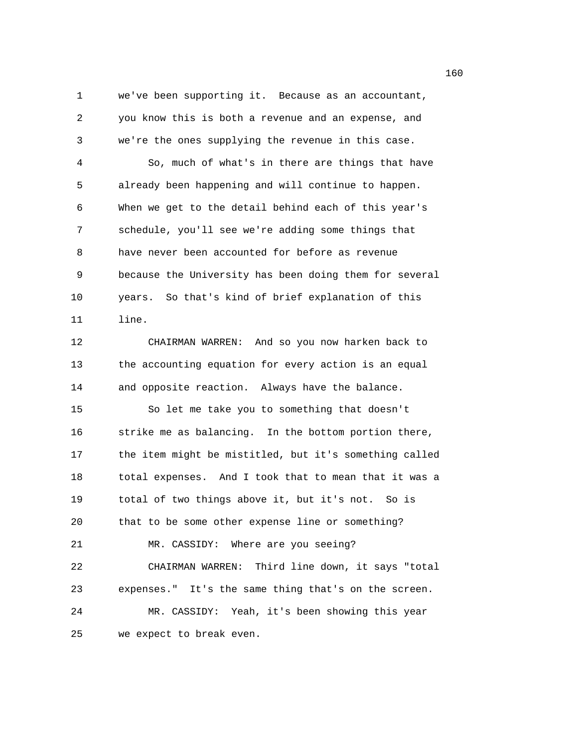1 we've been supporting it. Because as an accountant, 2 you know this is both a revenue and an expense, and 3 we're the ones supplying the revenue in this case. 4 So, much of what's in there are things that have 5 already been happening and will continue to happen. 6 When we get to the detail behind each of this year's 7 schedule, you'll see we're adding some things that 8 have never been accounted for before as revenue 9 because the University has been doing them for several 10 years. So that's kind of brief explanation of this 11 line. 12 CHAIRMAN WARREN: And so you now harken back to 13 the accounting equation for every action is an equal 14 and opposite reaction. Always have the balance. 15 So let me take you to something that doesn't 16 strike me as balancing. In the bottom portion there, 17 the item might be mistitled, but it's something called 18 total expenses. And I took that to mean that it was a 19 total of two things above it, but it's not. So is 20 that to be some other expense line or something? 21 MR. CASSIDY: Where are you seeing? 22 CHAIRMAN WARREN: Third line down, it says "total 23 expenses." It's the same thing that's on the screen. 24 MR. CASSIDY: Yeah, it's been showing this year 25 we expect to break even.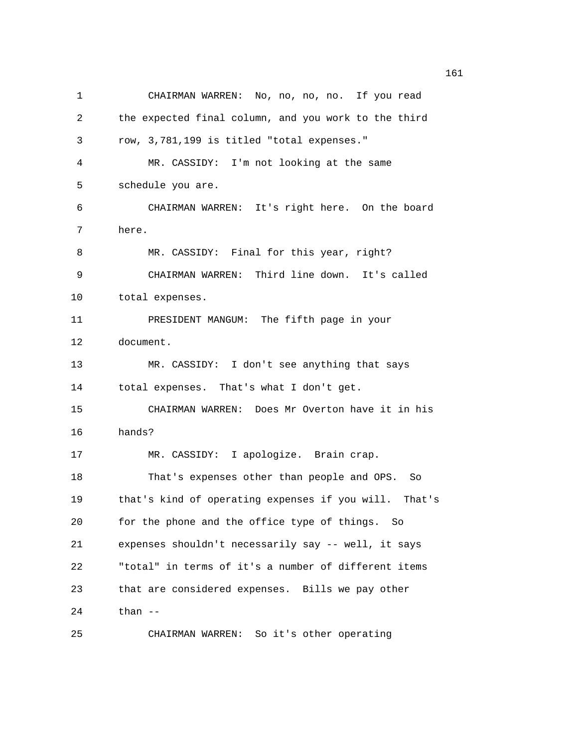1 CHAIRMAN WARREN: No, no, no, no. If you read 2 the expected final column, and you work to the third 3 row, 3,781,199 is titled "total expenses." 4 MR. CASSIDY: I'm not looking at the same 5 schedule you are. 6 CHAIRMAN WARREN: It's right here. On the board 7 here. 8 MR. CASSIDY: Final for this year, right? 9 CHAIRMAN WARREN: Third line down. It's called 10 total expenses. 11 PRESIDENT MANGUM: The fifth page in your 12 document. 13 MR. CASSIDY: I don't see anything that says 14 total expenses. That's what I don't get. 15 CHAIRMAN WARREN: Does Mr Overton have it in his 16 hands? 17 MR. CASSIDY: I apologize. Brain crap. 18 That's expenses other than people and OPS. So 19 that's kind of operating expenses if you will. That's 20 for the phone and the office type of things. So 21 expenses shouldn't necessarily say -- well, it says 22 "total" in terms of it's a number of different items 23 that are considered expenses. Bills we pay other 24 than -- 25 CHAIRMAN WARREN: So it's other operating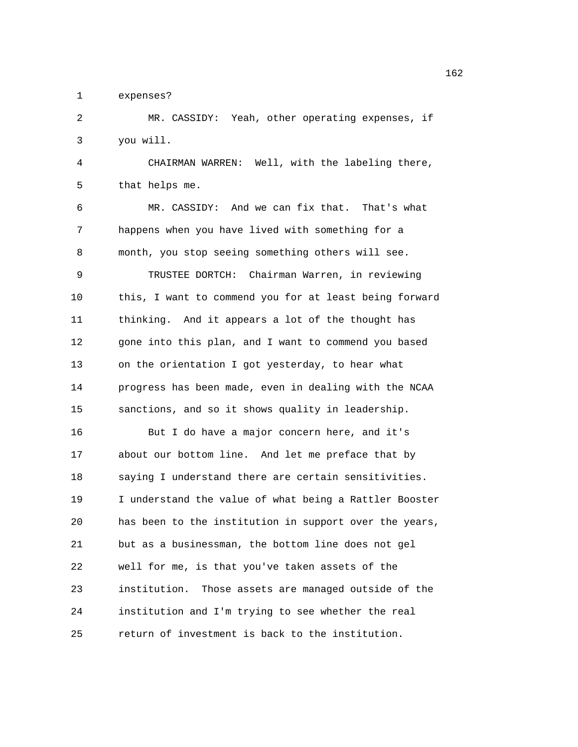1 expenses?

2 MR. CASSIDY: Yeah, other operating expenses, if 3 you will.

4 CHAIRMAN WARREN: Well, with the labeling there, 5 that helps me.

6 MR. CASSIDY: And we can fix that. That's what 7 happens when you have lived with something for a 8 month, you stop seeing something others will see. 9 TRUSTEE DORTCH: Chairman Warren, in reviewing 10 this, I want to commend you for at least being forward 11 thinking. And it appears a lot of the thought has 12 gone into this plan, and I want to commend you based 13 on the orientation I got yesterday, to hear what 14 progress has been made, even in dealing with the NCAA 15 sanctions, and so it shows quality in leadership. 16 But I do have a major concern here, and it's 17 about our bottom line. And let me preface that by 18 saying I understand there are certain sensitivities. 19 I understand the value of what being a Rattler Booster 20 has been to the institution in support over the years, 21 but as a businessman, the bottom line does not gel 22 well for me, is that you've taken assets of the 23 institution. Those assets are managed outside of the 24 institution and I'm trying to see whether the real 25 return of investment is back to the institution.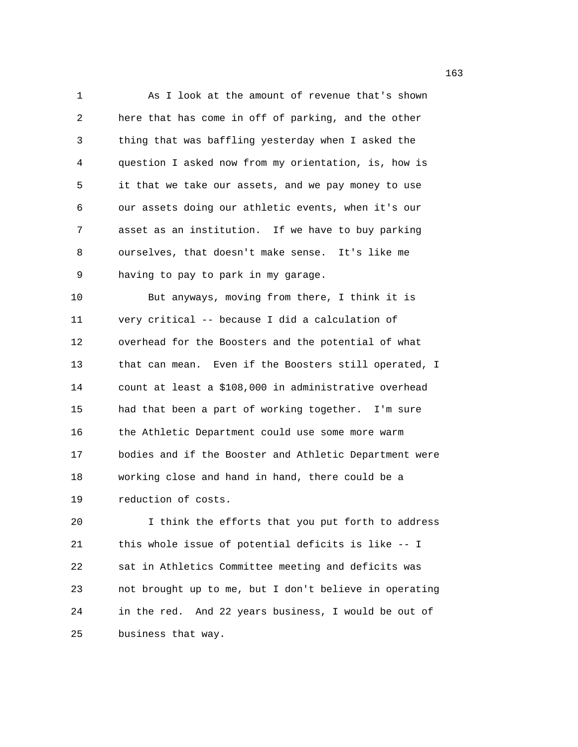1 As I look at the amount of revenue that's shown 2 here that has come in off of parking, and the other 3 thing that was baffling yesterday when I asked the 4 question I asked now from my orientation, is, how is 5 it that we take our assets, and we pay money to use 6 our assets doing our athletic events, when it's our 7 asset as an institution. If we have to buy parking 8 ourselves, that doesn't make sense. It's like me 9 having to pay to park in my garage. 10 But anyways, moving from there, I think it is 11 very critical -- because I did a calculation of 12 overhead for the Boosters and the potential of what 13 that can mean. Even if the Boosters still operated, I 14 count at least a \$108,000 in administrative overhead 15 had that been a part of working together. I'm sure 16 the Athletic Department could use some more warm 17 bodies and if the Booster and Athletic Department were 18 working close and hand in hand, there could be a 19 reduction of costs.

20 I think the efforts that you put forth to address 21 this whole issue of potential deficits is like -- I 22 sat in Athletics Committee meeting and deficits was 23 not brought up to me, but I don't believe in operating 24 in the red. And 22 years business, I would be out of 25 business that way.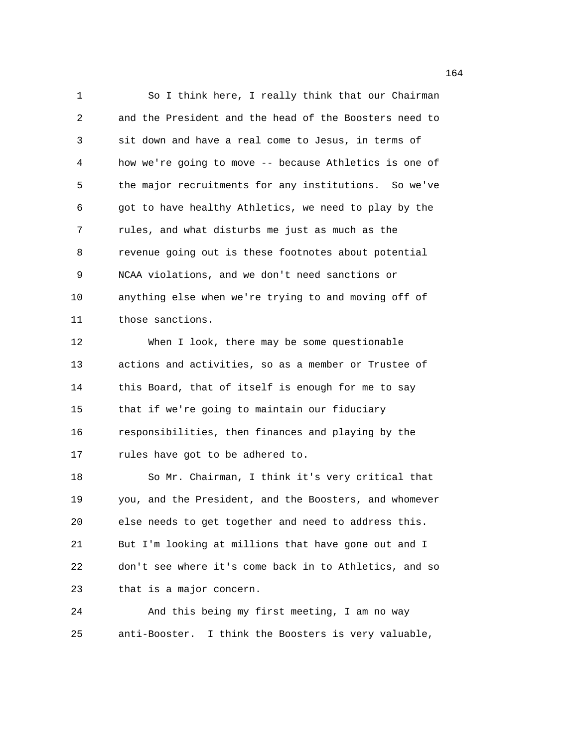1 So I think here, I really think that our Chairman 2 and the President and the head of the Boosters need to 3 sit down and have a real come to Jesus, in terms of 4 how we're going to move -- because Athletics is one of 5 the major recruitments for any institutions. So we've 6 got to have healthy Athletics, we need to play by the 7 rules, and what disturbs me just as much as the 8 revenue going out is these footnotes about potential 9 NCAA violations, and we don't need sanctions or 10 anything else when we're trying to and moving off of 11 those sanctions. 12 When I look, there may be some questionable 13 actions and activities, so as a member or Trustee of 14 this Board, that of itself is enough for me to say 15 that if we're going to maintain our fiduciary 16 responsibilities, then finances and playing by the 17 rules have got to be adhered to. 18 So Mr. Chairman, I think it's very critical that 19 you, and the President, and the Boosters, and whomever 20 else needs to get together and need to address this. 21 But I'm looking at millions that have gone out and I 22 don't see where it's come back in to Athletics, and so 23 that is a major concern. 24 And this being my first meeting, I am no way

25 anti-Booster. I think the Boosters is very valuable,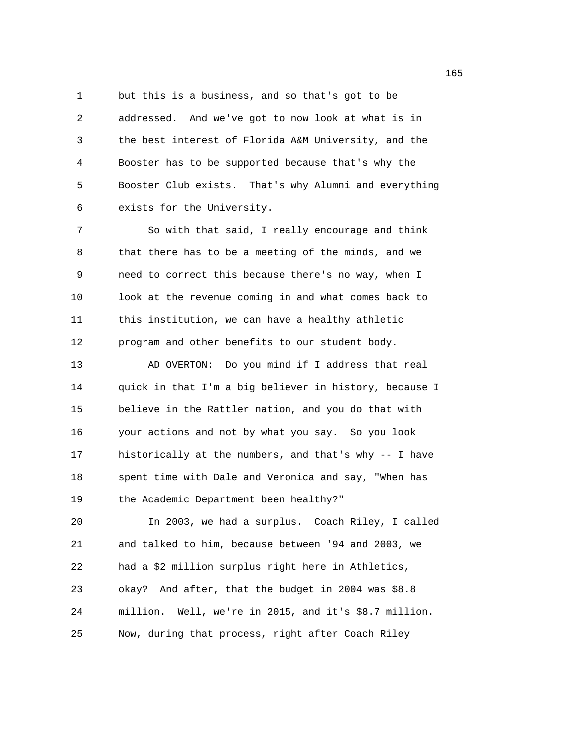1 but this is a business, and so that's got to be 2 addressed. And we've got to now look at what is in 3 the best interest of Florida A&M University, and the 4 Booster has to be supported because that's why the 5 Booster Club exists. That's why Alumni and everything 6 exists for the University.

7 So with that said, I really encourage and think 8 that there has to be a meeting of the minds, and we 9 need to correct this because there's no way, when I 10 look at the revenue coming in and what comes back to 11 this institution, we can have a healthy athletic 12 program and other benefits to our student body.

13 AD OVERTON: Do you mind if I address that real 14 quick in that I'm a big believer in history, because I 15 believe in the Rattler nation, and you do that with 16 your actions and not by what you say. So you look 17 historically at the numbers, and that's why -- I have 18 spent time with Dale and Veronica and say, "When has 19 the Academic Department been healthy?"

20 In 2003, we had a surplus. Coach Riley, I called 21 and talked to him, because between '94 and 2003, we 22 had a \$2 million surplus right here in Athletics, 23 okay? And after, that the budget in 2004 was \$8.8 24 million. Well, we're in 2015, and it's \$8.7 million. 25 Now, during that process, right after Coach Riley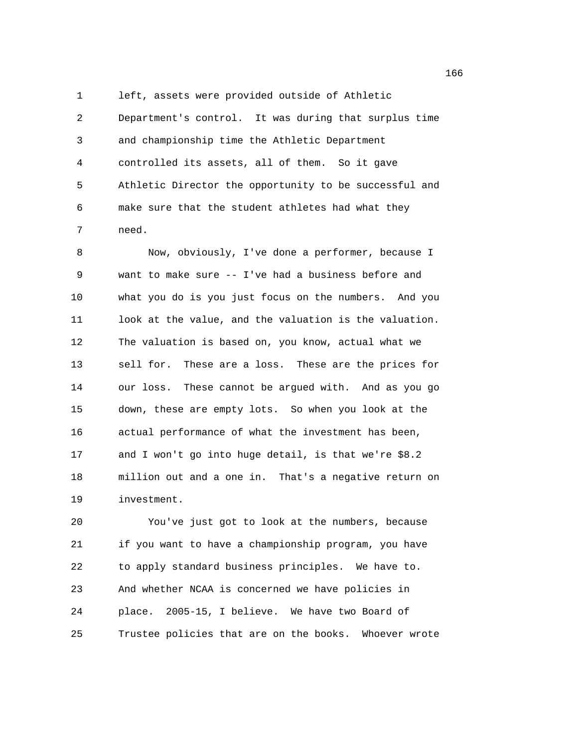1 left, assets were provided outside of Athletic 2 Department's control. It was during that surplus time 3 and championship time the Athletic Department 4 controlled its assets, all of them. So it gave 5 Athletic Director the opportunity to be successful and 6 make sure that the student athletes had what they 7 need.

8 Now, obviously, I've done a performer, because I 9 want to make sure -- I've had a business before and 10 what you do is you just focus on the numbers. And you 11 look at the value, and the valuation is the valuation. 12 The valuation is based on, you know, actual what we 13 sell for. These are a loss. These are the prices for 14 our loss. These cannot be argued with. And as you go 15 down, these are empty lots. So when you look at the 16 actual performance of what the investment has been, 17 and I won't go into huge detail, is that we're \$8.2 18 million out and a one in. That's a negative return on 19 investment.

20 You've just got to look at the numbers, because 21 if you want to have a championship program, you have 22 to apply standard business principles. We have to. 23 And whether NCAA is concerned we have policies in 24 place. 2005-15, I believe. We have two Board of 25 Trustee policies that are on the books. Whoever wrote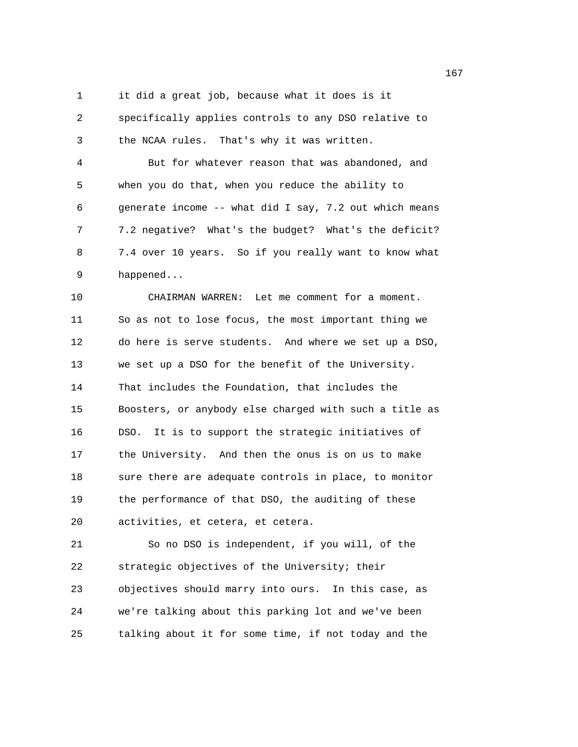1 it did a great job, because what it does is it

2 specifically applies controls to any DSO relative to 3 the NCAA rules. That's why it was written.

4 But for whatever reason that was abandoned, and 5 when you do that, when you reduce the ability to 6 generate income -- what did I say, 7.2 out which means 7 7.2 negative? What's the budget? What's the deficit? 8 7.4 over 10 years. So if you really want to know what 9 happened...

10 CHAIRMAN WARREN: Let me comment for a moment. 11 So as not to lose focus, the most important thing we 12 do here is serve students. And where we set up a DSO, 13 we set up a DSO for the benefit of the University. 14 That includes the Foundation, that includes the 15 Boosters, or anybody else charged with such a title as 16 DSO. It is to support the strategic initiatives of 17 the University. And then the onus is on us to make 18 sure there are adequate controls in place, to monitor 19 the performance of that DSO, the auditing of these 20 activities, et cetera, et cetera.

21 So no DSO is independent, if you will, of the 22 strategic objectives of the University; their 23 objectives should marry into ours. In this case, as 24 we're talking about this parking lot and we've been 25 talking about it for some time, if not today and the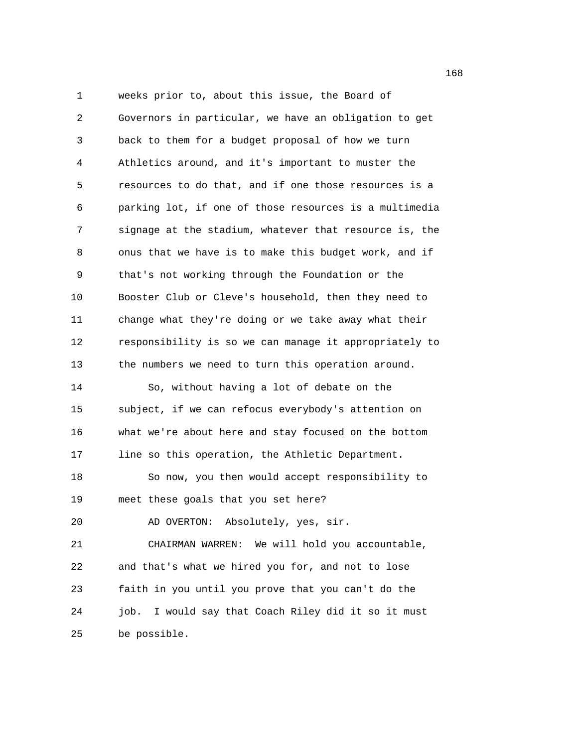1 weeks prior to, about this issue, the Board of 2 Governors in particular, we have an obligation to get 3 back to them for a budget proposal of how we turn 4 Athletics around, and it's important to muster the 5 resources to do that, and if one those resources is a 6 parking lot, if one of those resources is a multimedia 7 signage at the stadium, whatever that resource is, the 8 onus that we have is to make this budget work, and if 9 that's not working through the Foundation or the 10 Booster Club or Cleve's household, then they need to 11 change what they're doing or we take away what their 12 responsibility is so we can manage it appropriately to 13 the numbers we need to turn this operation around. 14 So, without having a lot of debate on the 15 subject, if we can refocus everybody's attention on 16 what we're about here and stay focused on the bottom 17 line so this operation, the Athletic Department. 18 So now, you then would accept responsibility to 19 meet these goals that you set here? 20 AD OVERTON: Absolutely, yes, sir. 21 CHAIRMAN WARREN: We will hold you accountable, 22 and that's what we hired you for, and not to lose 23 faith in you until you prove that you can't do the 24 job. I would say that Coach Riley did it so it must 25 be possible.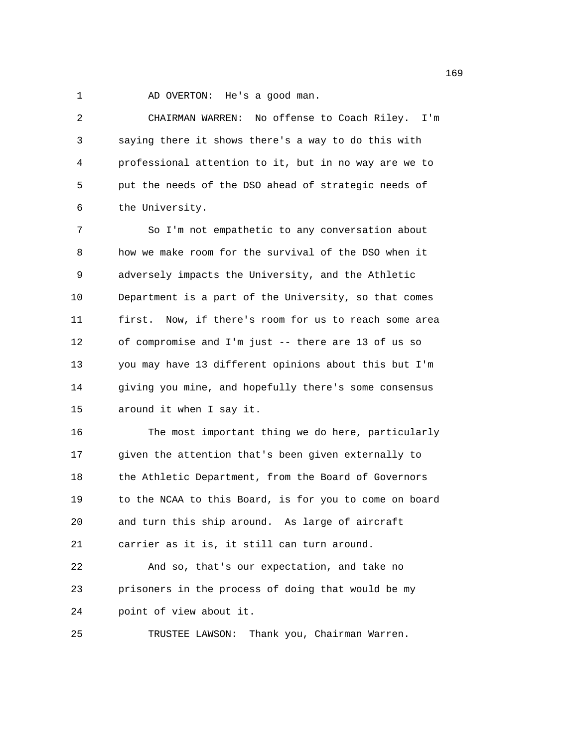1 AD OVERTON: He's a good man.

2 CHAIRMAN WARREN: No offense to Coach Riley. I'm 3 saying there it shows there's a way to do this with 4 professional attention to it, but in no way are we to 5 put the needs of the DSO ahead of strategic needs of 6 the University. 7 So I'm not empathetic to any conversation about 8 how we make room for the survival of the DSO when it 9 adversely impacts the University, and the Athletic 10 Department is a part of the University, so that comes 11 first. Now, if there's room for us to reach some area 12 of compromise and I'm just -- there are 13 of us so 13 you may have 13 different opinions about this but I'm 14 giving you mine, and hopefully there's some consensus 15 around it when I say it. 16 The most important thing we do here, particularly 17 given the attention that's been given externally to 18 the Athletic Department, from the Board of Governors 19 to the NCAA to this Board, is for you to come on board 20 and turn this ship around. As large of aircraft 21 carrier as it is, it still can turn around. 22 And so, that's our expectation, and take no 23 prisoners in the process of doing that would be my 24 point of view about it.

25 TRUSTEE LAWSON: Thank you, Chairman Warren.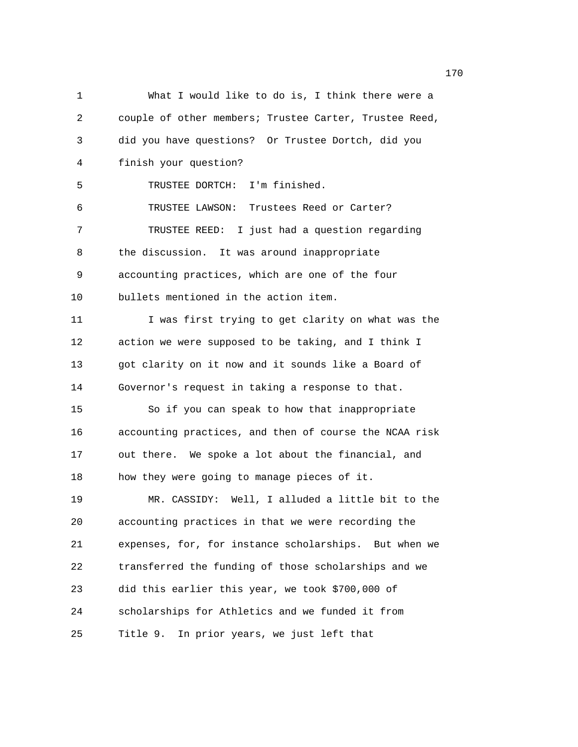1 What I would like to do is, I think there were a 2 couple of other members; Trustee Carter, Trustee Reed, 3 did you have questions? Or Trustee Dortch, did you 4 finish your question? 5 TRUSTEE DORTCH: I'm finished. 6 TRUSTEE LAWSON: Trustees Reed or Carter? 7 TRUSTEE REED: I just had a question regarding 8 the discussion. It was around inappropriate 9 accounting practices, which are one of the four 10 bullets mentioned in the action item. 11 I was first trying to get clarity on what was the 12 action we were supposed to be taking, and I think I 13 got clarity on it now and it sounds like a Board of 14 Governor's request in taking a response to that. 15 So if you can speak to how that inappropriate 16 accounting practices, and then of course the NCAA risk 17 out there. We spoke a lot about the financial, and 18 how they were going to manage pieces of it. 19 MR. CASSIDY: Well, I alluded a little bit to the 20 accounting practices in that we were recording the 21 expenses, for, for instance scholarships. But when we 22 transferred the funding of those scholarships and we 23 did this earlier this year, we took \$700,000 of 24 scholarships for Athletics and we funded it from 25 Title 9. In prior years, we just left that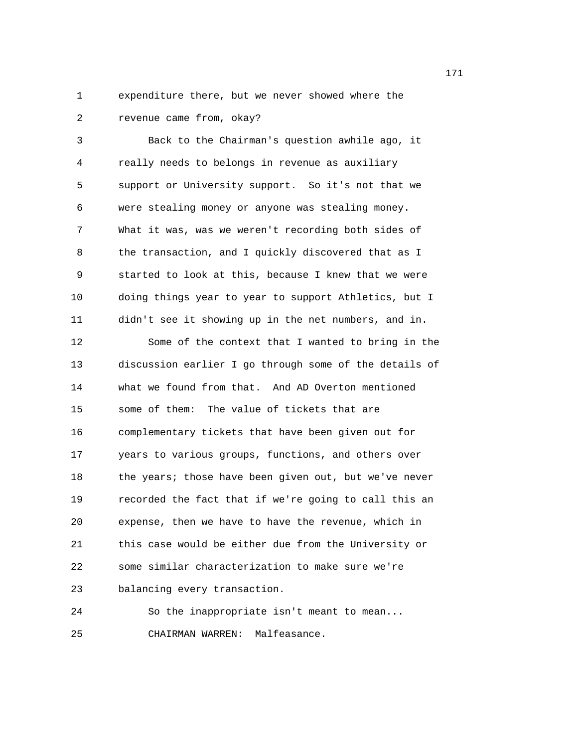1 expenditure there, but we never showed where the 2 revenue came from, okay?

3 Back to the Chairman's question awhile ago, it 4 really needs to belongs in revenue as auxiliary 5 support or University support. So it's not that we 6 were stealing money or anyone was stealing money. 7 What it was, was we weren't recording both sides of 8 the transaction, and I quickly discovered that as I 9 started to look at this, because I knew that we were 10 doing things year to year to support Athletics, but I 11 didn't see it showing up in the net numbers, and in. 12 Some of the context that I wanted to bring in the 13 discussion earlier I go through some of the details of 14 what we found from that. And AD Overton mentioned 15 some of them: The value of tickets that are 16 complementary tickets that have been given out for 17 years to various groups, functions, and others over 18 the years; those have been given out, but we've never 19 recorded the fact that if we're going to call this an 20 expense, then we have to have the revenue, which in 21 this case would be either due from the University or 22 some similar characterization to make sure we're 23 balancing every transaction.

24 So the inappropriate isn't meant to mean... 25 CHAIRMAN WARREN: Malfeasance.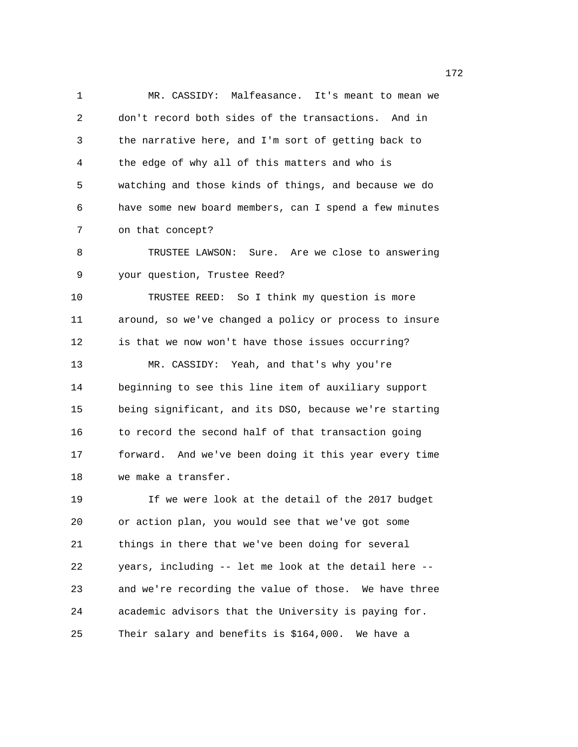1 MR. CASSIDY: Malfeasance. It's meant to mean we 2 don't record both sides of the transactions. And in 3 the narrative here, and I'm sort of getting back to 4 the edge of why all of this matters and who is 5 watching and those kinds of things, and because we do 6 have some new board members, can I spend a few minutes 7 on that concept? 8 TRUSTEE LAWSON: Sure. Are we close to answering 9 your question, Trustee Reed? 10 TRUSTEE REED: So I think my question is more 11 around, so we've changed a policy or process to insure 12 is that we now won't have those issues occurring? 13 MR. CASSIDY: Yeah, and that's why you're 14 beginning to see this line item of auxiliary support 15 being significant, and its DSO, because we're starting 16 to record the second half of that transaction going 17 forward. And we've been doing it this year every time 18 we make a transfer. 19 If we were look at the detail of the 2017 budget 20 or action plan, you would see that we've got some 21 things in there that we've been doing for several 22 years, including -- let me look at the detail here -- 23 and we're recording the value of those. We have three 24 academic advisors that the University is paying for.

25 Their salary and benefits is \$164,000. We have a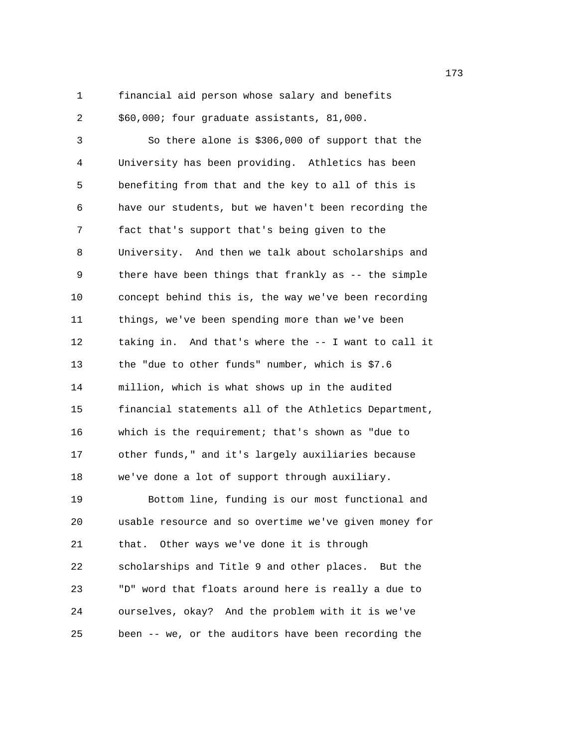1 financial aid person whose salary and benefits 2 \$60,000; four graduate assistants, 81,000.

3 So there alone is \$306,000 of support that the 4 University has been providing. Athletics has been 5 benefiting from that and the key to all of this is 6 have our students, but we haven't been recording the 7 fact that's support that's being given to the 8 University. And then we talk about scholarships and 9 there have been things that frankly as -- the simple 10 concept behind this is, the way we've been recording 11 things, we've been spending more than we've been 12 taking in. And that's where the -- I want to call it 13 the "due to other funds" number, which is \$7.6 14 million, which is what shows up in the audited 15 financial statements all of the Athletics Department, 16 which is the requirement; that's shown as "due to 17 other funds," and it's largely auxiliaries because 18 we've done a lot of support through auxiliary. 19 Bottom line, funding is our most functional and 20 usable resource and so overtime we've given money for 21 that. Other ways we've done it is through 22 scholarships and Title 9 and other places. But the 23 "D" word that floats around here is really a due to 24 ourselves, okay? And the problem with it is we've 25 been -- we, or the auditors have been recording the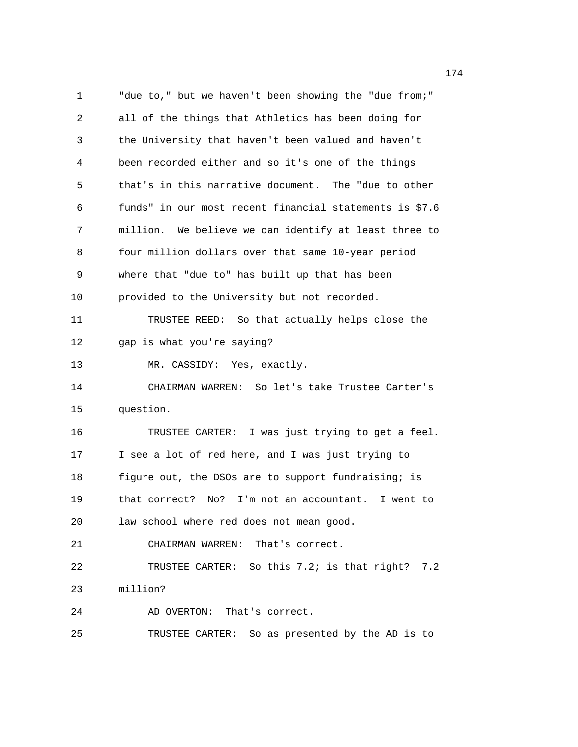1 "due to," but we haven't been showing the "due from;" 2 all of the things that Athletics has been doing for 3 the University that haven't been valued and haven't 4 been recorded either and so it's one of the things 5 that's in this narrative document. The "due to other 6 funds" in our most recent financial statements is \$7.6 7 million. We believe we can identify at least three to 8 four million dollars over that same 10-year period 9 where that "due to" has built up that has been 10 provided to the University but not recorded. 11 TRUSTEE REED: So that actually helps close the 12 gap is what you're saying? 13 MR. CASSIDY: Yes, exactly. 14 CHAIRMAN WARREN: So let's take Trustee Carter's 15 question. 16 TRUSTEE CARTER: I was just trying to get a feel. 17 I see a lot of red here, and I was just trying to 18 figure out, the DSOs are to support fundraising; is 19 that correct? No? I'm not an accountant. I went to 20 law school where red does not mean good. 21 CHAIRMAN WARREN: That's correct. 22 TRUSTEE CARTER: So this 7.2; is that right? 7.2 23 million? 24 AD OVERTON: That's correct. 25 TRUSTEE CARTER: So as presented by the AD is to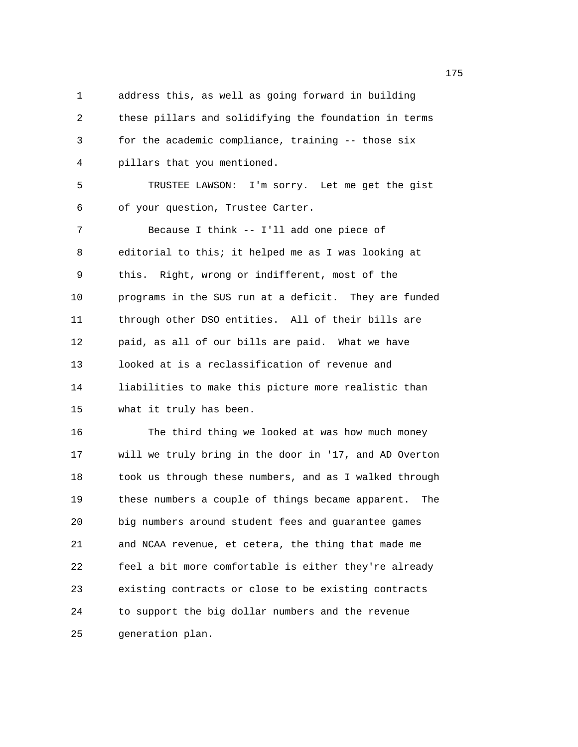1 address this, as well as going forward in building 2 these pillars and solidifying the foundation in terms 3 for the academic compliance, training -- those six 4 pillars that you mentioned. 5 TRUSTEE LAWSON: I'm sorry. Let me get the gist 6 of your question, Trustee Carter. 7 Because I think -- I'll add one piece of 8 editorial to this; it helped me as I was looking at 9 this. Right, wrong or indifferent, most of the 10 programs in the SUS run at a deficit. They are funded 11 through other DSO entities. All of their bills are 12 paid, as all of our bills are paid. What we have 13 looked at is a reclassification of revenue and 14 liabilities to make this picture more realistic than 15 what it truly has been. 16 The third thing we looked at was how much money 17 will we truly bring in the door in '17, and AD Overton 18 took us through these numbers, and as I walked through 19 these numbers a couple of things became apparent. The 20 big numbers around student fees and guarantee games 21 and NCAA revenue, et cetera, the thing that made me 22 feel a bit more comfortable is either they're already 23 existing contracts or close to be existing contracts 24 to support the big dollar numbers and the revenue

25 generation plan.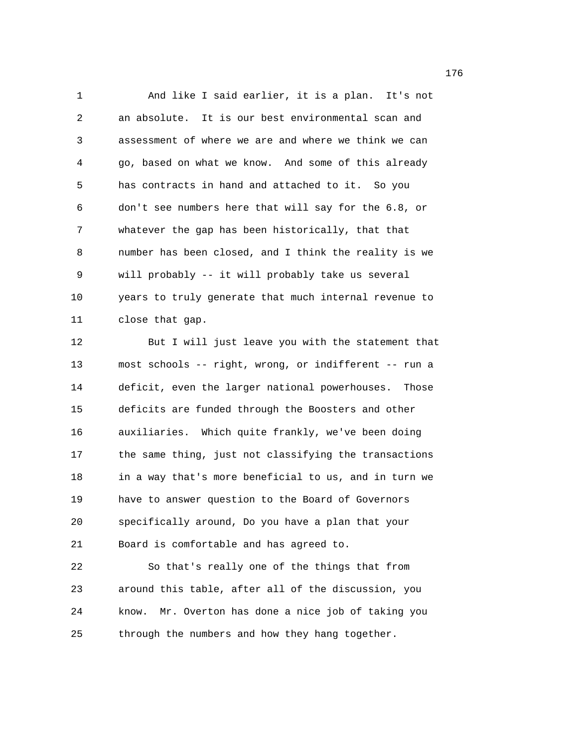1 And like I said earlier, it is a plan. It's not 2 an absolute. It is our best environmental scan and 3 assessment of where we are and where we think we can 4 go, based on what we know. And some of this already 5 has contracts in hand and attached to it. So you 6 don't see numbers here that will say for the 6.8, or 7 whatever the gap has been historically, that that 8 number has been closed, and I think the reality is we 9 will probably -- it will probably take us several 10 years to truly generate that much internal revenue to 11 close that gap.

12 But I will just leave you with the statement that 13 most schools -- right, wrong, or indifferent -- run a 14 deficit, even the larger national powerhouses. Those 15 deficits are funded through the Boosters and other 16 auxiliaries. Which quite frankly, we've been doing 17 the same thing, just not classifying the transactions 18 in a way that's more beneficial to us, and in turn we 19 have to answer question to the Board of Governors 20 specifically around, Do you have a plan that your 21 Board is comfortable and has agreed to.

22 So that's really one of the things that from 23 around this table, after all of the discussion, you 24 know. Mr. Overton has done a nice job of taking you 25 through the numbers and how they hang together.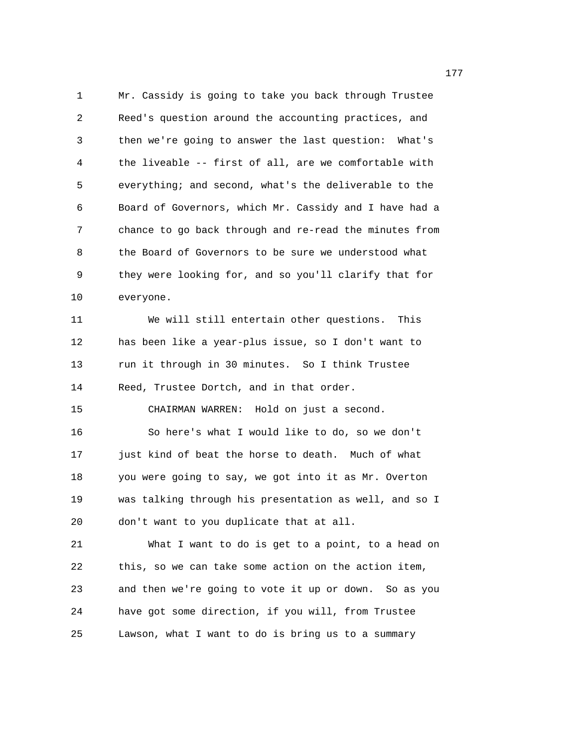1 Mr. Cassidy is going to take you back through Trustee 2 Reed's question around the accounting practices, and 3 then we're going to answer the last question: What's 4 the liveable -- first of all, are we comfortable with 5 everything; and second, what's the deliverable to the 6 Board of Governors, which Mr. Cassidy and I have had a 7 chance to go back through and re-read the minutes from 8 the Board of Governors to be sure we understood what 9 they were looking for, and so you'll clarify that for 10 everyone.

11 We will still entertain other questions. This 12 has been like a year-plus issue, so I don't want to 13 run it through in 30 minutes. So I think Trustee 14 Reed, Trustee Dortch, and in that order. 15 CHAIRMAN WARREN: Hold on just a second. 16 So here's what I would like to do, so we don't 17 just kind of beat the horse to death. Much of what 18 you were going to say, we got into it as Mr. Overton 19 was talking through his presentation as well, and so I 20 don't want to you duplicate that at all.

21 What I want to do is get to a point, to a head on 22 this, so we can take some action on the action item, 23 and then we're going to vote it up or down. So as you 24 have got some direction, if you will, from Trustee 25 Lawson, what I want to do is bring us to a summary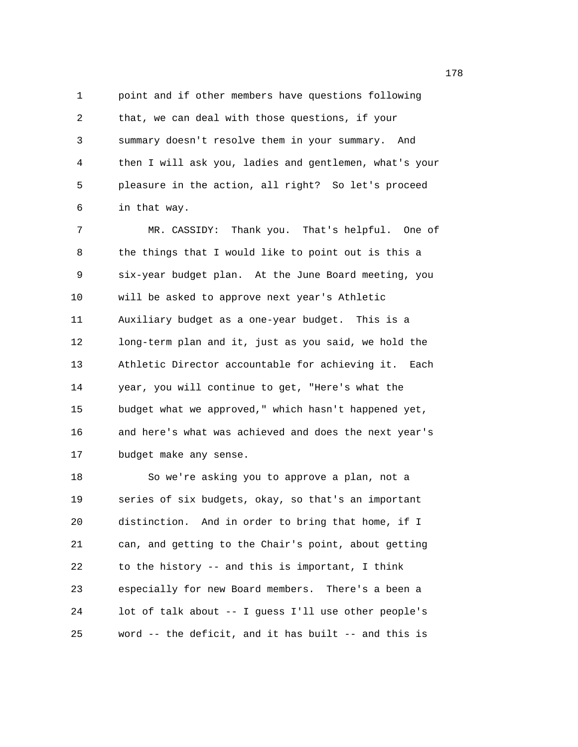1 point and if other members have questions following 2 that, we can deal with those questions, if your 3 summary doesn't resolve them in your summary. And 4 then I will ask you, ladies and gentlemen, what's your 5 pleasure in the action, all right? So let's proceed 6 in that way.

7 MR. CASSIDY: Thank you. That's helpful. One of 8 the things that I would like to point out is this a 9 six-year budget plan. At the June Board meeting, you 10 will be asked to approve next year's Athletic 11 Auxiliary budget as a one-year budget. This is a 12 long-term plan and it, just as you said, we hold the 13 Athletic Director accountable for achieving it. Each 14 year, you will continue to get, "Here's what the 15 budget what we approved," which hasn't happened yet, 16 and here's what was achieved and does the next year's 17 budget make any sense.

18 So we're asking you to approve a plan, not a 19 series of six budgets, okay, so that's an important 20 distinction. And in order to bring that home, if I 21 can, and getting to the Chair's point, about getting 22 to the history -- and this is important, I think 23 especially for new Board members. There's a been a 24 lot of talk about -- I guess I'll use other people's 25 word -- the deficit, and it has built -- and this is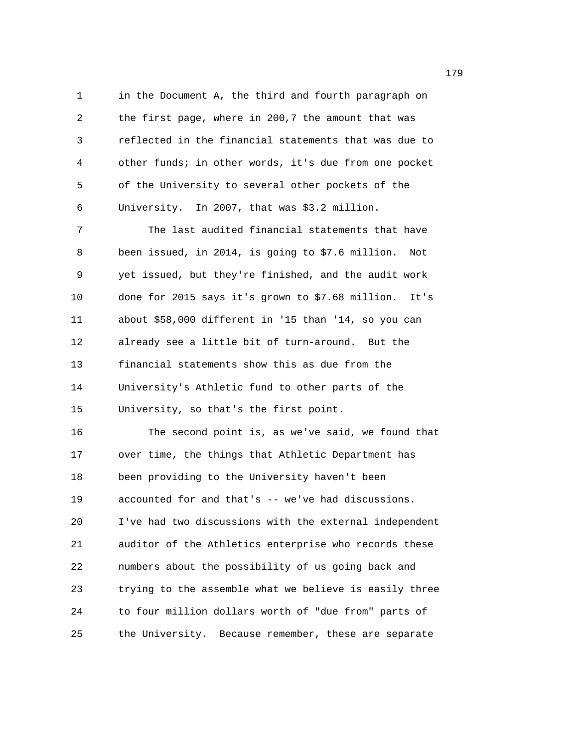1 in the Document A, the third and fourth paragraph on 2 the first page, where in 200,7 the amount that was 3 reflected in the financial statements that was due to 4 other funds; in other words, it's due from one pocket 5 of the University to several other pockets of the 6 University. In 2007, that was \$3.2 million. 7 The last audited financial statements that have 8 been issued, in 2014, is going to \$7.6 million. Not 9 yet issued, but they're finished, and the audit work 10 done for 2015 says it's grown to \$7.68 million. It's 11 about \$58,000 different in '15 than '14, so you can 12 already see a little bit of turn-around. But the 13 financial statements show this as due from the 14 University's Athletic fund to other parts of the 15 University, so that's the first point. 16 The second point is, as we've said, we found that 17 over time, the things that Athletic Department has 18 been providing to the University haven't been 19 accounted for and that's -- we've had discussions. 20 I've had two discussions with the external independent 21 auditor of the Athletics enterprise who records these 22 numbers about the possibility of us going back and 23 trying to the assemble what we believe is easily three

25 the University. Because remember, these are separate

24 to four million dollars worth of "due from" parts of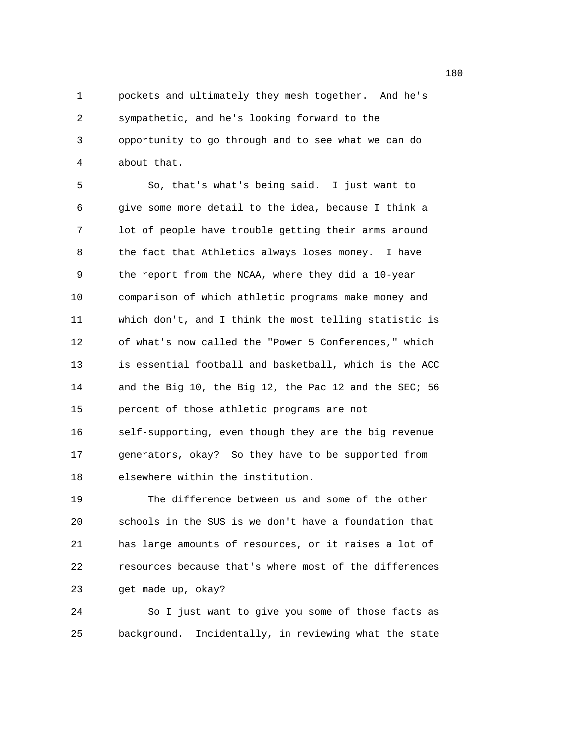1 pockets and ultimately they mesh together. And he's 2 sympathetic, and he's looking forward to the 3 opportunity to go through and to see what we can do 4 about that.

5 So, that's what's being said. I just want to 6 give some more detail to the idea, because I think a 7 lot of people have trouble getting their arms around 8 the fact that Athletics always loses money. I have 9 the report from the NCAA, where they did a 10-year 10 comparison of which athletic programs make money and 11 which don't, and I think the most telling statistic is 12 of what's now called the "Power 5 Conferences," which 13 is essential football and basketball, which is the ACC 14 and the Big 10, the Big 12, the Pac 12 and the SEC; 56 15 percent of those athletic programs are not 16 self-supporting, even though they are the big revenue 17 generators, okay? So they have to be supported from

18 elsewhere within the institution.

19 The difference between us and some of the other 20 schools in the SUS is we don't have a foundation that 21 has large amounts of resources, or it raises a lot of 22 resources because that's where most of the differences 23 get made up, okay?

24 So I just want to give you some of those facts as 25 background. Incidentally, in reviewing what the state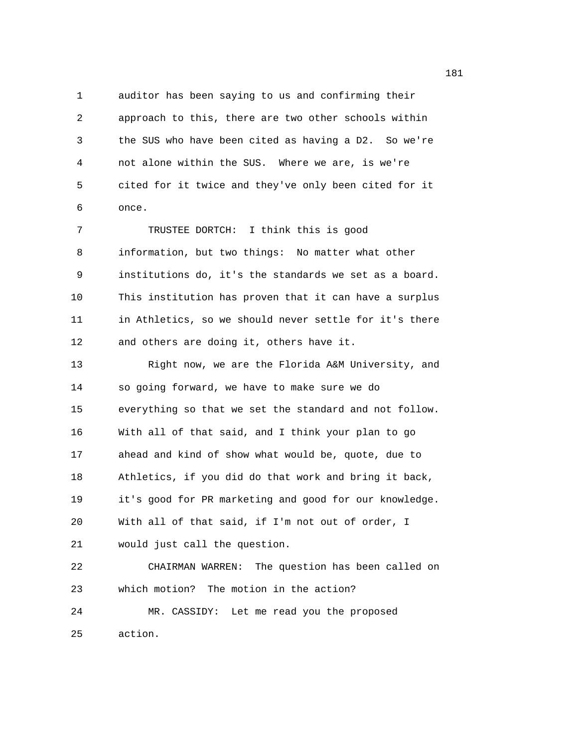1 auditor has been saying to us and confirming their 2 approach to this, there are two other schools within 3 the SUS who have been cited as having a D2. So we're 4 not alone within the SUS. Where we are, is we're 5 cited for it twice and they've only been cited for it 6 once.

7 TRUSTEE DORTCH: I think this is good 8 information, but two things: No matter what other 9 institutions do, it's the standards we set as a board. 10 This institution has proven that it can have a surplus 11 in Athletics, so we should never settle for it's there 12 and others are doing it, others have it.

13 Right now, we are the Florida A&M University, and 14 so going forward, we have to make sure we do 15 everything so that we set the standard and not follow. 16 With all of that said, and I think your plan to go 17 ahead and kind of show what would be, quote, due to 18 Athletics, if you did do that work and bring it back, 19 it's good for PR marketing and good for our knowledge. 20 With all of that said, if I'm not out of order, I 21 would just call the question.

22 CHAIRMAN WARREN: The question has been called on 23 which motion? The motion in the action?

24 MR. CASSIDY: Let me read you the proposed 25 action.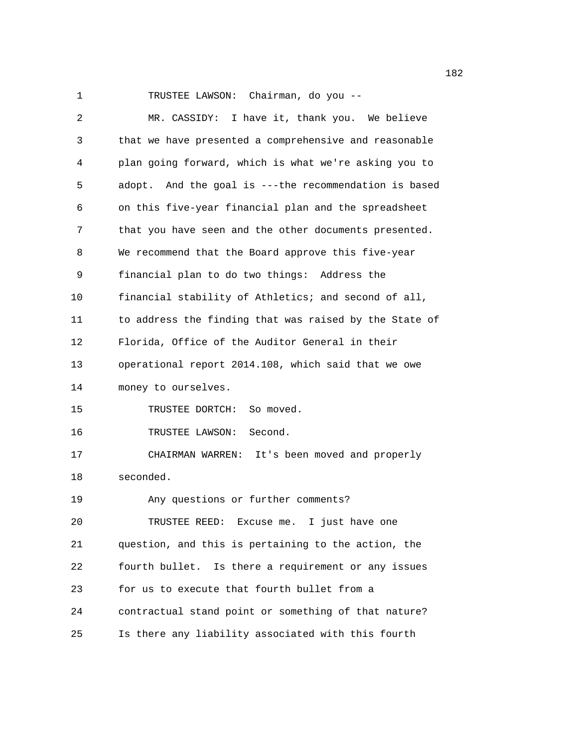1 TRUSTEE LAWSON: Chairman, do you -- 2 MR. CASSIDY: I have it, thank you. We believe 3 that we have presented a comprehensive and reasonable 4 plan going forward, which is what we're asking you to 5 adopt. And the goal is ---the recommendation is based 6 on this five-year financial plan and the spreadsheet 7 that you have seen and the other documents presented. 8 We recommend that the Board approve this five-year 9 financial plan to do two things: Address the 10 financial stability of Athletics; and second of all, 11 to address the finding that was raised by the State of 12 Florida, Office of the Auditor General in their 13 operational report 2014.108, which said that we owe 14 money to ourselves. 15 TRUSTEE DORTCH: So moved. 16 TRUSTEE LAWSON: Second. 17 CHAIRMAN WARREN: It's been moved and properly 18 seconded. 19 Any questions or further comments? 20 TRUSTEE REED: Excuse me. I just have one 21 question, and this is pertaining to the action, the 22 fourth bullet. Is there a requirement or any issues 23 for us to execute that fourth bullet from a 24 contractual stand point or something of that nature? 25 Is there any liability associated with this fourth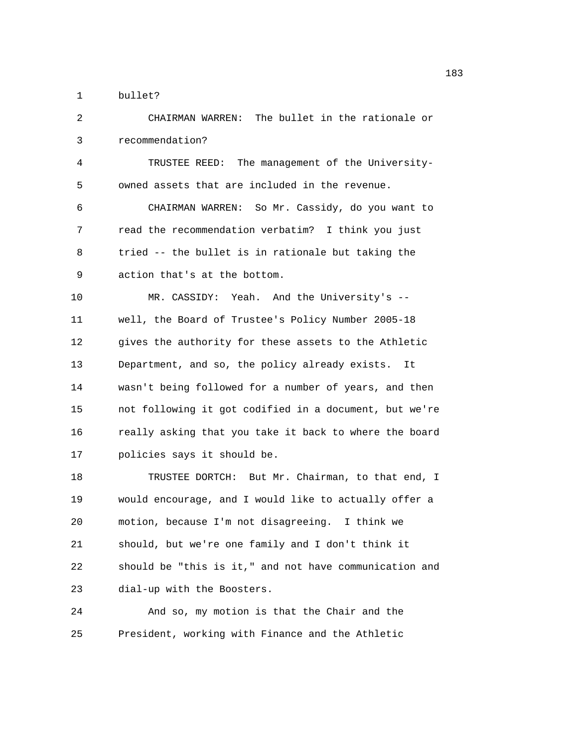1 bullet?

2 CHAIRMAN WARREN: The bullet in the rationale or 3 recommendation? 4 TRUSTEE REED: The management of the University-5 owned assets that are included in the revenue. 6 CHAIRMAN WARREN: So Mr. Cassidy, do you want to 7 read the recommendation verbatim? I think you just 8 tried -- the bullet is in rationale but taking the 9 action that's at the bottom. 10 MR. CASSIDY: Yeah. And the University's -- 11 well, the Board of Trustee's Policy Number 2005-18 12 gives the authority for these assets to the Athletic 13 Department, and so, the policy already exists. It 14 wasn't being followed for a number of years, and then 15 not following it got codified in a document, but we're 16 really asking that you take it back to where the board 17 policies says it should be. 18 TRUSTEE DORTCH: But Mr. Chairman, to that end, I 19 would encourage, and I would like to actually offer a 20 motion, because I'm not disagreeing. I think we 21 should, but we're one family and I don't think it 22 should be "this is it," and not have communication and 23 dial-up with the Boosters. 24 And so, my motion is that the Chair and the

25 President, working with Finance and the Athletic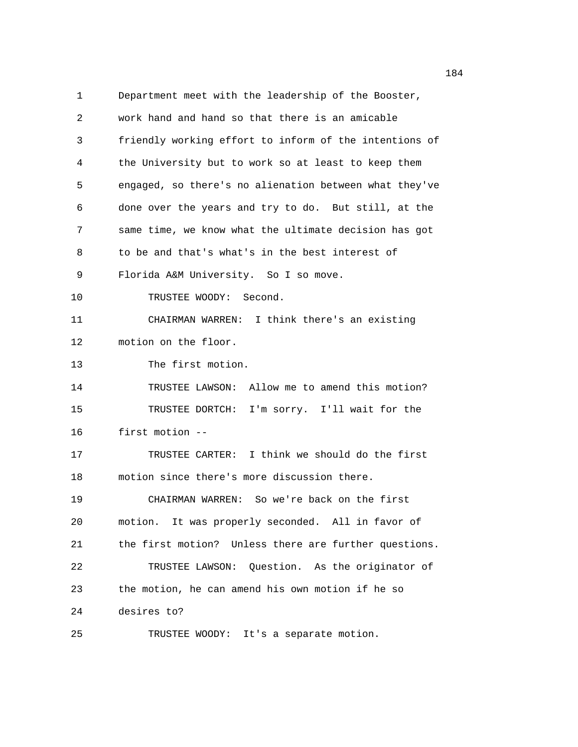1 Department meet with the leadership of the Booster, 2 work hand and hand so that there is an amicable 3 friendly working effort to inform of the intentions of 4 the University but to work so at least to keep them 5 engaged, so there's no alienation between what they've 6 done over the years and try to do. But still, at the 7 same time, we know what the ultimate decision has got 8 to be and that's what's in the best interest of 9 Florida A&M University. So I so move. 10 TRUSTEE WOODY: Second. 11 CHAIRMAN WARREN: I think there's an existing 12 motion on the floor. 13 The first motion. 14 TRUSTEE LAWSON: Allow me to amend this motion? 15 TRUSTEE DORTCH: I'm sorry. I'll wait for the 16 first motion -- 17 TRUSTEE CARTER: I think we should do the first 18 motion since there's more discussion there. 19 CHAIRMAN WARREN: So we're back on the first 20 motion. It was properly seconded. All in favor of 21 the first motion? Unless there are further questions. 22 TRUSTEE LAWSON: Question. As the originator of 23 the motion, he can amend his own motion if he so 24 desires to? 25 TRUSTEE WOODY: It's a separate motion.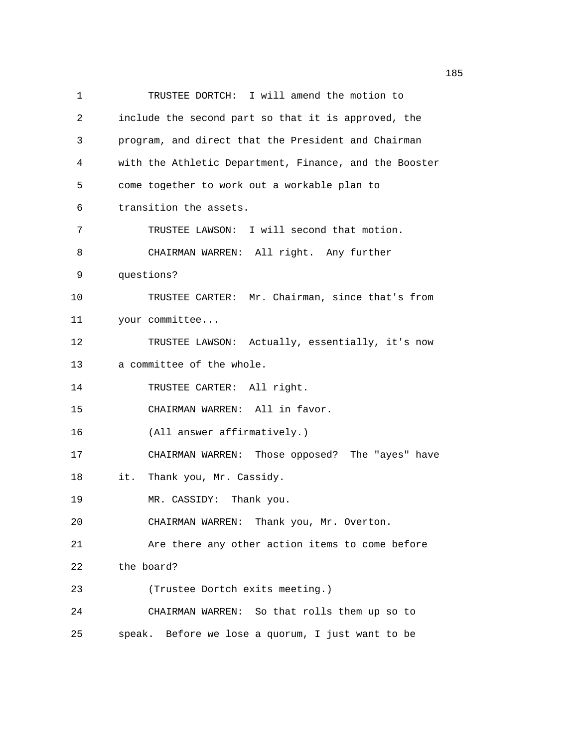1 TRUSTEE DORTCH: I will amend the motion to 2 include the second part so that it is approved, the 3 program, and direct that the President and Chairman 4 with the Athletic Department, Finance, and the Booster 5 come together to work out a workable plan to 6 transition the assets. 7 TRUSTEE LAWSON: I will second that motion. 8 CHAIRMAN WARREN: All right. Any further 9 questions? 10 TRUSTEE CARTER: Mr. Chairman, since that's from 11 your committee... 12 TRUSTEE LAWSON: Actually, essentially, it's now 13 a committee of the whole. 14 TRUSTEE CARTER: All right. 15 CHAIRMAN WARREN: All in favor. 16 (All answer affirmatively.) 17 CHAIRMAN WARREN: Those opposed? The "ayes" have 18 it. Thank you, Mr. Cassidy. 19 MR. CASSIDY: Thank you. 20 CHAIRMAN WARREN: Thank you, Mr. Overton. 21 Are there any other action items to come before 22 the board? 23 (Trustee Dortch exits meeting.) 24 CHAIRMAN WARREN: So that rolls them up so to 25 speak. Before we lose a quorum, I just want to be

n 1852 - An Dùbhlachd ann an 1852. Tha 1853 - An Dùbhlachd ann an 1853. Tha 1854 an t-Òiteann an t-Òiteann an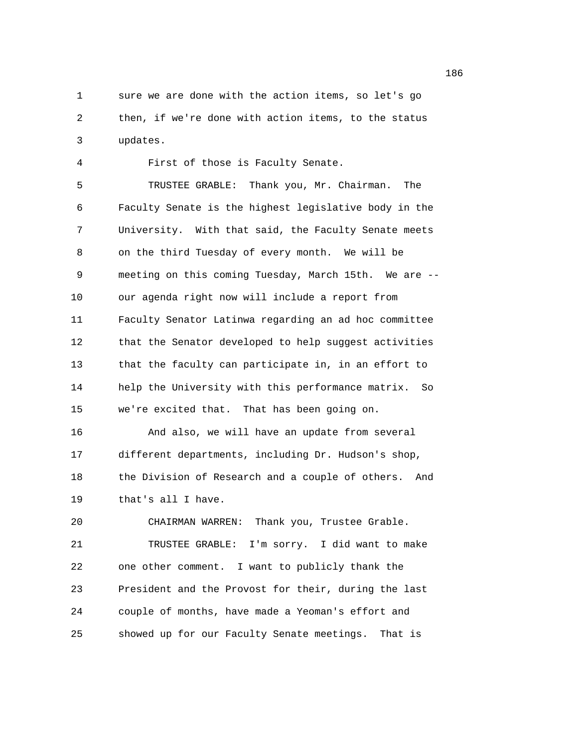1 sure we are done with the action items, so let's go 2 then, if we're done with action items, to the status 3 updates.

4 First of those is Faculty Senate. 5 TRUSTEE GRABLE: Thank you, Mr. Chairman. The 6 Faculty Senate is the highest legislative body in the 7 University. With that said, the Faculty Senate meets 8 on the third Tuesday of every month. We will be 9 meeting on this coming Tuesday, March 15th. We are -- 10 our agenda right now will include a report from 11 Faculty Senator Latinwa regarding an ad hoc committee 12 that the Senator developed to help suggest activities 13 that the faculty can participate in, in an effort to 14 help the University with this performance matrix. So 15 we're excited that. That has been going on. 16 And also, we will have an update from several 17 different departments, including Dr. Hudson's shop, 18 the Division of Research and a couple of others. And 19 that's all I have. 20 CHAIRMAN WARREN: Thank you, Trustee Grable.

21 TRUSTEE GRABLE: I'm sorry. I did want to make 22 one other comment. I want to publicly thank the 23 President and the Provost for their, during the last 24 couple of months, have made a Yeoman's effort and 25 showed up for our Faculty Senate meetings. That is

n 1862 - An Dùbhlachd ann an 1862. An t-Iad an t-Iad ann an 1864. Tha an t-Iad an t-Iad an t-Iad an t-Iad an t-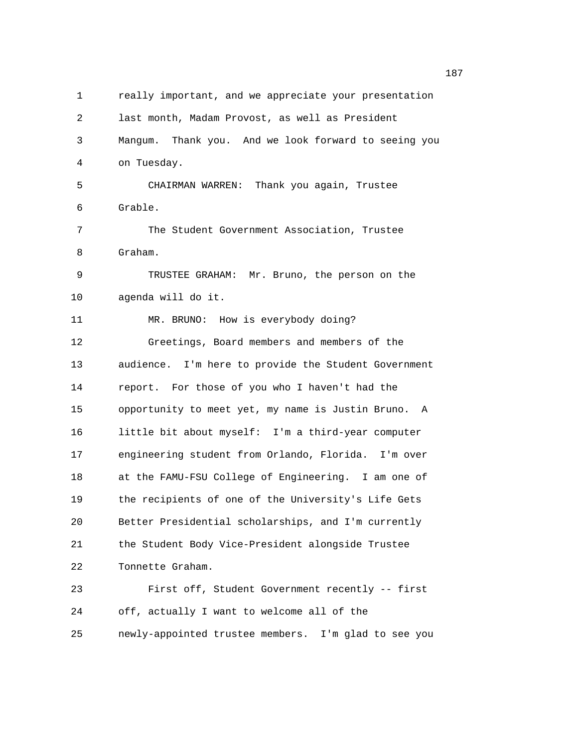| 1  | really important, and we appreciate your presentation |
|----|-------------------------------------------------------|
| 2  | last month, Madam Provost, as well as President       |
| 3  | Mangum. Thank you. And we look forward to seeing you  |
| 4  | on Tuesday.                                           |
| 5  | CHAIRMAN WARREN: Thank you again, Trustee             |
| 6  | Grable.                                               |
| 7  | The Student Government Association, Trustee           |
| 8  | Graham.                                               |
| 9  | TRUSTEE GRAHAM: Mr. Bruno, the person on the          |
| 10 | agenda will do it.                                    |
| 11 | MR. BRUNO: How is everybody doing?                    |
| 12 | Greetings, Board members and members of the           |
| 13 | audience. I'm here to provide the Student Government  |
| 14 | report. For those of you who I haven't had the        |
| 15 | opportunity to meet yet, my name is Justin Bruno. A   |
| 16 | little bit about myself: I'm a third-year computer    |
| 17 | engineering student from Orlando, Florida. I'm over   |
| 18 | at the FAMU-FSU College of Engineering. I am one of   |
| 19 | the recipients of one of the University's Life Gets   |
| 20 | Better Presidential scholarships, and I'm currently   |
| 21 | the Student Body Vice-President alongside Trustee     |
| 22 | Tonnette Graham.                                      |
| 23 | First off, Student Government recently -- first       |
| 24 | off, actually I want to welcome all of the            |
| 25 | newly-appointed trustee members. I'm glad to see you  |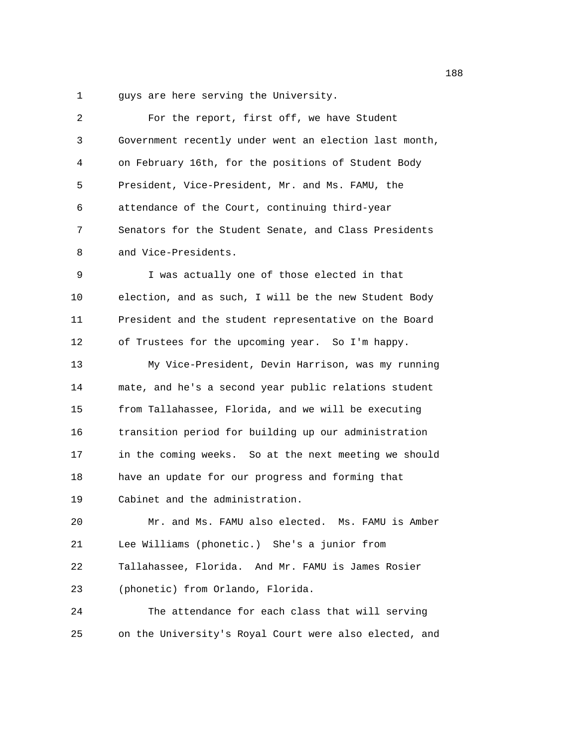1 guys are here serving the University.

| 2  | For the report, first off, we have Student             |
|----|--------------------------------------------------------|
| 3  | Government recently under went an election last month, |
| 4  | on February 16th, for the positions of Student Body    |
| 5  | President, Vice-President, Mr. and Ms. FAMU, the       |
| 6  | attendance of the Court, continuing third-year         |
| 7  | Senators for the Student Senate, and Class Presidents  |
| 8  | and Vice-Presidents.                                   |
| 9  | I was actually one of those elected in that            |
| 10 | election, and as such, I will be the new Student Body  |
| 11 | President and the student representative on the Board  |
| 12 | of Trustees for the upcoming year. So I'm happy.       |
| 13 | My Vice-President, Devin Harrison, was my running      |
| 14 | mate, and he's a second year public relations student  |
| 15 | from Tallahassee, Florida, and we will be executing    |
| 16 | transition period for building up our administration   |
| 17 | in the coming weeks. So at the next meeting we should  |
| 18 | have an update for our progress and forming that       |
| 19 | Cabinet and the administration.                        |
| 20 | Mr. and Ms. FAMU also elected. Ms. FAMU is Amber       |
| 21 | Lee Williams (phonetic.) She's a junior from           |
| 22 | Tallahassee, Florida. And Mr. FAMU is James Rosier     |
| 23 | (phonetic) from Orlando, Florida.                      |
| 24 | The attendance for each class that will serving        |
| 25 | on the University's Royal Court were also elected, and |
|    |                                                        |

n 1882 - An Dùbhlachd ann an 1882. Tha 1882 - An Dùbhlachd ann an 1882. Tha 1882 - An Dùbhlachd ann an 188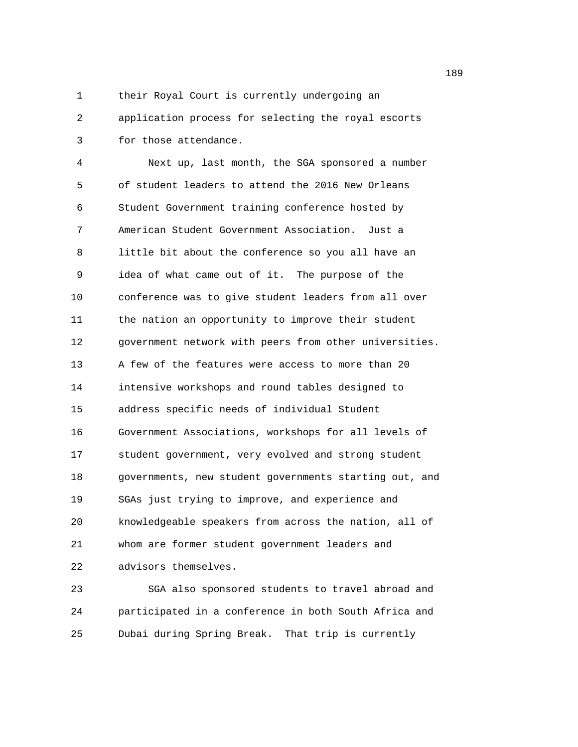1 their Royal Court is currently undergoing an

2 application process for selecting the royal escorts 3 for those attendance.

4 Next up, last month, the SGA sponsored a number 5 of student leaders to attend the 2016 New Orleans 6 Student Government training conference hosted by 7 American Student Government Association. Just a 8 little bit about the conference so you all have an 9 idea of what came out of it. The purpose of the 10 conference was to give student leaders from all over 11 the nation an opportunity to improve their student 12 government network with peers from other universities. 13 A few of the features were access to more than 20 14 intensive workshops and round tables designed to 15 address specific needs of individual Student 16 Government Associations, workshops for all levels of 17 student government, very evolved and strong student 18 governments, new student governments starting out, and 19 SGAs just trying to improve, and experience and 20 knowledgeable speakers from across the nation, all of 21 whom are former student government leaders and 22 advisors themselves.

23 SGA also sponsored students to travel abroad and 24 participated in a conference in both South Africa and 25 Dubai during Spring Break. That trip is currently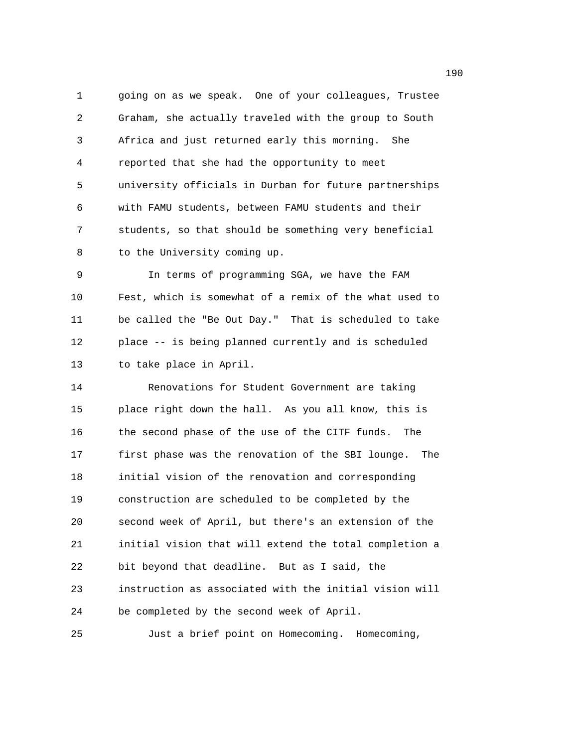1 going on as we speak. One of your colleagues, Trustee 2 Graham, she actually traveled with the group to South 3 Africa and just returned early this morning. She 4 reported that she had the opportunity to meet 5 university officials in Durban for future partnerships 6 with FAMU students, between FAMU students and their 7 students, so that should be something very beneficial 8 to the University coming up.

9 In terms of programming SGA, we have the FAM 10 Fest, which is somewhat of a remix of the what used to 11 be called the "Be Out Day." That is scheduled to take 12 place -- is being planned currently and is scheduled 13 to take place in April.

14 Renovations for Student Government are taking 15 place right down the hall. As you all know, this is 16 the second phase of the use of the CITF funds. The 17 first phase was the renovation of the SBI lounge. The 18 initial vision of the renovation and corresponding 19 construction are scheduled to be completed by the 20 second week of April, but there's an extension of the 21 initial vision that will extend the total completion a 22 bit beyond that deadline. But as I said, the 23 instruction as associated with the initial vision will 24 be completed by the second week of April.

25 Just a brief point on Homecoming. Homecoming,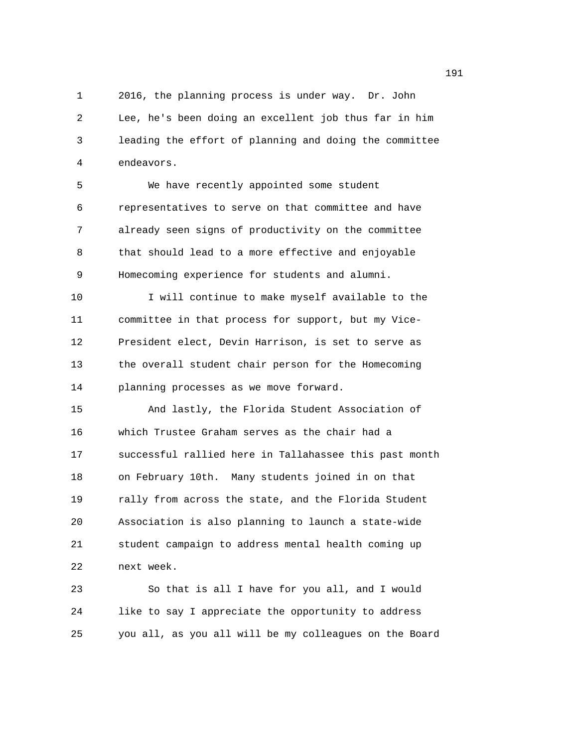1 2016, the planning process is under way. Dr. John 2 Lee, he's been doing an excellent job thus far in him 3 leading the effort of planning and doing the committee 4 endeavors.

5 We have recently appointed some student 6 representatives to serve on that committee and have 7 already seen signs of productivity on the committee 8 that should lead to a more effective and enjoyable 9 Homecoming experience for students and alumni.

10 I will continue to make myself available to the 11 committee in that process for support, but my Vice-12 President elect, Devin Harrison, is set to serve as 13 the overall student chair person for the Homecoming 14 planning processes as we move forward.

15 And lastly, the Florida Student Association of 16 which Trustee Graham serves as the chair had a 17 successful rallied here in Tallahassee this past month 18 on February 10th. Many students joined in on that 19 rally from across the state, and the Florida Student 20 Association is also planning to launch a state-wide 21 student campaign to address mental health coming up 22 next week.

23 So that is all I have for you all, and I would 24 like to say I appreciate the opportunity to address 25 you all, as you all will be my colleagues on the Board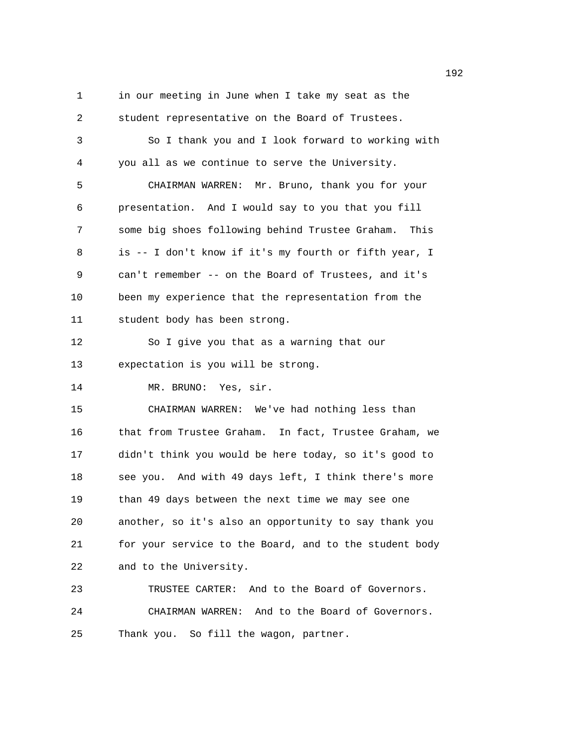192 1 in our meeting in June when I take my seat as the 2 student representative on the Board of Trustees. 3 So I thank you and I look forward to working with 4 you all as we continue to serve the University. 5 CHAIRMAN WARREN: Mr. Bruno, thank you for your 6 presentation. And I would say to you that you fill 7 some big shoes following behind Trustee Graham. This 8 is -- I don't know if it's my fourth or fifth year, I 9 can't remember -- on the Board of Trustees, and it's 10 been my experience that the representation from the 11 student body has been strong. 12 So I give you that as a warning that our 13 expectation is you will be strong. 14 MR. BRUNO: Yes, sir. 15 CHAIRMAN WARREN: We've had nothing less than 16 that from Trustee Graham. In fact, Trustee Graham, we 17 didn't think you would be here today, so it's good to 18 see you. And with 49 days left, I think there's more 19 than 49 days between the next time we may see one 20 another, so it's also an opportunity to say thank you

22 and to the University. 23 TRUSTEE CARTER: And to the Board of Governors.

24 CHAIRMAN WARREN: And to the Board of Governors. 25 Thank you. So fill the wagon, partner.

21 for your service to the Board, and to the student body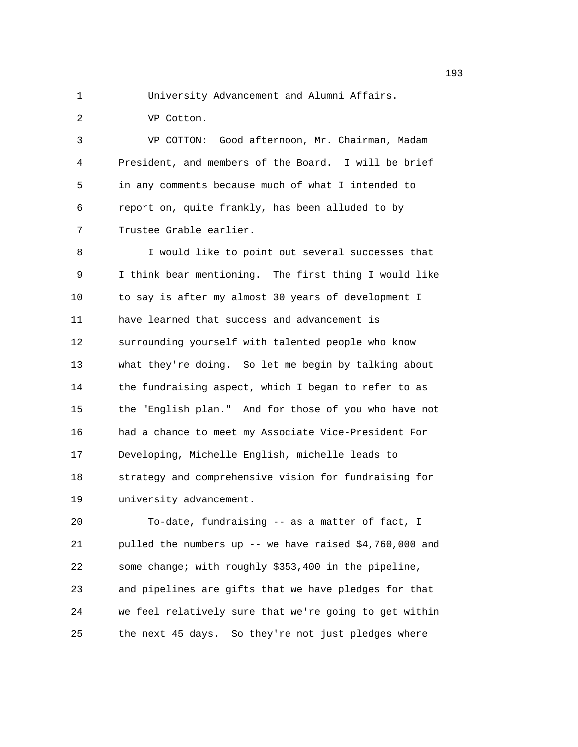1 University Advancement and Alumni Affairs.

2 VP Cotton.

3 VP COTTON: Good afternoon, Mr. Chairman, Madam 4 President, and members of the Board. I will be brief 5 in any comments because much of what I intended to 6 report on, quite frankly, has been alluded to by 7 Trustee Grable earlier.

8 I would like to point out several successes that 9 I think bear mentioning. The first thing I would like 10 to say is after my almost 30 years of development I 11 have learned that success and advancement is 12 surrounding yourself with talented people who know 13 what they're doing. So let me begin by talking about 14 the fundraising aspect, which I began to refer to as 15 the "English plan." And for those of you who have not 16 had a chance to meet my Associate Vice-President For 17 Developing, Michelle English, michelle leads to 18 strategy and comprehensive vision for fundraising for 19 university advancement.

20 To-date, fundraising -- as a matter of fact, I 21 pulled the numbers up -- we have raised \$4,760,000 and 22 some change; with roughly \$353,400 in the pipeline, 23 and pipelines are gifts that we have pledges for that 24 we feel relatively sure that we're going to get within 25 the next 45 days. So they're not just pledges where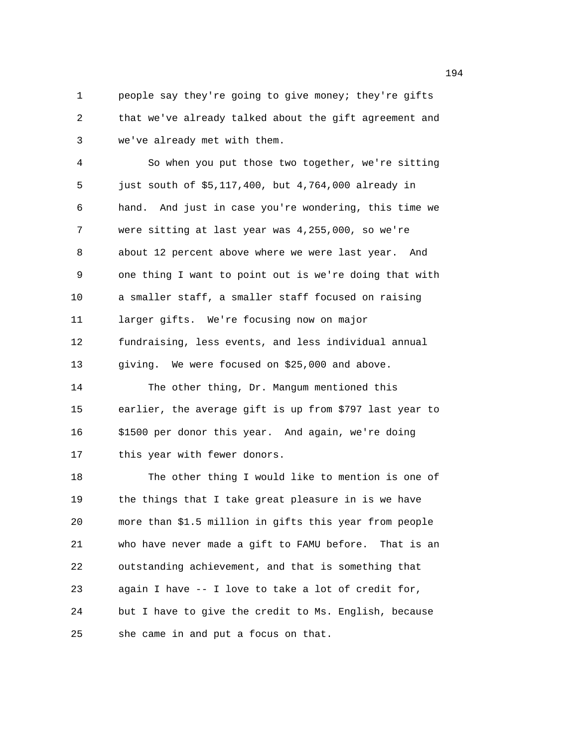1 people say they're going to give money; they're gifts 2 that we've already talked about the gift agreement and 3 we've already met with them.

4 So when you put those two together, we're sitting 5 just south of \$5,117,400, but 4,764,000 already in 6 hand. And just in case you're wondering, this time we 7 were sitting at last year was 4,255,000, so we're 8 about 12 percent above where we were last year. And 9 one thing I want to point out is we're doing that with 10 a smaller staff, a smaller staff focused on raising 11 larger gifts. We're focusing now on major 12 fundraising, less events, and less individual annual 13 giving. We were focused on \$25,000 and above. 14 The other thing, Dr. Mangum mentioned this 15 earlier, the average gift is up from \$797 last year to 16 \$1500 per donor this year. And again, we're doing

17 this year with fewer donors.

18 The other thing I would like to mention is one of 19 the things that I take great pleasure in is we have 20 more than \$1.5 million in gifts this year from people 21 who have never made a gift to FAMU before. That is an 22 outstanding achievement, and that is something that 23 again I have -- I love to take a lot of credit for, 24 but I have to give the credit to Ms. English, because 25 she came in and put a focus on that.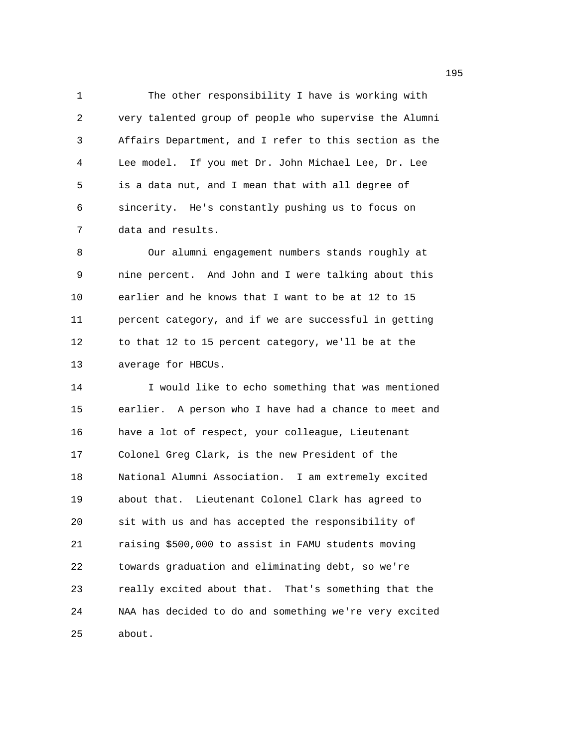1 The other responsibility I have is working with 2 very talented group of people who supervise the Alumni 3 Affairs Department, and I refer to this section as the 4 Lee model. If you met Dr. John Michael Lee, Dr. Lee 5 is a data nut, and I mean that with all degree of 6 sincerity. He's constantly pushing us to focus on 7 data and results.

8 Our alumni engagement numbers stands roughly at 9 nine percent. And John and I were talking about this 10 earlier and he knows that I want to be at 12 to 15 11 percent category, and if we are successful in getting 12 to that 12 to 15 percent category, we'll be at the 13 average for HBCUs.

14 I would like to echo something that was mentioned 15 earlier. A person who I have had a chance to meet and 16 have a lot of respect, your colleague, Lieutenant 17 Colonel Greg Clark, is the new President of the 18 National Alumni Association. I am extremely excited 19 about that. Lieutenant Colonel Clark has agreed to 20 sit with us and has accepted the responsibility of 21 raising \$500,000 to assist in FAMU students moving 22 towards graduation and eliminating debt, so we're 23 really excited about that. That's something that the 24 NAA has decided to do and something we're very excited 25 about.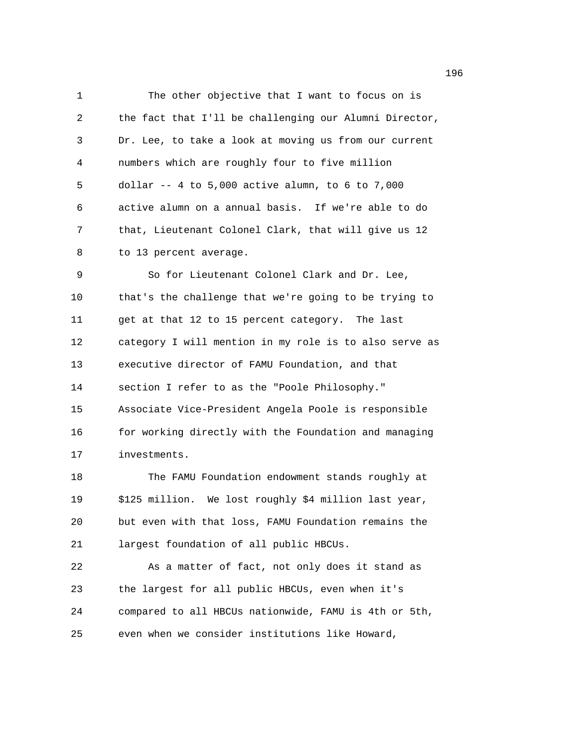1 The other objective that I want to focus on is 2 the fact that I'll be challenging our Alumni Director, 3 Dr. Lee, to take a look at moving us from our current 4 numbers which are roughly four to five million 5 dollar -- 4 to 5,000 active alumn, to 6 to 7,000 6 active alumn on a annual basis. If we're able to do 7 that, Lieutenant Colonel Clark, that will give us 12 8 to 13 percent average. 9 So for Lieutenant Colonel Clark and Dr. Lee, 10 that's the challenge that we're going to be trying to 11 get at that 12 to 15 percent category. The last 12 category I will mention in my role is to also serve as 13 executive director of FAMU Foundation, and that 14 section I refer to as the "Poole Philosophy." 15 Associate Vice-President Angela Poole is responsible 16 for working directly with the Foundation and managing 17 investments. 18 The FAMU Foundation endowment stands roughly at 19 \$125 million. We lost roughly \$4 million last year, 20 but even with that loss, FAMU Foundation remains the 21 largest foundation of all public HBCUs. 22 As a matter of fact, not only does it stand as 23 the largest for all public HBCUs, even when it's 24 compared to all HBCUs nationwide, FAMU is 4th or 5th, 25 even when we consider institutions like Howard,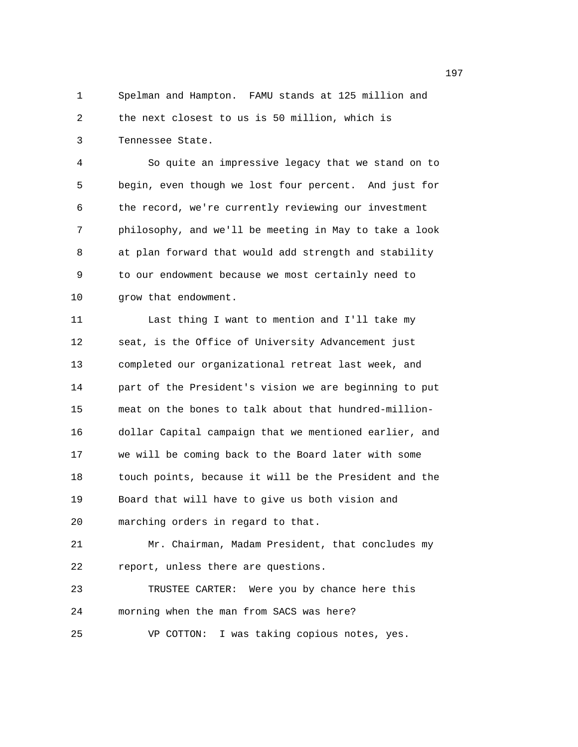1 Spelman and Hampton. FAMU stands at 125 million and 2 the next closest to us is 50 million, which is 3 Tennessee State.

4 So quite an impressive legacy that we stand on to 5 begin, even though we lost four percent. And just for 6 the record, we're currently reviewing our investment 7 philosophy, and we'll be meeting in May to take a look 8 at plan forward that would add strength and stability 9 to our endowment because we most certainly need to 10 grow that endowment.

11 Last thing I want to mention and I'll take my 12 seat, is the Office of University Advancement just 13 completed our organizational retreat last week, and 14 part of the President's vision we are beginning to put 15 meat on the bones to talk about that hundred-million-16 dollar Capital campaign that we mentioned earlier, and 17 we will be coming back to the Board later with some 18 touch points, because it will be the President and the 19 Board that will have to give us both vision and 20 marching orders in regard to that.

21 Mr. Chairman, Madam President, that concludes my 22 report, unless there are questions.

23 TRUSTEE CARTER: Were you by chance here this 24 morning when the man from SACS was here?

25 VP COTTON: I was taking copious notes, yes.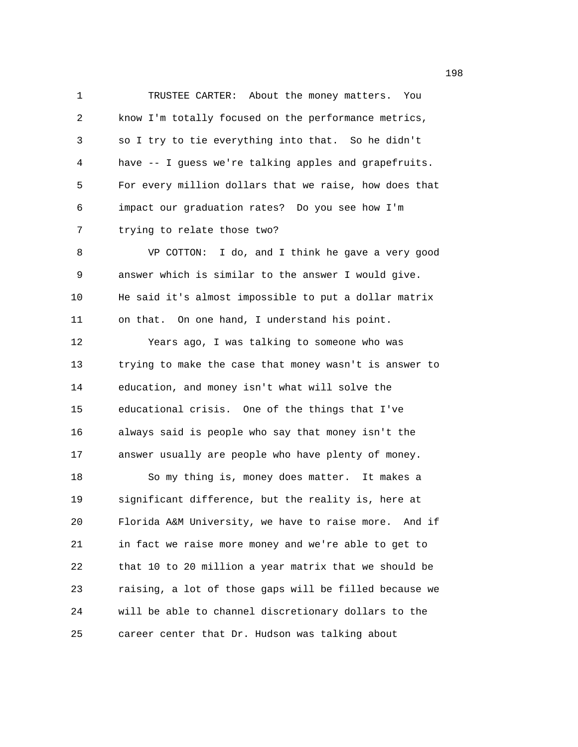1 TRUSTEE CARTER: About the money matters. You 2 know I'm totally focused on the performance metrics, 3 so I try to tie everything into that. So he didn't 4 have -- I guess we're talking apples and grapefruits. 5 For every million dollars that we raise, how does that 6 impact our graduation rates? Do you see how I'm 7 trying to relate those two? 8 VP COTTON: I do, and I think he gave a very good 9 answer which is similar to the answer I would give. 10 He said it's almost impossible to put a dollar matrix 11 on that. On one hand, I understand his point. 12 Years ago, I was talking to someone who was 13 trying to make the case that money wasn't is answer to 14 education, and money isn't what will solve the 15 educational crisis. One of the things that I've 16 always said is people who say that money isn't the 17 answer usually are people who have plenty of money. 18 So my thing is, money does matter. It makes a 19 significant difference, but the reality is, here at 20 Florida A&M University, we have to raise more. And if 21 in fact we raise more money and we're able to get to 22 that 10 to 20 million a year matrix that we should be 23 raising, a lot of those gaps will be filled because we

25 career center that Dr. Hudson was talking about

24 will be able to channel discretionary dollars to the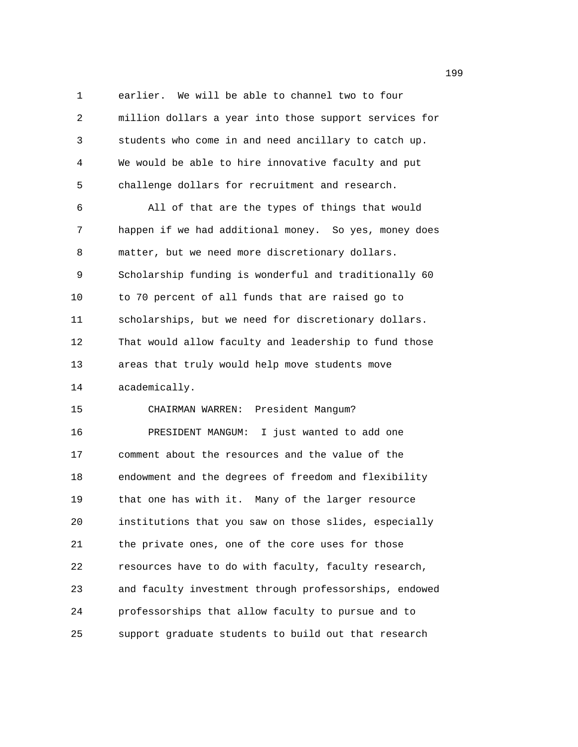1 earlier. We will be able to channel two to four 2 million dollars a year into those support services for 3 students who come in and need ancillary to catch up. 4 We would be able to hire innovative faculty and put 5 challenge dollars for recruitment and research. 6 All of that are the types of things that would 7 happen if we had additional money. So yes, money does 8 matter, but we need more discretionary dollars. 9 Scholarship funding is wonderful and traditionally 60 10 to 70 percent of all funds that are raised go to 11 scholarships, but we need for discretionary dollars. 12 That would allow faculty and leadership to fund those 13 areas that truly would help move students move 14 academically. 15 CHAIRMAN WARREN: President Mangum? 16 PRESIDENT MANGUM: I just wanted to add one 17 comment about the resources and the value of the 18 endowment and the degrees of freedom and flexibility 19 that one has with it. Many of the larger resource 20 institutions that you saw on those slides, especially 21 the private ones, one of the core uses for those 22 resources have to do with faculty, faculty research, 23 and faculty investment through professorships, endowed 24 professorships that allow faculty to pursue and to 25 support graduate students to build out that research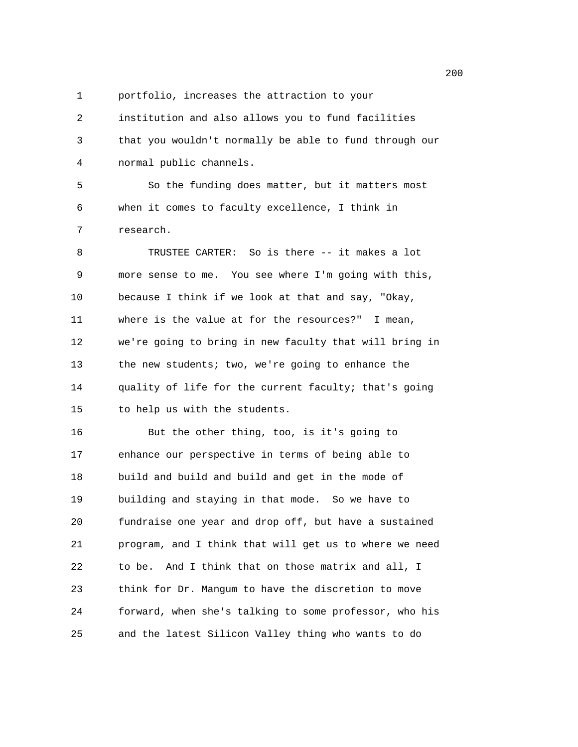- 
- 1 portfolio, increases the attraction to your

2 institution and also allows you to fund facilities 3 that you wouldn't normally be able to fund through our 4 normal public channels.

5 So the funding does matter, but it matters most 6 when it comes to faculty excellence, I think in 7 research.

8 TRUSTEE CARTER: So is there -- it makes a lot 9 more sense to me. You see where I'm going with this, 10 because I think if we look at that and say, "Okay, 11 where is the value at for the resources?" I mean, 12 we're going to bring in new faculty that will bring in 13 the new students; two, we're going to enhance the 14 quality of life for the current faculty; that's going 15 to help us with the students.

16 But the other thing, too, is it's going to 17 enhance our perspective in terms of being able to 18 build and build and build and get in the mode of 19 building and staying in that mode. So we have to 20 fundraise one year and drop off, but have a sustained 21 program, and I think that will get us to where we need 22 to be. And I think that on those matrix and all, I 23 think for Dr. Mangum to have the discretion to move 24 forward, when she's talking to some professor, who his 25 and the latest Silicon Valley thing who wants to do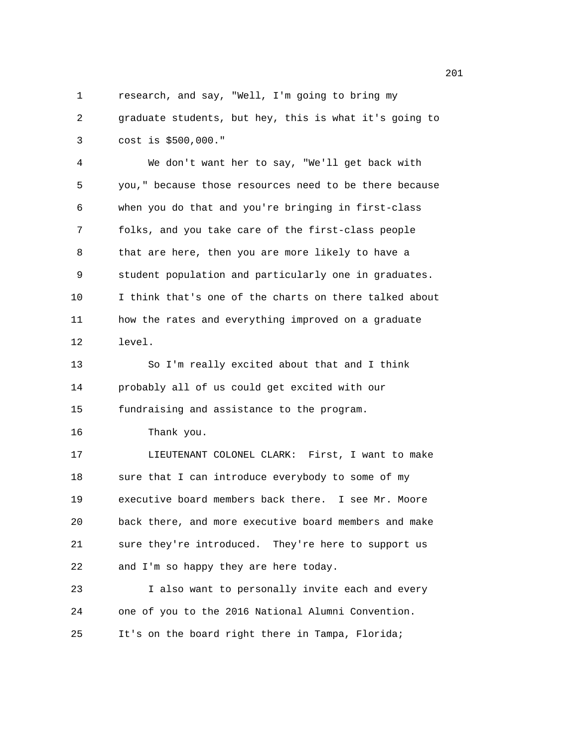1 research, and say, "Well, I'm going to bring my 2 graduate students, but hey, this is what it's going to 3 cost is \$500,000." 4 We don't want her to say, "We'll get back with 5 you," because those resources need to be there because 6 when you do that and you're bringing in first-class 7 folks, and you take care of the first-class people 8 that are here, then you are more likely to have a 9 student population and particularly one in graduates. 10 I think that's one of the charts on there talked about 11 how the rates and everything improved on a graduate 12 level. 13 So I'm really excited about that and I think 14 probably all of us could get excited with our 15 fundraising and assistance to the program. 16 Thank you. 17 LIEUTENANT COLONEL CLARK: First, I want to make 18 sure that I can introduce everybody to some of my 19 executive board members back there. I see Mr. Moore 20 back there, and more executive board members and make 21 sure they're introduced. They're here to support us 22 and I'm so happy they are here today. 23 I also want to personally invite each and every 24 one of you to the 2016 National Alumni Convention. 25 It's on the board right there in Tampa, Florida;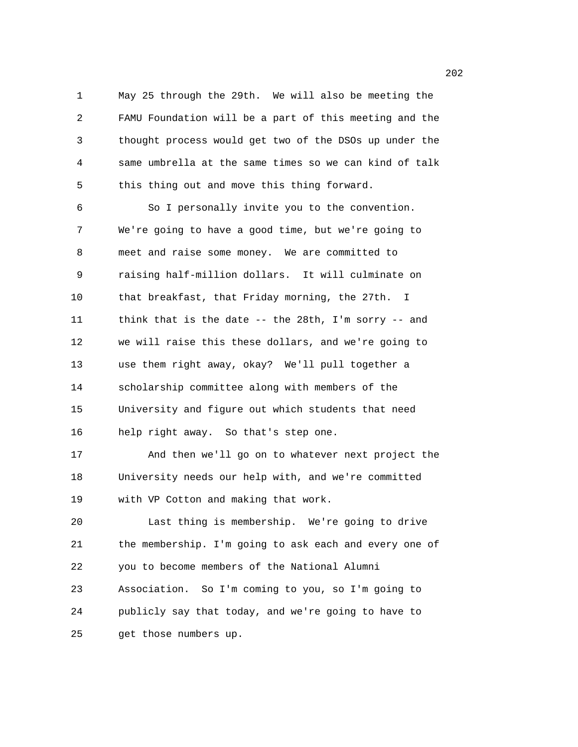1 May 25 through the 29th. We will also be meeting the 2 FAMU Foundation will be a part of this meeting and the 3 thought process would get two of the DSOs up under the 4 same umbrella at the same times so we can kind of talk 5 this thing out and move this thing forward.

6 So I personally invite you to the convention. 7 We're going to have a good time, but we're going to 8 meet and raise some money. We are committed to 9 raising half-million dollars. It will culminate on 10 that breakfast, that Friday morning, the 27th. I 11 think that is the date -- the 28th, I'm sorry -- and 12 we will raise this these dollars, and we're going to 13 use them right away, okay? We'll pull together a 14 scholarship committee along with members of the 15 University and figure out which students that need 16 help right away. So that's step one.

17 And then we'll go on to whatever next project the 18 University needs our help with, and we're committed 19 with VP Cotton and making that work.

20 Last thing is membership. We're going to drive 21 the membership. I'm going to ask each and every one of 22 you to become members of the National Alumni 23 Association. So I'm coming to you, so I'm going to 24 publicly say that today, and we're going to have to 25 get those numbers up.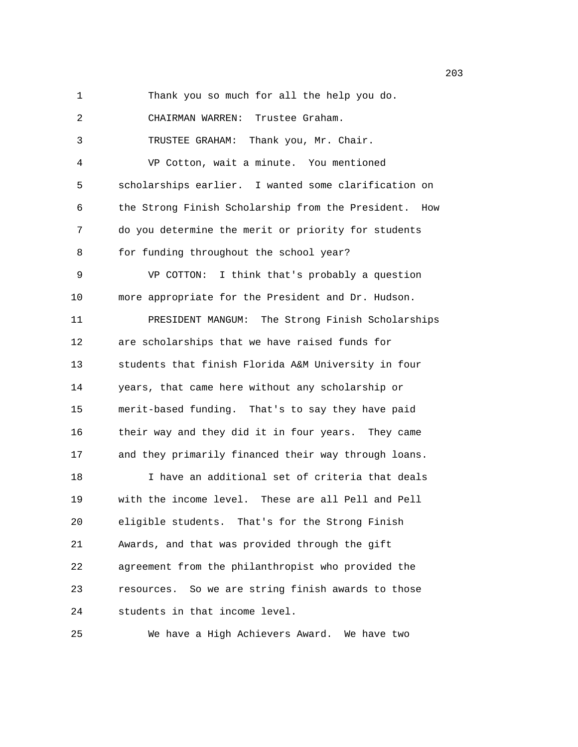1 Thank you so much for all the help you do. 2 CHAIRMAN WARREN: Trustee Graham. 3 TRUSTEE GRAHAM: Thank you, Mr. Chair. 4 VP Cotton, wait a minute. You mentioned 5 scholarships earlier. I wanted some clarification on 6 the Strong Finish Scholarship from the President. How 7 do you determine the merit or priority for students 8 for funding throughout the school year? 9 VP COTTON: I think that's probably a question 10 more appropriate for the President and Dr. Hudson. 11 PRESIDENT MANGUM: The Strong Finish Scholarships 12 are scholarships that we have raised funds for 13 students that finish Florida A&M University in four 14 years, that came here without any scholarship or 15 merit-based funding. That's to say they have paid 16 their way and they did it in four years. They came 17 and they primarily financed their way through loans. 18 I have an additional set of criteria that deals 19 with the income level. These are all Pell and Pell 20 eligible students. That's for the Strong Finish 21 Awards, and that was provided through the gift 22 agreement from the philanthropist who provided the 23 resources. So we are string finish awards to those 24 students in that income level.

25 We have a High Achievers Award. We have two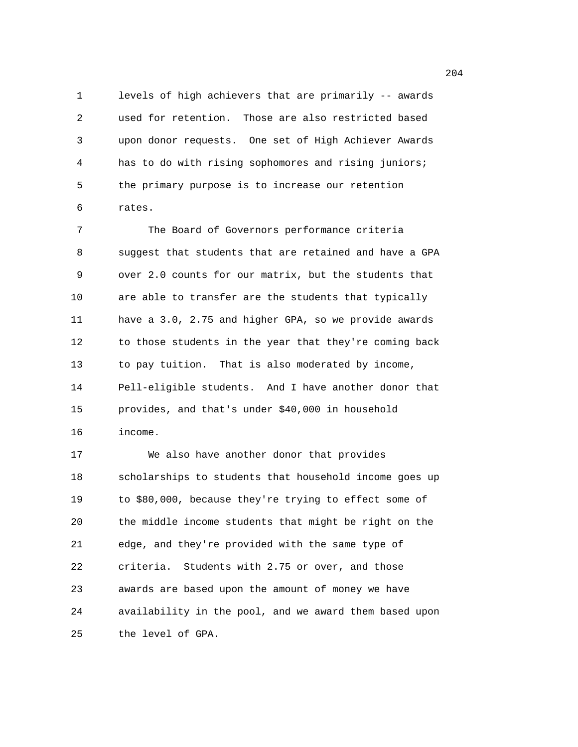1 levels of high achievers that are primarily -- awards 2 used for retention. Those are also restricted based 3 upon donor requests. One set of High Achiever Awards 4 has to do with rising sophomores and rising juniors; 5 the primary purpose is to increase our retention 6 rates.

7 The Board of Governors performance criteria 8 suggest that students that are retained and have a GPA 9 over 2.0 counts for our matrix, but the students that 10 are able to transfer are the students that typically 11 have a 3.0, 2.75 and higher GPA, so we provide awards 12 to those students in the year that they're coming back 13 to pay tuition. That is also moderated by income, 14 Pell-eligible students. And I have another donor that 15 provides, and that's under \$40,000 in household 16 income.

17 We also have another donor that provides 18 scholarships to students that household income goes up 19 to \$80,000, because they're trying to effect some of 20 the middle income students that might be right on the 21 edge, and they're provided with the same type of 22 criteria. Students with 2.75 or over, and those 23 awards are based upon the amount of money we have 24 availability in the pool, and we award them based upon 25 the level of GPA.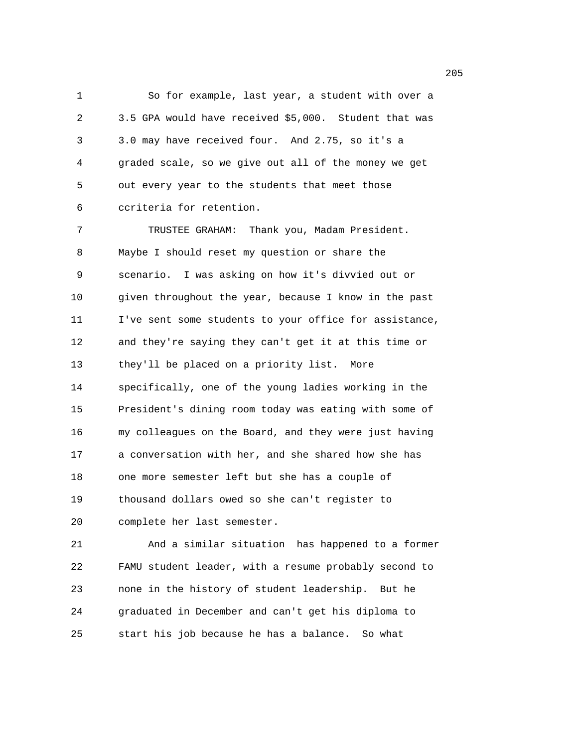1 So for example, last year, a student with over a 2 3.5 GPA would have received \$5,000. Student that was 3 3.0 may have received four. And 2.75, so it's a 4 graded scale, so we give out all of the money we get 5 out every year to the students that meet those 6 ccriteria for retention.

7 TRUSTEE GRAHAM: Thank you, Madam President. 8 Maybe I should reset my question or share the 9 scenario. I was asking on how it's divvied out or 10 given throughout the year, because I know in the past 11 I've sent some students to your office for assistance, 12 and they're saying they can't get it at this time or 13 they'll be placed on a priority list. More 14 specifically, one of the young ladies working in the 15 President's dining room today was eating with some of 16 my colleagues on the Board, and they were just having 17 a conversation with her, and she shared how she has 18 one more semester left but she has a couple of 19 thousand dollars owed so she can't register to 20 complete her last semester.

21 And a similar situation has happened to a former 22 FAMU student leader, with a resume probably second to 23 none in the history of student leadership. But he 24 graduated in December and can't get his diploma to 25 start his job because he has a balance. So what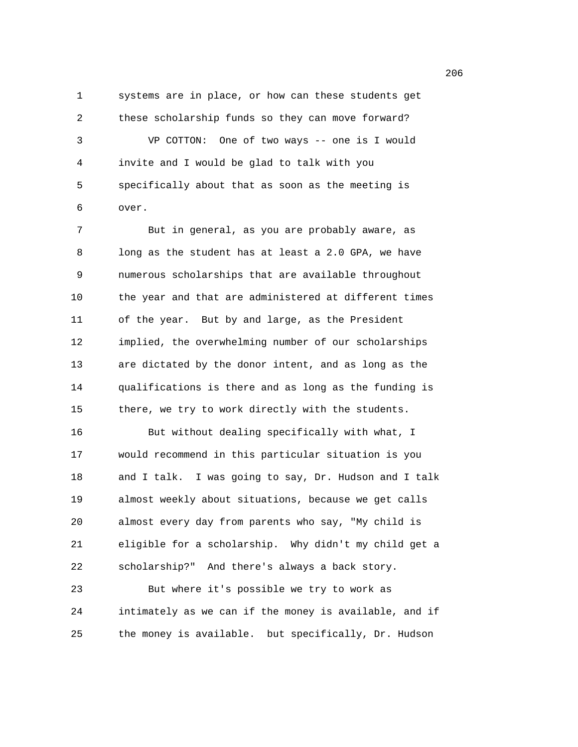1 systems are in place, or how can these students get 2 these scholarship funds so they can move forward? 3 VP COTTON: One of two ways -- one is I would 4 invite and I would be glad to talk with you 5 specifically about that as soon as the meeting is 6 over.

7 But in general, as you are probably aware, as 8 long as the student has at least a 2.0 GPA, we have 9 numerous scholarships that are available throughout 10 the year and that are administered at different times 11 of the year. But by and large, as the President 12 implied, the overwhelming number of our scholarships 13 are dictated by the donor intent, and as long as the 14 qualifications is there and as long as the funding is 15 there, we try to work directly with the students. 16 But without dealing specifically with what, I 17 would recommend in this particular situation is you 18 and I talk. I was going to say, Dr. Hudson and I talk 19 almost weekly about situations, because we get calls 20 almost every day from parents who say, "My child is 21 eligible for a scholarship. Why didn't my child get a 22 scholarship?" And there's always a back story.

23 But where it's possible we try to work as 24 intimately as we can if the money is available, and if 25 the money is available. but specifically, Dr. Hudson

en de la construcción de la construcción de la construcción de la construcción de la construcción de la construcción de la construcción de la construcción de la construcción de la construcción de la construcción de la cons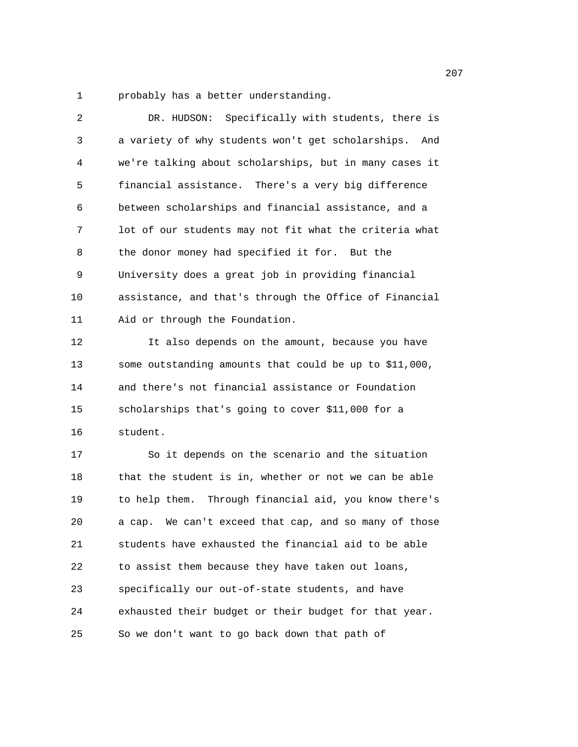1 probably has a better understanding.

| 2  | DR. HUDSON: Specifically with students, there is       |
|----|--------------------------------------------------------|
| 3  | a variety of why students won't get scholarships. And  |
| 4  | we're talking about scholarships, but in many cases it |
| 5  | financial assistance. There's a very big difference    |
| 6  | between scholarships and financial assistance, and a   |
| 7  | lot of our students may not fit what the criteria what |
| 8  | the donor money had specified it for. But the          |
| 9  | University does a great job in providing financial     |
| 10 | assistance, and that's through the Office of Financial |
| 11 | Aid or through the Foundation.                         |
| 12 | It also depends on the amount, because you have        |
| 13 | some outstanding amounts that could be up to \$11,000, |
| 14 | and there's not financial assistance or Foundation     |
| 15 | scholarships that's going to cover \$11,000 for a      |
| 16 | student.                                               |
| 17 | So it depends on the scenario and the situation        |
| 18 | that the student is in, whether or not we can be able  |
| 19 | to help them. Through financial aid, you know there's  |
| 20 | a cap. We can't exceed that cap, and so many of those  |
| 21 | students have exhausted the financial aid to be able   |
| 22 | to assist them because they have taken out loans,      |
| 23 | specifically our out-of-state students, and have       |
| 24 | exhausted their budget or their budget for that year.  |
| 25 | So we don't want to go back down that path of          |

207<sup>2</sup>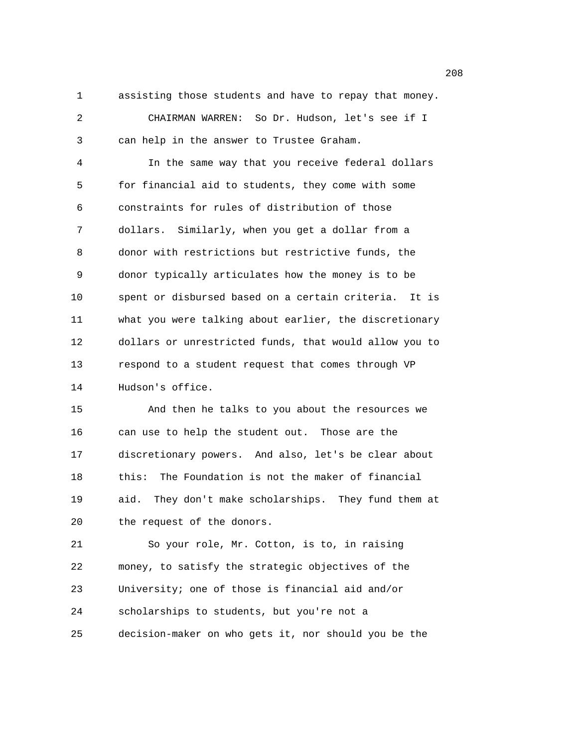1 assisting those students and have to repay that money.

2 CHAIRMAN WARREN: So Dr. Hudson, let's see if I 3 can help in the answer to Trustee Graham.

4 In the same way that you receive federal dollars 5 for financial aid to students, they come with some 6 constraints for rules of distribution of those 7 dollars. Similarly, when you get a dollar from a 8 donor with restrictions but restrictive funds, the 9 donor typically articulates how the money is to be 10 spent or disbursed based on a certain criteria. It is 11 what you were talking about earlier, the discretionary 12 dollars or unrestricted funds, that would allow you to 13 respond to a student request that comes through VP 14 Hudson's office.

15 And then he talks to you about the resources we 16 can use to help the student out. Those are the 17 discretionary powers. And also, let's be clear about 18 this: The Foundation is not the maker of financial 19 aid. They don't make scholarships. They fund them at 20 the request of the donors.

21 So your role, Mr. Cotton, is to, in raising 22 money, to satisfy the strategic objectives of the 23 University; one of those is financial aid and/or 24 scholarships to students, but you're not a 25 decision-maker on who gets it, nor should you be the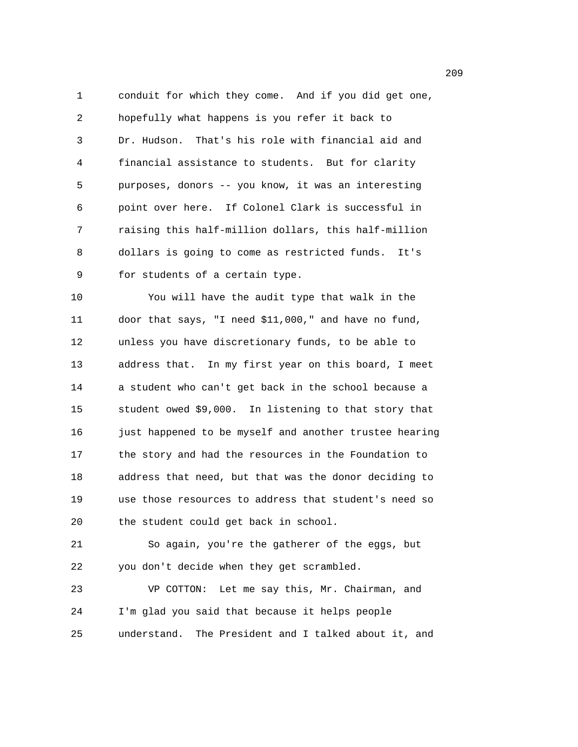1 conduit for which they come. And if you did get one, 2 hopefully what happens is you refer it back to 3 Dr. Hudson. That's his role with financial aid and 4 financial assistance to students. But for clarity 5 purposes, donors -- you know, it was an interesting 6 point over here. If Colonel Clark is successful in 7 raising this half-million dollars, this half-million 8 dollars is going to come as restricted funds. It's 9 for students of a certain type.

10 You will have the audit type that walk in the 11 door that says, "I need \$11,000," and have no fund, 12 unless you have discretionary funds, to be able to 13 address that. In my first year on this board, I meet 14 a student who can't get back in the school because a 15 student owed \$9,000. In listening to that story that 16 just happened to be myself and another trustee hearing 17 the story and had the resources in the Foundation to 18 address that need, but that was the donor deciding to 19 use those resources to address that student's need so 20 the student could get back in school.

21 So again, you're the gatherer of the eggs, but 22 you don't decide when they get scrambled.

23 VP COTTON: Let me say this, Mr. Chairman, and 24 I'm glad you said that because it helps people 25 understand. The President and I talked about it, and

<u>209</u>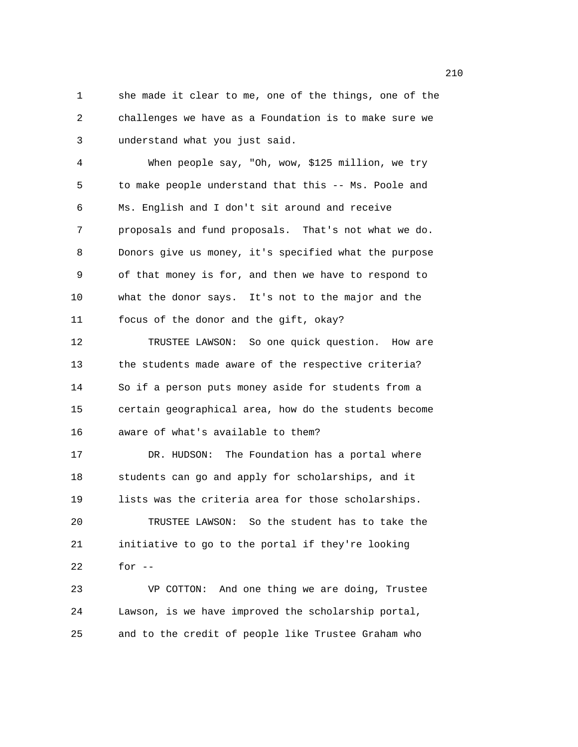1 she made it clear to me, one of the things, one of the 2 challenges we have as a Foundation is to make sure we 3 understand what you just said.

4 When people say, "Oh, wow, \$125 million, we try 5 to make people understand that this -- Ms. Poole and 6 Ms. English and I don't sit around and receive 7 proposals and fund proposals. That's not what we do. 8 Donors give us money, it's specified what the purpose 9 of that money is for, and then we have to respond to 10 what the donor says. It's not to the major and the 11 focus of the donor and the gift, okay?

12 TRUSTEE LAWSON: So one quick question. How are 13 the students made aware of the respective criteria? 14 So if a person puts money aside for students from a 15 certain geographical area, how do the students become 16 aware of what's available to them?

17 DR. HUDSON: The Foundation has a portal where 18 students can go and apply for scholarships, and it 19 lists was the criteria area for those scholarships. 20 TRUSTEE LAWSON: So the student has to take the 21 initiative to go to the portal if they're looking 22 for -- 23 VP COTTON: And one thing we are doing, Trustee

24 Lawson, is we have improved the scholarship portal, 25 and to the credit of people like Trustee Graham who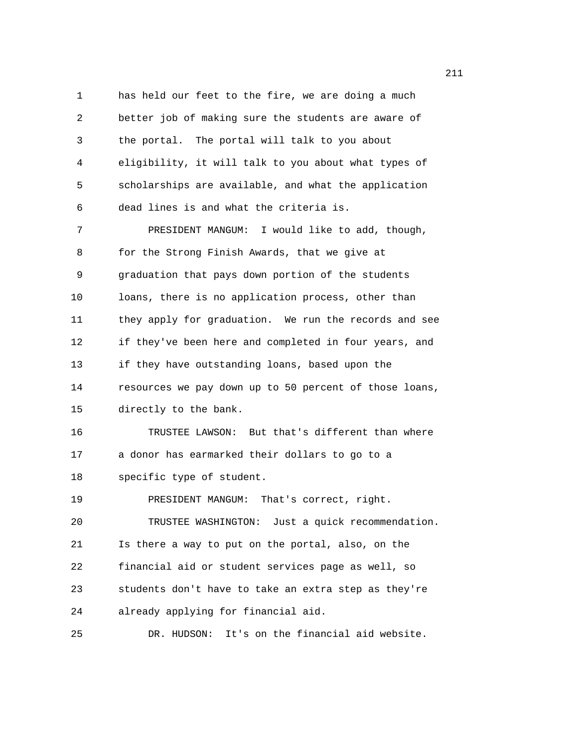1 has held our feet to the fire, we are doing a much 2 better job of making sure the students are aware of 3 the portal. The portal will talk to you about 4 eligibility, it will talk to you about what types of 5 scholarships are available, and what the application 6 dead lines is and what the criteria is. 7 PRESIDENT MANGUM: I would like to add, though, 8 for the Strong Finish Awards, that we give at 9 graduation that pays down portion of the students 10 loans, there is no application process, other than 11 they apply for graduation. We run the records and see 12 if they've been here and completed in four years, and 13 if they have outstanding loans, based upon the 14 resources we pay down up to 50 percent of those loans, 15 directly to the bank. 16 TRUSTEE LAWSON: But that's different than where 17 a donor has earmarked their dollars to go to a 18 specific type of student. 19 PRESIDENT MANGUM: That's correct, right. 20 TRUSTEE WASHINGTON: Just a quick recommendation. 21 Is there a way to put on the portal, also, on the 22 financial aid or student services page as well, so 23 students don't have to take an extra step as they're 24 already applying for financial aid. 25 DR. HUDSON: It's on the financial aid website.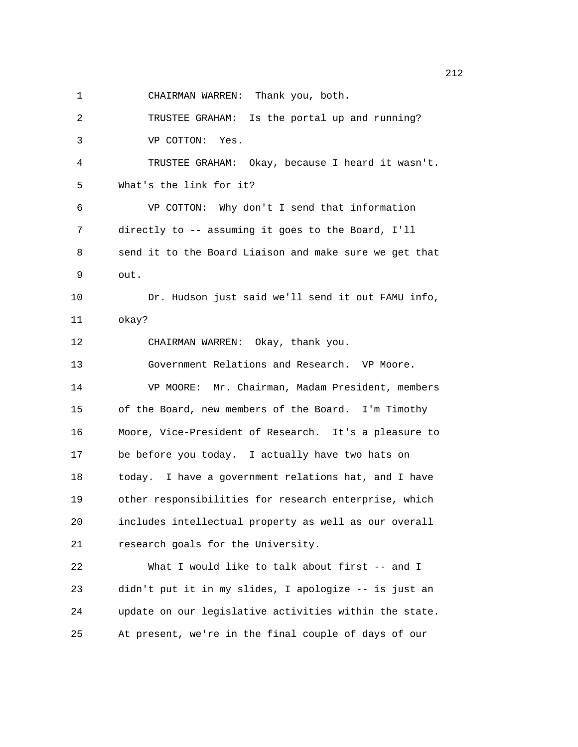1 CHAIRMAN WARREN: Thank you, both.

2 TRUSTEE GRAHAM: Is the portal up and running? 3 VP COTTON: Yes. 4 TRUSTEE GRAHAM: Okay, because I heard it wasn't. 5 What's the link for it? 6 VP COTTON: Why don't I send that information 7 directly to -- assuming it goes to the Board, I'll 8 send it to the Board Liaison and make sure we get that 9 out. 10 Dr. Hudson just said we'll send it out FAMU info, 11 okay? 12 CHAIRMAN WARREN: Okay, thank you. 13 Government Relations and Research. VP Moore. 14 VP MOORE: Mr. Chairman, Madam President, members 15 of the Board, new members of the Board. I'm Timothy 16 Moore, Vice-President of Research. It's a pleasure to 17 be before you today. I actually have two hats on 18 today. I have a government relations hat, and I have 19 other responsibilities for research enterprise, which 20 includes intellectual property as well as our overall 21 research goals for the University. 22 What I would like to talk about first -- and I 23 didn't put it in my slides, I apologize -- is just an 24 update on our legislative activities within the state.

25 At present, we're in the final couple of days of our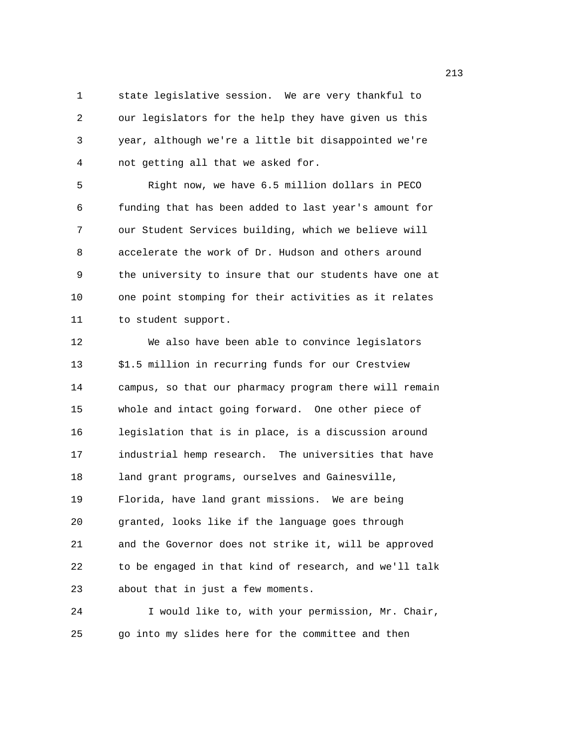1 state legislative session. We are very thankful to 2 our legislators for the help they have given us this 3 year, although we're a little bit disappointed we're 4 not getting all that we asked for.

5 Right now, we have 6.5 million dollars in PECO 6 funding that has been added to last year's amount for 7 our Student Services building, which we believe will 8 accelerate the work of Dr. Hudson and others around 9 the university to insure that our students have one at 10 one point stomping for their activities as it relates 11 to student support.

12 We also have been able to convince legislators 13 \$1.5 million in recurring funds for our Crestview 14 campus, so that our pharmacy program there will remain 15 whole and intact going forward. One other piece of 16 legislation that is in place, is a discussion around 17 industrial hemp research. The universities that have 18 land grant programs, ourselves and Gainesville, 19 Florida, have land grant missions. We are being 20 granted, looks like if the language goes through 21 and the Governor does not strike it, will be approved 22 to be engaged in that kind of research, and we'll talk 23 about that in just a few moments.

24 I would like to, with your permission, Mr. Chair, 25 go into my slides here for the committee and then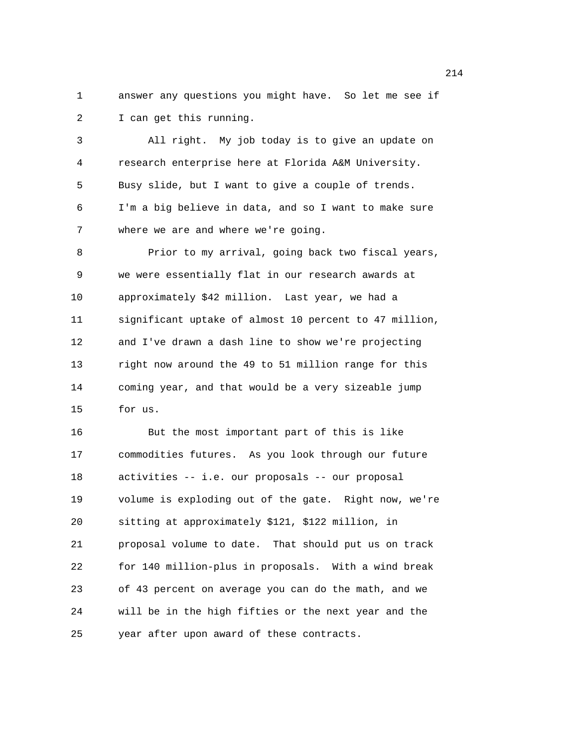1 answer any questions you might have. So let me see if 2 I can get this running.

3 All right. My job today is to give an update on 4 research enterprise here at Florida A&M University. 5 Busy slide, but I want to give a couple of trends. 6 I'm a big believe in data, and so I want to make sure 7 where we are and where we're going.

8 Prior to my arrival, going back two fiscal years, 9 we were essentially flat in our research awards at 10 approximately \$42 million. Last year, we had a 11 significant uptake of almost 10 percent to 47 million, 12 and I've drawn a dash line to show we're projecting 13 right now around the 49 to 51 million range for this 14 coming year, and that would be a very sizeable jump 15 for us.

16 But the most important part of this is like 17 commodities futures. As you look through our future 18 activities -- i.e. our proposals -- our proposal 19 volume is exploding out of the gate. Right now, we're 20 sitting at approximately \$121, \$122 million, in 21 proposal volume to date. That should put us on track 22 for 140 million-plus in proposals. With a wind break 23 of 43 percent on average you can do the math, and we 24 will be in the high fifties or the next year and the 25 year after upon award of these contracts.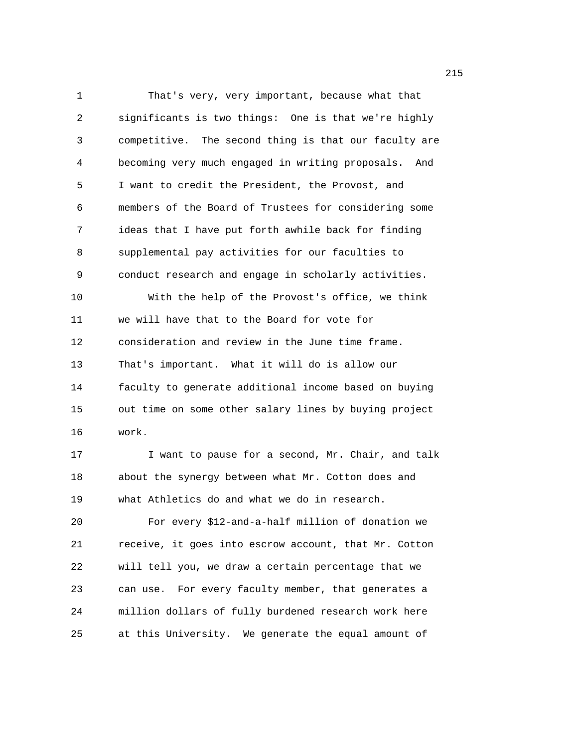1 That's very, very important, because what that 2 significants is two things: One is that we're highly 3 competitive. The second thing is that our faculty are 4 becoming very much engaged in writing proposals. And 5 I want to credit the President, the Provost, and 6 members of the Board of Trustees for considering some 7 ideas that I have put forth awhile back for finding 8 supplemental pay activities for our faculties to 9 conduct research and engage in scholarly activities. 10 With the help of the Provost's office, we think 11 we will have that to the Board for vote for 12 consideration and review in the June time frame. 13 That's important. What it will do is allow our 14 faculty to generate additional income based on buying 15 out time on some other salary lines by buying project 16 work. 17 I want to pause for a second, Mr. Chair, and talk

18 about the synergy between what Mr. Cotton does and 19 what Athletics do and what we do in research.

20 For every \$12-and-a-half million of donation we 21 receive, it goes into escrow account, that Mr. Cotton 22 will tell you, we draw a certain percentage that we 23 can use. For every faculty member, that generates a 24 million dollars of fully burdened research work here 25 at this University. We generate the equal amount of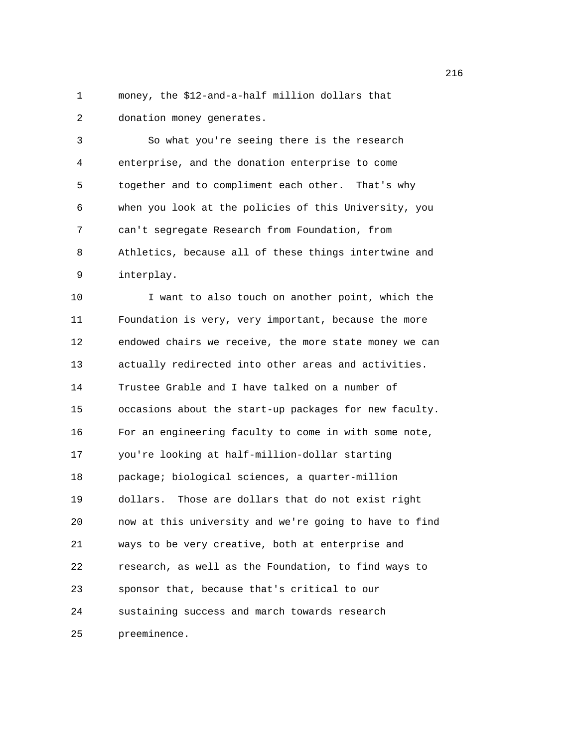1 money, the \$12-and-a-half million dollars that 2 donation money generates.

3 So what you're seeing there is the research 4 enterprise, and the donation enterprise to come 5 together and to compliment each other. That's why 6 when you look at the policies of this University, you 7 can't segregate Research from Foundation, from 8 Athletics, because all of these things intertwine and 9 interplay.

10 I want to also touch on another point, which the 11 Foundation is very, very important, because the more 12 endowed chairs we receive, the more state money we can 13 actually redirected into other areas and activities. 14 Trustee Grable and I have talked on a number of 15 occasions about the start-up packages for new faculty. 16 For an engineering faculty to come in with some note, 17 you're looking at half-million-dollar starting 18 package; biological sciences, a quarter-million 19 dollars. Those are dollars that do not exist right 20 now at this university and we're going to have to find 21 ways to be very creative, both at enterprise and 22 research, as well as the Foundation, to find ways to 23 sponsor that, because that's critical to our 24 sustaining success and march towards research 25 preeminence.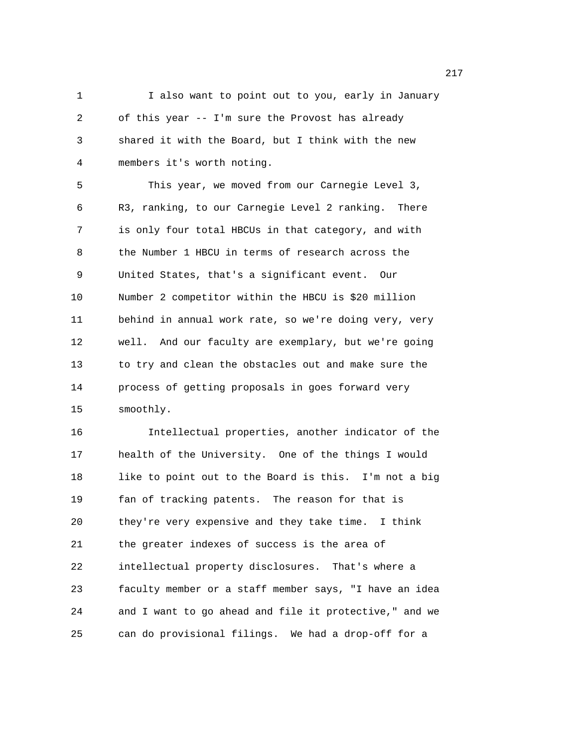1 I also want to point out to you, early in January 2 of this year -- I'm sure the Provost has already 3 shared it with the Board, but I think with the new 4 members it's worth noting.

5 This year, we moved from our Carnegie Level 3, 6 R3, ranking, to our Carnegie Level 2 ranking. There 7 is only four total HBCUs in that category, and with 8 the Number 1 HBCU in terms of research across the 9 United States, that's a significant event. Our 10 Number 2 competitor within the HBCU is \$20 million 11 behind in annual work rate, so we're doing very, very 12 well. And our faculty are exemplary, but we're going 13 to try and clean the obstacles out and make sure the 14 process of getting proposals in goes forward very 15 smoothly.

16 Intellectual properties, another indicator of the 17 health of the University. One of the things I would 18 like to point out to the Board is this. I'm not a big 19 fan of tracking patents. The reason for that is 20 they're very expensive and they take time. I think 21 the greater indexes of success is the area of 22 intellectual property disclosures. That's where a 23 faculty member or a staff member says, "I have an idea 24 and I want to go ahead and file it protective," and we 25 can do provisional filings. We had a drop-off for a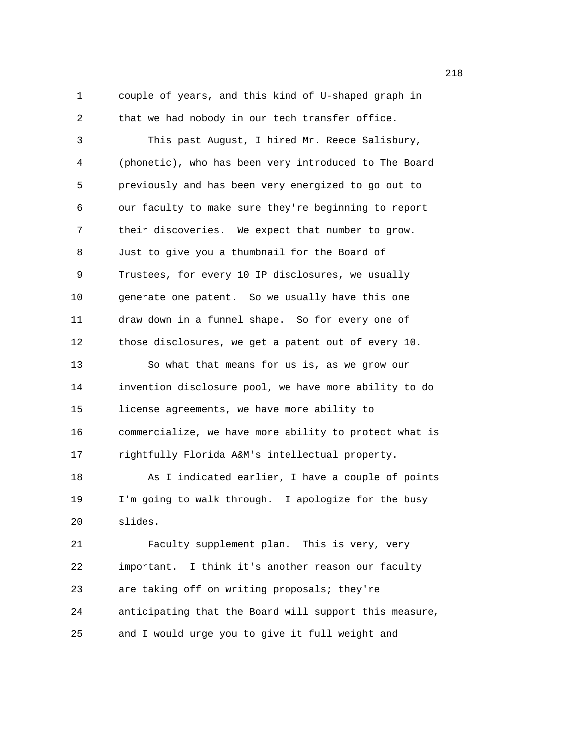1 couple of years, and this kind of U-shaped graph in 2 that we had nobody in our tech transfer office.

3 This past August, I hired Mr. Reece Salisbury, 4 (phonetic), who has been very introduced to The Board 5 previously and has been very energized to go out to 6 our faculty to make sure they're beginning to report 7 their discoveries. We expect that number to grow. 8 Just to give you a thumbnail for the Board of 9 Trustees, for every 10 IP disclosures, we usually 10 generate one patent. So we usually have this one 11 draw down in a funnel shape. So for every one of 12 those disclosures, we get a patent out of every 10. 13 So what that means for us is, as we grow our 14 invention disclosure pool, we have more ability to do 15 license agreements, we have more ability to 16 commercialize, we have more ability to protect what is 17 rightfully Florida A&M's intellectual property. 18 As I indicated earlier, I have a couple of points 19 I'm going to walk through. I apologize for the busy 20 slides. 21 Faculty supplement plan. This is very, very 22 important. I think it's another reason our faculty 23 are taking off on writing proposals; they're 24 anticipating that the Board will support this measure,

25 and I would urge you to give it full weight and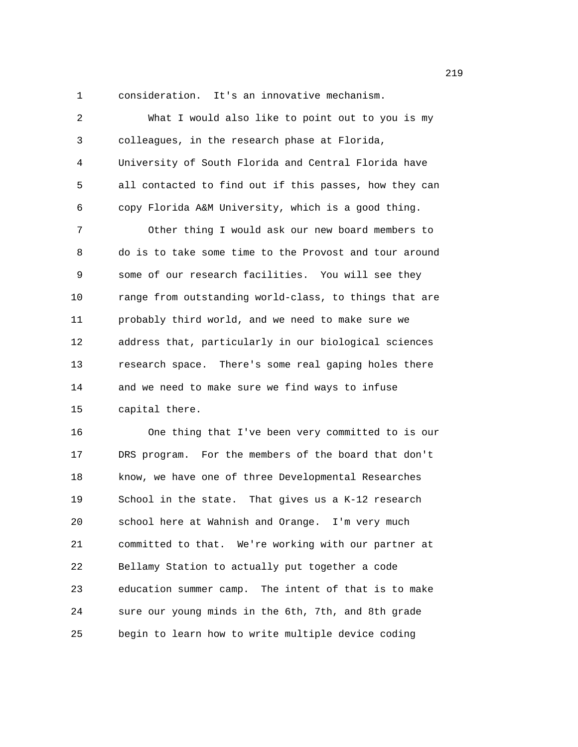1 consideration. It's an innovative mechanism.

| 2  | What I would also like to point out to you is my       |
|----|--------------------------------------------------------|
| 3  | colleagues, in the research phase at Florida,          |
| 4  | University of South Florida and Central Florida have   |
| 5  | all contacted to find out if this passes, how they can |
| 6  | copy Florida A&M University, which is a good thing.    |
| 7  | Other thing I would ask our new board members to       |
| 8  | do is to take some time to the Provost and tour around |
| 9  | some of our research facilities. You will see they     |
| 10 | range from outstanding world-class, to things that are |
| 11 | probably third world, and we need to make sure we      |
| 12 | address that, particularly in our biological sciences  |
| 13 | research space. There's some real gaping holes there   |
| 14 | and we need to make sure we find ways to infuse        |
| 15 | capital there.                                         |
| 16 | One thing that I've been very committed to is our      |
| 17 | DRS program. For the members of the board that don't   |
| 18 | know, we have one of three Developmental Researches    |
| 19 | School in the state. That gives us a K-12 research     |
| 20 | school here at Wahnish and Orange. I'm very much       |
| 21 | committed to that. We're working with our partner at   |
| 22 | Bellamy Station to actually put together a code        |
| 23 | education summer camp. The intent of that is to make   |

25 begin to learn how to write multiple device coding

24 sure our young minds in the 6th, 7th, and 8th grade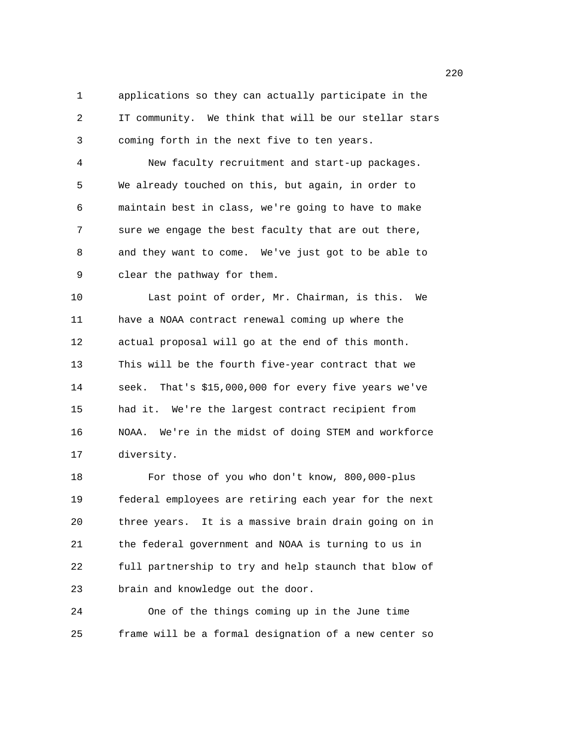1 applications so they can actually participate in the 2 IT community. We think that will be our stellar stars 3 coming forth in the next five to ten years.

4 New faculty recruitment and start-up packages. 5 We already touched on this, but again, in order to 6 maintain best in class, we're going to have to make 7 sure we engage the best faculty that are out there, 8 and they want to come. We've just got to be able to 9 clear the pathway for them.

10 Last point of order, Mr. Chairman, is this. We 11 have a NOAA contract renewal coming up where the 12 actual proposal will go at the end of this month. 13 This will be the fourth five-year contract that we 14 seek. That's \$15,000,000 for every five years we've 15 had it. We're the largest contract recipient from 16 NOAA. We're in the midst of doing STEM and workforce 17 diversity.

18 For those of you who don't know, 800,000-plus 19 federal employees are retiring each year for the next 20 three years. It is a massive brain drain going on in 21 the federal government and NOAA is turning to us in 22 full partnership to try and help staunch that blow of 23 brain and knowledge out the door.

24 One of the things coming up in the June time 25 frame will be a formal designation of a new center so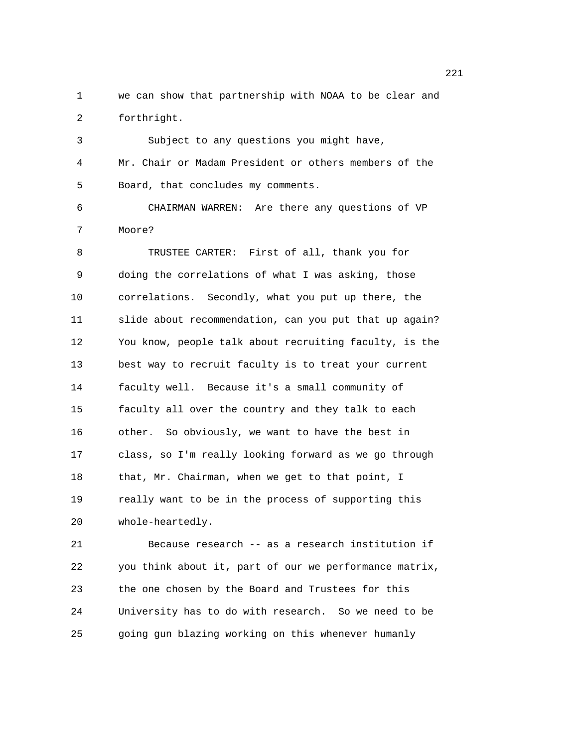1 we can show that partnership with NOAA to be clear and 2 forthright.

3 Subject to any questions you might have, 4 Mr. Chair or Madam President or others members of the 5 Board, that concludes my comments. 6 CHAIRMAN WARREN: Are there any questions of VP 7 Moore? 8 TRUSTEE CARTER: First of all, thank you for 9 doing the correlations of what I was asking, those 10 correlations. Secondly, what you put up there, the 11 slide about recommendation, can you put that up again? 12 You know, people talk about recruiting faculty, is the 13 best way to recruit faculty is to treat your current 14 faculty well. Because it's a small community of 15 faculty all over the country and they talk to each 16 other. So obviously, we want to have the best in 17 class, so I'm really looking forward as we go through 18 that, Mr. Chairman, when we get to that point, I 19 really want to be in the process of supporting this 20 whole-heartedly.

21 Because research -- as a research institution if 22 you think about it, part of our we performance matrix, 23 the one chosen by the Board and Trustees for this 24 University has to do with research. So we need to be 25 going gun blazing working on this whenever humanly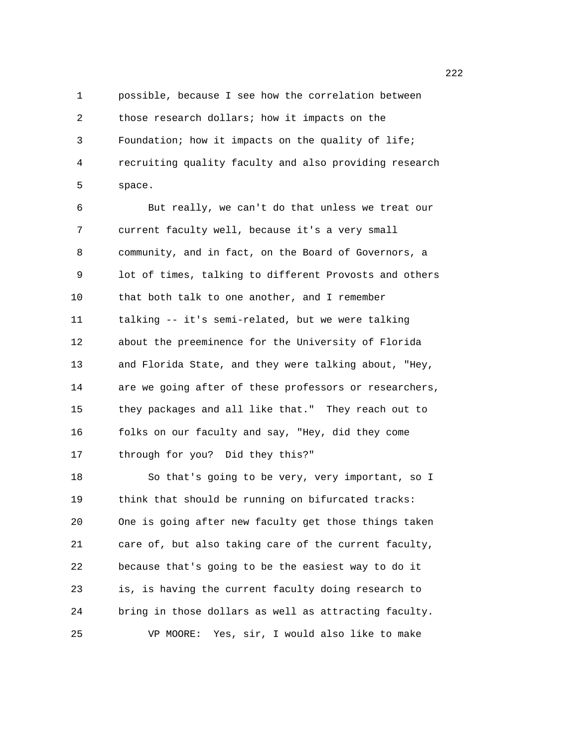1 possible, because I see how the correlation between 2 those research dollars; how it impacts on the 3 Foundation; how it impacts on the quality of life; 4 recruiting quality faculty and also providing research 5 space.

6 But really, we can't do that unless we treat our 7 current faculty well, because it's a very small 8 community, and in fact, on the Board of Governors, a 9 lot of times, talking to different Provosts and others 10 that both talk to one another, and I remember 11 talking -- it's semi-related, but we were talking 12 about the preeminence for the University of Florida 13 and Florida State, and they were talking about, "Hey, 14 are we going after of these professors or researchers, 15 they packages and all like that." They reach out to 16 folks on our faculty and say, "Hey, did they come 17 through for you? Did they this?"

18 So that's going to be very, very important, so I 19 think that should be running on bifurcated tracks: 20 One is going after new faculty get those things taken 21 care of, but also taking care of the current faculty, 22 because that's going to be the easiest way to do it 23 is, is having the current faculty doing research to 24 bring in those dollars as well as attracting faculty. 25 VP MOORE: Yes, sir, I would also like to make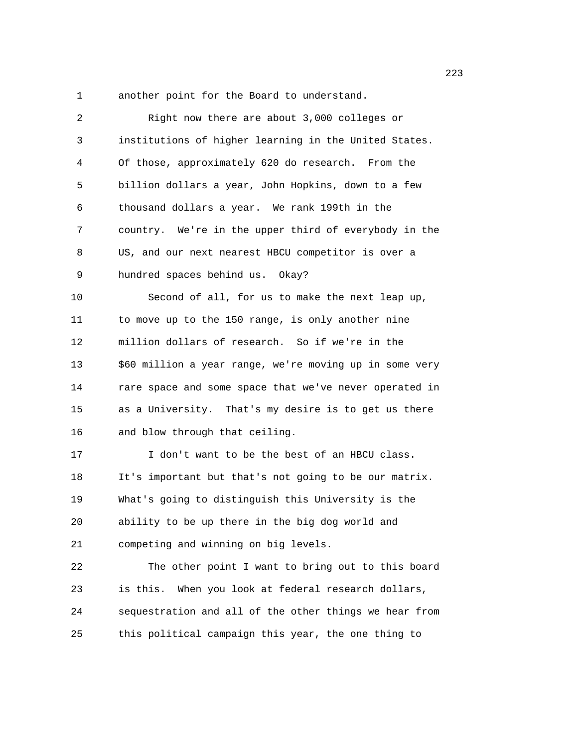1 another point for the Board to understand.

| Right now there are about 3,000 colleges or             |
|---------------------------------------------------------|
| institutions of higher learning in the United States.   |
| Of those, approximately 620 do research. From the       |
| billion dollars a year, John Hopkins, down to a few     |
| thousand dollars a year. We rank 199th in the           |
| country. We're in the upper third of everybody in the   |
| US, and our next nearest HBCU competitor is over a      |
| hundred spaces behind us. Okay?                         |
| Second of all, for us to make the next leap up,         |
| to move up to the 150 range, is only another nine       |
| million dollars of research. So if we're in the         |
| \$60 million a year range, we're moving up in some very |
| rare space and some space that we've never operated in  |
| as a University. That's my desire is to get us there    |
| and blow through that ceiling.                          |
| I don't want to be the best of an HBCU class.           |
| It's important but that's not going to be our matrix.   |
| What's going to distinguish this University is the      |
| ability to be up there in the big dog world and         |
| competing and winning on big levels.                    |
| The other point I want to bring out to this board       |
| is this. When you look at federal research dollars,     |
| sequestration and all of the other things we hear from  |
| this political campaign this year, the one thing to     |
|                                                         |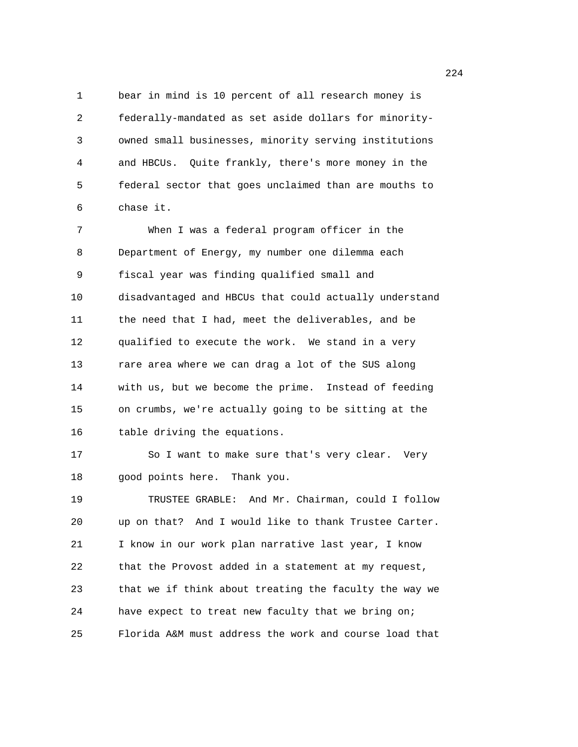1 bear in mind is 10 percent of all research money is 2 federally-mandated as set aside dollars for minority-3 owned small businesses, minority serving institutions 4 and HBCUs. Quite frankly, there's more money in the 5 federal sector that goes unclaimed than are mouths to 6 chase it.

7 When I was a federal program officer in the 8 Department of Energy, my number one dilemma each 9 fiscal year was finding qualified small and 10 disadvantaged and HBCUs that could actually understand 11 the need that I had, meet the deliverables, and be 12 qualified to execute the work. We stand in a very 13 rare area where we can drag a lot of the SUS along 14 with us, but we become the prime. Instead of feeding 15 on crumbs, we're actually going to be sitting at the 16 table driving the equations.

17 So I want to make sure that's very clear. Very 18 good points here. Thank you.

19 TRUSTEE GRABLE: And Mr. Chairman, could I follow 20 up on that? And I would like to thank Trustee Carter. 21 I know in our work plan narrative last year, I know 22 that the Provost added in a statement at my request, 23 that we if think about treating the faculty the way we 24 have expect to treat new faculty that we bring on; 25 Florida A&M must address the work and course load that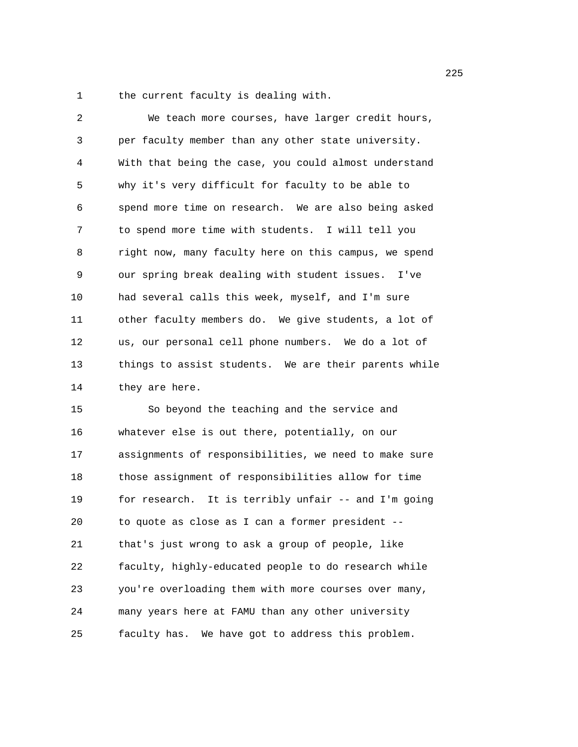1 the current faculty is dealing with.

| 2  | We teach more courses, have larger credit hours,      |
|----|-------------------------------------------------------|
| 3  | per faculty member than any other state university.   |
| 4  | With that being the case, you could almost understand |
| 5  | why it's very difficult for faculty to be able to     |
| 6  | spend more time on research. We are also being asked  |
| 7  | to spend more time with students. I will tell you     |
| 8  | right now, many faculty here on this campus, we spend |
| 9  | our spring break dealing with student issues. I've    |
| 10 | had several calls this week, myself, and I'm sure     |
| 11 | other faculty members do. We give students, a lot of  |
| 12 | us, our personal cell phone numbers. We do a lot of   |
| 13 | things to assist students. We are their parents while |
| 14 | they are here.                                        |

15 So beyond the teaching and the service and 16 whatever else is out there, potentially, on our 17 assignments of responsibilities, we need to make sure 18 those assignment of responsibilities allow for time 19 for research. It is terribly unfair -- and I'm going 20 to quote as close as I can a former president -- 21 that's just wrong to ask a group of people, like 22 faculty, highly-educated people to do research while 23 you're overloading them with more courses over many, 24 many years here at FAMU than any other university 25 faculty has. We have got to address this problem.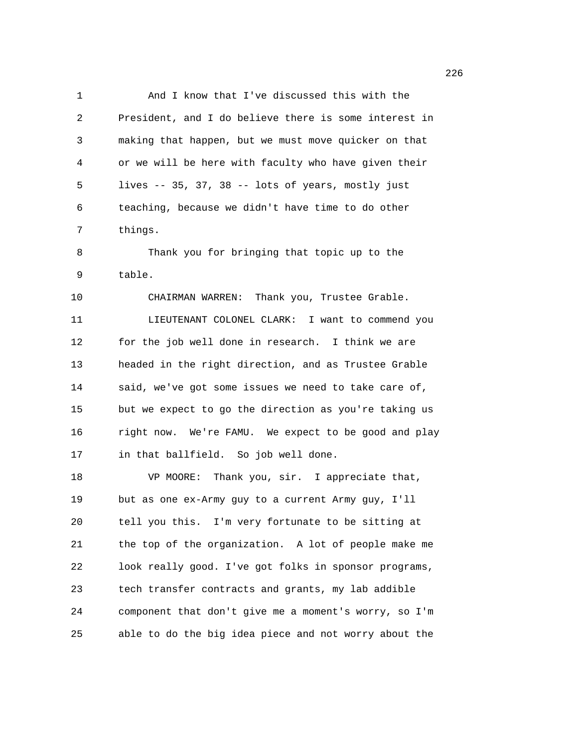1 And I know that I've discussed this with the 2 President, and I do believe there is some interest in 3 making that happen, but we must move quicker on that 4 or we will be here with faculty who have given their 5 lives -- 35, 37, 38 -- lots of years, mostly just 6 teaching, because we didn't have time to do other 7 things. 8 Thank you for bringing that topic up to the 9 table. 10 CHAIRMAN WARREN: Thank you, Trustee Grable. 11 LIEUTENANT COLONEL CLARK: I want to commend you 12 for the job well done in research. I think we are 13 headed in the right direction, and as Trustee Grable 14 said, we've got some issues we need to take care of, 15 but we expect to go the direction as you're taking us 16 right now. We're FAMU. We expect to be good and play 17 in that ballfield. So job well done. 18 VP MOORE: Thank you, sir. I appreciate that, 19 but as one ex-Army guy to a current Army guy, I'll 20 tell you this. I'm very fortunate to be sitting at 21 the top of the organization. A lot of people make me 22 look really good. I've got folks in sponsor programs, 23 tech transfer contracts and grants, my lab addible 24 component that don't give me a moment's worry, so I'm 25 able to do the big idea piece and not worry about the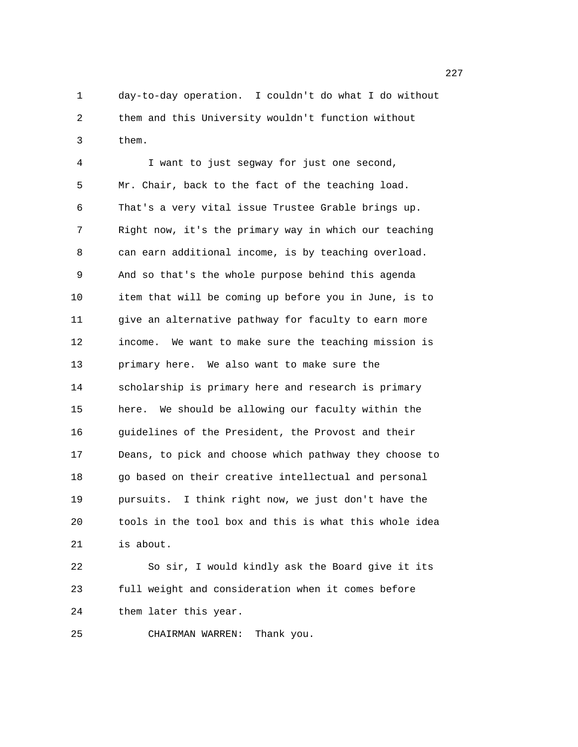1 day-to-day operation. I couldn't do what I do without 2 them and this University wouldn't function without 3 them.

4 I want to just segway for just one second, 5 Mr. Chair, back to the fact of the teaching load. 6 That's a very vital issue Trustee Grable brings up. 7 Right now, it's the primary way in which our teaching 8 can earn additional income, is by teaching overload. 9 And so that's the whole purpose behind this agenda 10 item that will be coming up before you in June, is to 11 give an alternative pathway for faculty to earn more 12 income. We want to make sure the teaching mission is 13 primary here. We also want to make sure the 14 scholarship is primary here and research is primary 15 here. We should be allowing our faculty within the 16 guidelines of the President, the Provost and their 17 Deans, to pick and choose which pathway they choose to 18 go based on their creative intellectual and personal 19 pursuits. I think right now, we just don't have the 20 tools in the tool box and this is what this whole idea 21 is about.

22 So sir, I would kindly ask the Board give it its 23 full weight and consideration when it comes before 24 them later this year.

25 CHAIRMAN WARREN: Thank you.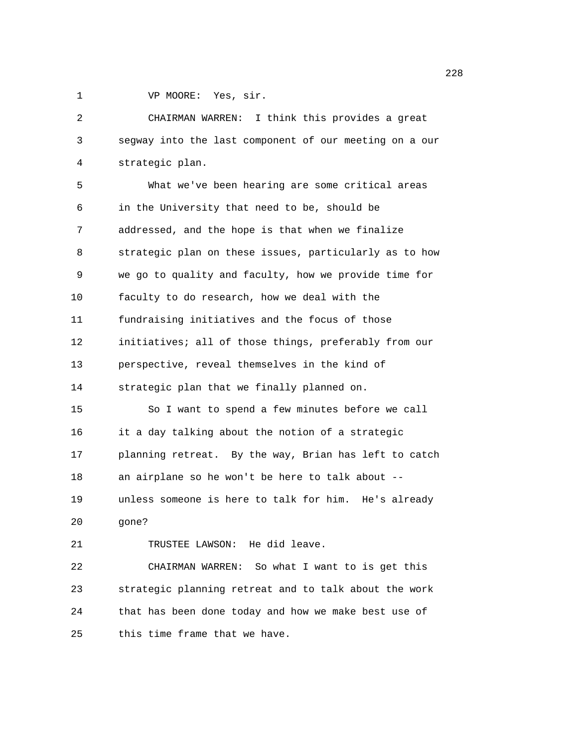1 VP MOORE: Yes, sir.

2 CHAIRMAN WARREN: I think this provides a great 3 segway into the last component of our meeting on a our 4 strategic plan. 5 What we've been hearing are some critical areas 6 in the University that need to be, should be 7 addressed, and the hope is that when we finalize 8 strategic plan on these issues, particularly as to how 9 we go to quality and faculty, how we provide time for 10 faculty to do research, how we deal with the 11 fundraising initiatives and the focus of those 12 initiatives; all of those things, preferably from our 13 perspective, reveal themselves in the kind of 14 strategic plan that we finally planned on. 15 So I want to spend a few minutes before we call 16 it a day talking about the notion of a strategic 17 planning retreat. By the way, Brian has left to catch 18 an airplane so he won't be here to talk about -- 19 unless someone is here to talk for him. He's already 20 gone? 21 TRUSTEE LAWSON: He did leave. 22 CHAIRMAN WARREN: So what I want to is get this 23 strategic planning retreat and to talk about the work

24 that has been done today and how we make best use of

25 this time frame that we have.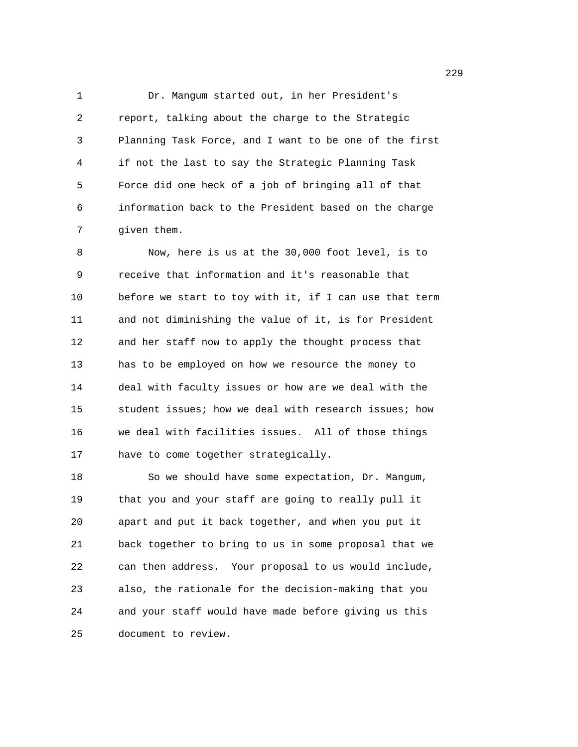1 Dr. Mangum started out, in her President's 2 report, talking about the charge to the Strategic 3 Planning Task Force, and I want to be one of the first 4 if not the last to say the Strategic Planning Task 5 Force did one heck of a job of bringing all of that 6 information back to the President based on the charge 7 given them.

8 Now, here is us at the 30,000 foot level, is to 9 receive that information and it's reasonable that 10 before we start to toy with it, if I can use that term 11 and not diminishing the value of it, is for President 12 and her staff now to apply the thought process that 13 has to be employed on how we resource the money to 14 deal with faculty issues or how are we deal with the 15 student issues; how we deal with research issues; how 16 we deal with facilities issues. All of those things 17 have to come together strategically.

18 So we should have some expectation, Dr. Mangum, 19 that you and your staff are going to really pull it 20 apart and put it back together, and when you put it 21 back together to bring to us in some proposal that we 22 can then address. Your proposal to us would include, 23 also, the rationale for the decision-making that you 24 and your staff would have made before giving us this 25 document to review.

<u>229</u>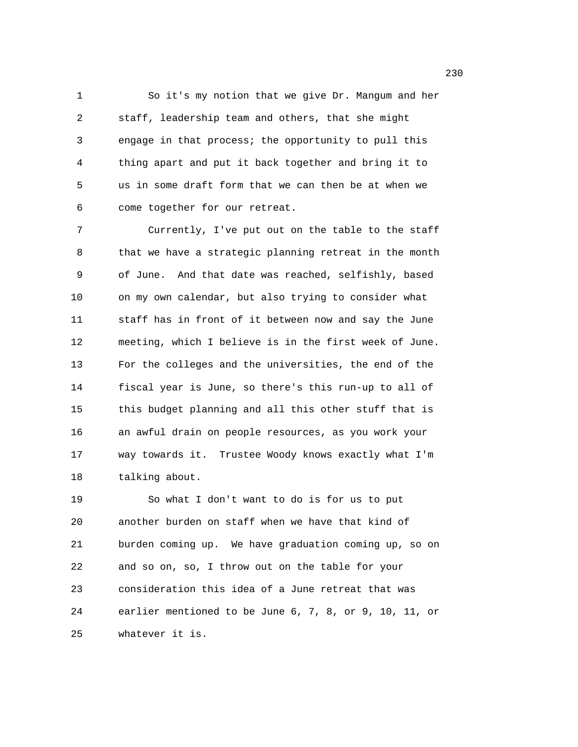1 So it's my notion that we give Dr. Mangum and her 2 staff, leadership team and others, that she might 3 engage in that process; the opportunity to pull this 4 thing apart and put it back together and bring it to 5 us in some draft form that we can then be at when we 6 come together for our retreat.

7 Currently, I've put out on the table to the staff 8 that we have a strategic planning retreat in the month 9 of June. And that date was reached, selfishly, based 10 on my own calendar, but also trying to consider what 11 staff has in front of it between now and say the June 12 meeting, which I believe is in the first week of June. 13 For the colleges and the universities, the end of the 14 fiscal year is June, so there's this run-up to all of 15 this budget planning and all this other stuff that is 16 an awful drain on people resources, as you work your 17 way towards it. Trustee Woody knows exactly what I'm 18 talking about.

19 So what I don't want to do is for us to put 20 another burden on staff when we have that kind of 21 burden coming up. We have graduation coming up, so on 22 and so on, so, I throw out on the table for your 23 consideration this idea of a June retreat that was 24 earlier mentioned to be June 6, 7, 8, or 9, 10, 11, or 25 whatever it is.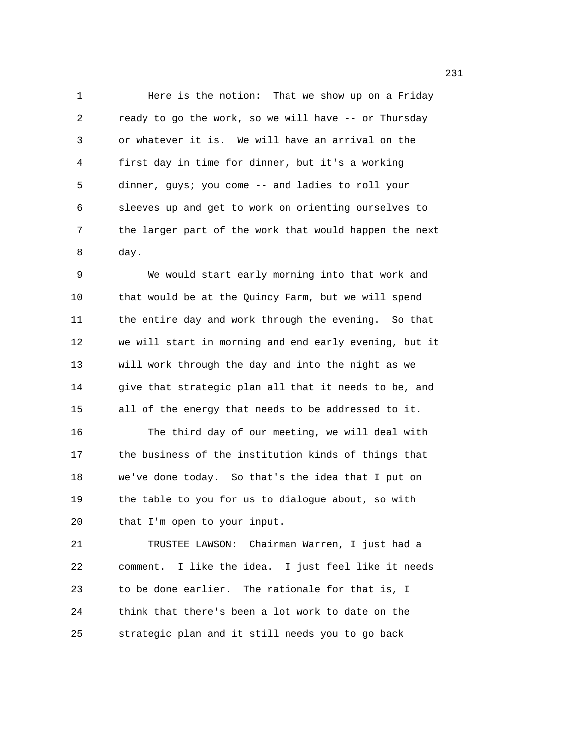1 Here is the notion: That we show up on a Friday 2 ready to go the work, so we will have -- or Thursday 3 or whatever it is. We will have an arrival on the 4 first day in time for dinner, but it's a working 5 dinner, guys; you come -- and ladies to roll your 6 sleeves up and get to work on orienting ourselves to 7 the larger part of the work that would happen the next 8 day.

9 We would start early morning into that work and 10 that would be at the Quincy Farm, but we will spend 11 the entire day and work through the evening. So that 12 we will start in morning and end early evening, but it 13 will work through the day and into the night as we 14 give that strategic plan all that it needs to be, and 15 all of the energy that needs to be addressed to it. 16 The third day of our meeting, we will deal with 17 the business of the institution kinds of things that 18 we've done today. So that's the idea that I put on 19 the table to you for us to dialogue about, so with 20 that I'm open to your input.

21 TRUSTEE LAWSON: Chairman Warren, I just had a 22 comment. I like the idea. I just feel like it needs 23 to be done earlier. The rationale for that is, I 24 think that there's been a lot work to date on the 25 strategic plan and it still needs you to go back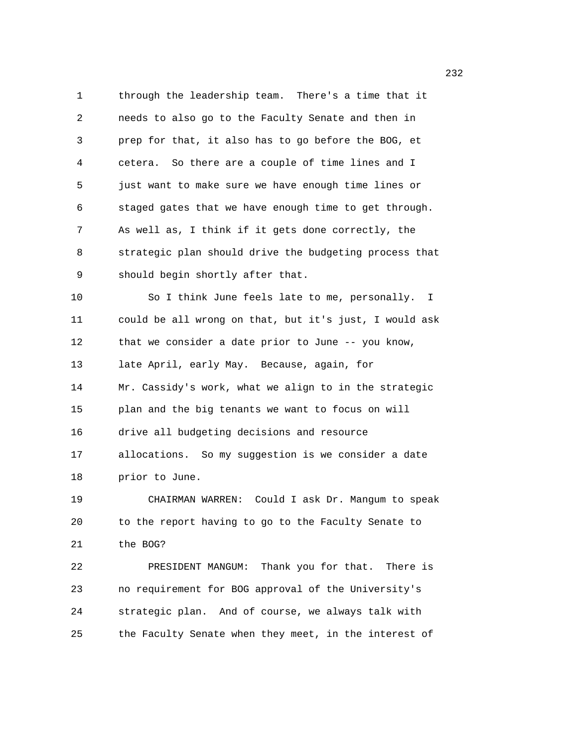1 through the leadership team. There's a time that it 2 needs to also go to the Faculty Senate and then in 3 prep for that, it also has to go before the BOG, et 4 cetera. So there are a couple of time lines and I 5 just want to make sure we have enough time lines or 6 staged gates that we have enough time to get through. 7 As well as, I think if it gets done correctly, the 8 strategic plan should drive the budgeting process that 9 should begin shortly after that. 10 So I think June feels late to me, personally. I 11 could be all wrong on that, but it's just, I would ask 12 that we consider a date prior to June -- you know, 13 late April, early May. Because, again, for 14 Mr. Cassidy's work, what we align to in the strategic 15 plan and the big tenants we want to focus on will 16 drive all budgeting decisions and resource 17 allocations. So my suggestion is we consider a date 18 prior to June. 19 CHAIRMAN WARREN: Could I ask Dr. Mangum to speak 20 to the report having to go to the Faculty Senate to 21 the BOG? 22 PRESIDENT MANGUM: Thank you for that. There is 23 no requirement for BOG approval of the University's 24 strategic plan. And of course, we always talk with 25 the Faculty Senate when they meet, in the interest of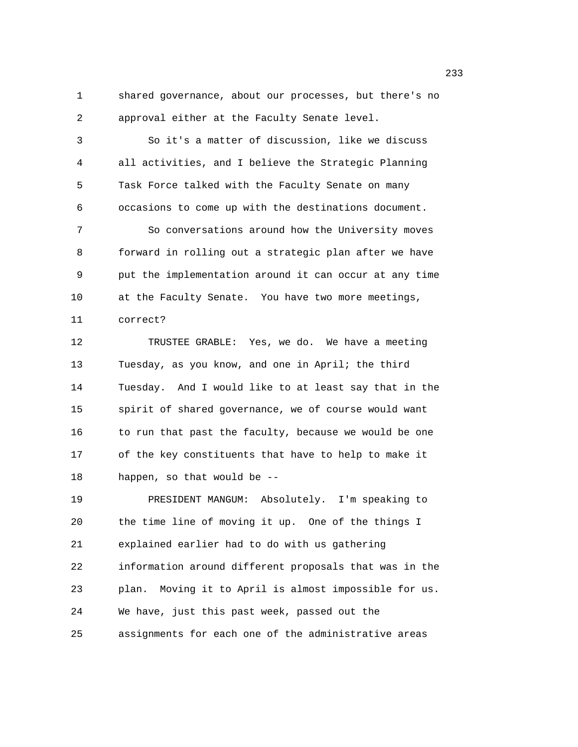1 shared governance, about our processes, but there's no 2 approval either at the Faculty Senate level.

3 So it's a matter of discussion, like we discuss 4 all activities, and I believe the Strategic Planning 5 Task Force talked with the Faculty Senate on many 6 occasions to come up with the destinations document.

7 So conversations around how the University moves 8 forward in rolling out a strategic plan after we have 9 put the implementation around it can occur at any time 10 at the Faculty Senate. You have two more meetings, 11 correct?

12 TRUSTEE GRABLE: Yes, we do. We have a meeting 13 Tuesday, as you know, and one in April; the third 14 Tuesday. And I would like to at least say that in the 15 spirit of shared governance, we of course would want 16 to run that past the faculty, because we would be one 17 of the key constituents that have to help to make it 18 happen, so that would be --

19 PRESIDENT MANGUM: Absolutely. I'm speaking to 20 the time line of moving it up. One of the things I 21 explained earlier had to do with us gathering 22 information around different proposals that was in the 23 plan. Moving it to April is almost impossible for us. 24 We have, just this past week, passed out the 25 assignments for each one of the administrative areas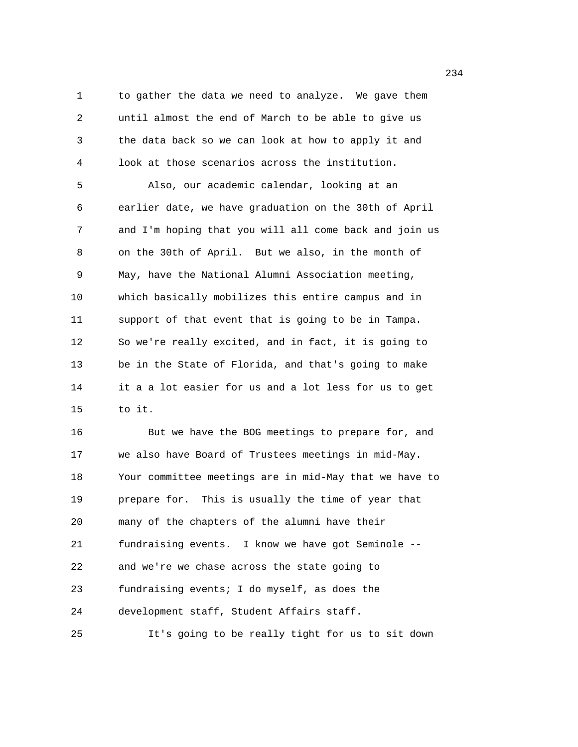1 to gather the data we need to analyze. We gave them 2 until almost the end of March to be able to give us 3 the data back so we can look at how to apply it and 4 look at those scenarios across the institution. 5 Also, our academic calendar, looking at an 6 earlier date, we have graduation on the 30th of April 7 and I'm hoping that you will all come back and join us 8 on the 30th of April. But we also, in the month of 9 May, have the National Alumni Association meeting, 10 which basically mobilizes this entire campus and in 11 support of that event that is going to be in Tampa. 12 So we're really excited, and in fact, it is going to 13 be in the State of Florida, and that's going to make 14 it a a lot easier for us and a lot less for us to get 15 to it. 16 But we have the BOG meetings to prepare for, and 17 we also have Board of Trustees meetings in mid-May. 18 Your committee meetings are in mid-May that we have to 19 prepare for. This is usually the time of year that 20 many of the chapters of the alumni have their 21 fundraising events. I know we have got Seminole --

22 and we're we chase across the state going to 23 fundraising events; I do myself, as does the

24 development staff, Student Affairs staff.

25 It's going to be really tight for us to sit down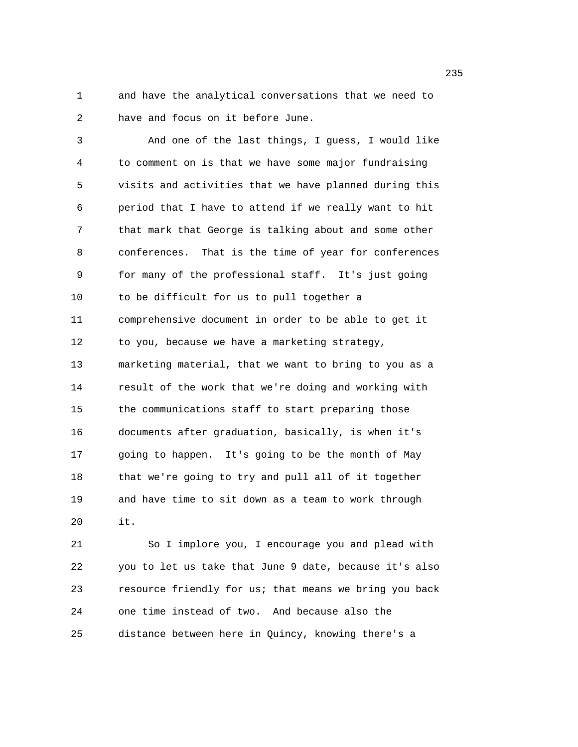1 and have the analytical conversations that we need to 2 have and focus on it before June.

3 And one of the last things, I guess, I would like 4 to comment on is that we have some major fundraising 5 visits and activities that we have planned during this 6 period that I have to attend if we really want to hit 7 that mark that George is talking about and some other 8 conferences. That is the time of year for conferences 9 for many of the professional staff. It's just going 10 to be difficult for us to pull together a 11 comprehensive document in order to be able to get it 12 to you, because we have a marketing strategy, 13 marketing material, that we want to bring to you as a 14 result of the work that we're doing and working with 15 the communications staff to start preparing those 16 documents after graduation, basically, is when it's 17 going to happen. It's going to be the month of May 18 that we're going to try and pull all of it together 19 and have time to sit down as a team to work through 20 it.

21 So I implore you, I encourage you and plead with 22 you to let us take that June 9 date, because it's also 23 resource friendly for us; that means we bring you back 24 one time instead of two. And because also the 25 distance between here in Quincy, knowing there's a

<u>235</u> and 235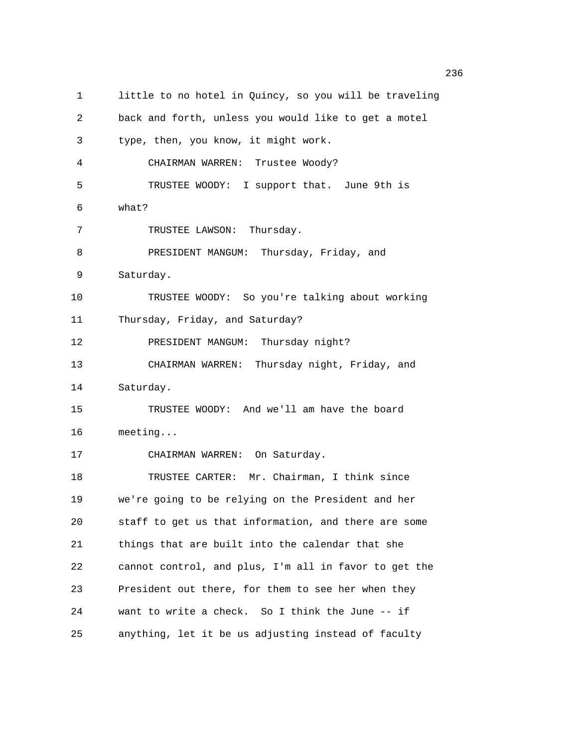1 little to no hotel in Quincy, so you will be traveling 2 back and forth, unless you would like to get a motel 3 type, then, you know, it might work. 4 CHAIRMAN WARREN: Trustee Woody? 5 TRUSTEE WOODY: I support that. June 9th is 6 what? 7 TRUSTEE LAWSON: Thursday. 8 PRESIDENT MANGUM: Thursday, Friday, and 9 Saturday. 10 TRUSTEE WOODY: So you're talking about working 11 Thursday, Friday, and Saturday? 12 PRESIDENT MANGUM: Thursday night? 13 CHAIRMAN WARREN: Thursday night, Friday, and 14 Saturday. 15 TRUSTEE WOODY: And we'll am have the board 16 meeting... 17 CHAIRMAN WARREN: On Saturday. 18 TRUSTEE CARTER: Mr. Chairman, I think since 19 we're going to be relying on the President and her 20 staff to get us that information, and there are some 21 things that are built into the calendar that she 22 cannot control, and plus, I'm all in favor to get the 23 President out there, for them to see her when they 24 want to write a check. So I think the June -- if 25 anything, let it be us adjusting instead of faculty

<u>236</u> and 236 and 236 and 236 and 236 and 236 and 236 and 236 and 236 and 236 and 236 and 236 and 236 and 236 and 237 and 238 and 238 and 238 and 239 and 239 and 239 and 239 and 239 and 239 and 239 and 239 and 239 and 239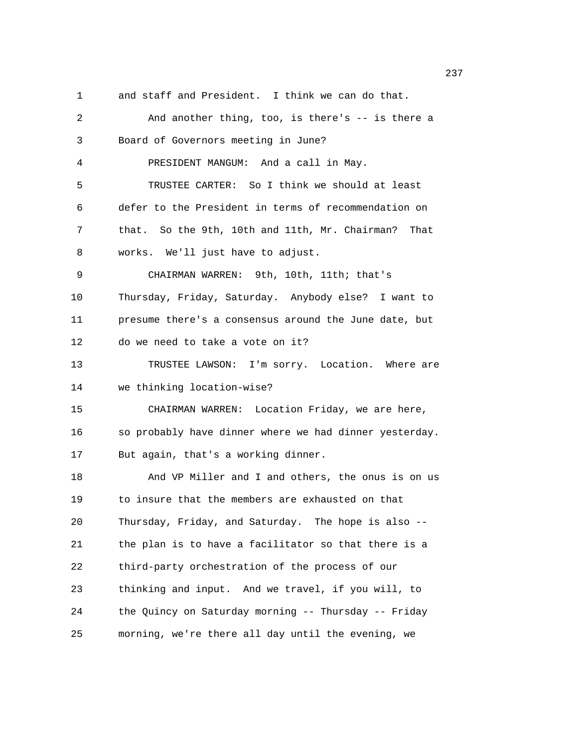1 and staff and President. I think we can do that.

2 And another thing, too, is there's -- is there a 3 Board of Governors meeting in June? 4 PRESIDENT MANGUM: And a call in May. 5 TRUSTEE CARTER: So I think we should at least 6 defer to the President in terms of recommendation on 7 that. So the 9th, 10th and 11th, Mr. Chairman? That 8 works. We'll just have to adjust. 9 CHAIRMAN WARREN: 9th, 10th, 11th; that's 10 Thursday, Friday, Saturday. Anybody else? I want to 11 presume there's a consensus around the June date, but 12 do we need to take a vote on it? 13 TRUSTEE LAWSON: I'm sorry. Location. Where are 14 we thinking location-wise? 15 CHAIRMAN WARREN: Location Friday, we are here, 16 so probably have dinner where we had dinner yesterday. 17 But again, that's a working dinner. 18 And VP Miller and I and others, the onus is on us 19 to insure that the members are exhausted on that 20 Thursday, Friday, and Saturday. The hope is also -- 21 the plan is to have a facilitator so that there is a 22 third-party orchestration of the process of our 23 thinking and input. And we travel, if you will, to 24 the Quincy on Saturday morning -- Thursday -- Friday 25 morning, we're there all day until the evening, we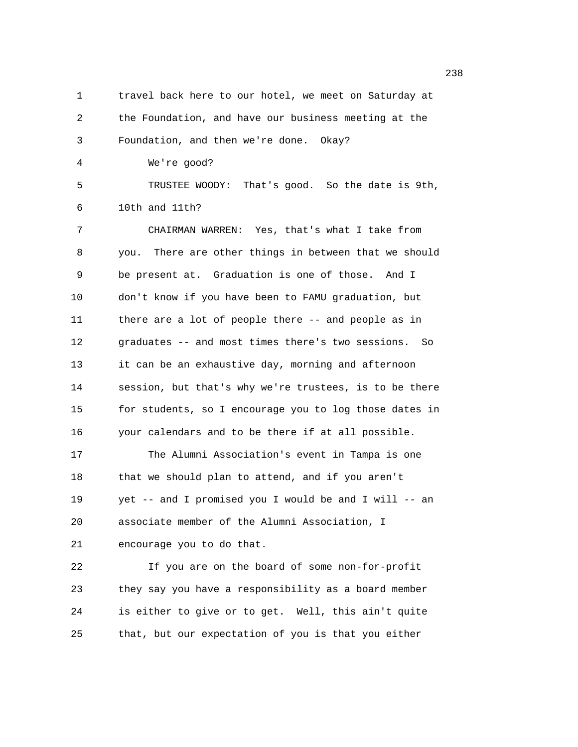1 travel back here to our hotel, we meet on Saturday at 2 the Foundation, and have our business meeting at the 3 Foundation, and then we're done. Okay? 4 We're good? 5 TRUSTEE WOODY: That's good. So the date is 9th, 6 10th and 11th? 7 CHAIRMAN WARREN: Yes, that's what I take from 8 you. There are other things in between that we should 9 be present at. Graduation is one of those. And I 10 don't know if you have been to FAMU graduation, but 11 there are a lot of people there -- and people as in 12 graduates -- and most times there's two sessions. So 13 it can be an exhaustive day, morning and afternoon 14 session, but that's why we're trustees, is to be there 15 for students, so I encourage you to log those dates in 16 your calendars and to be there if at all possible. 17 The Alumni Association's event in Tampa is one 18 that we should plan to attend, and if you aren't 19 yet -- and I promised you I would be and I will -- an 20 associate member of the Alumni Association, I 21 encourage you to do that. 22 If you are on the board of some non-for-profit 23 they say you have a responsibility as a board member 24 is either to give or to get. Well, this ain't quite 25 that, but our expectation of you is that you either

en and the state of the state of the state of the state of the state of the state of the state of the state of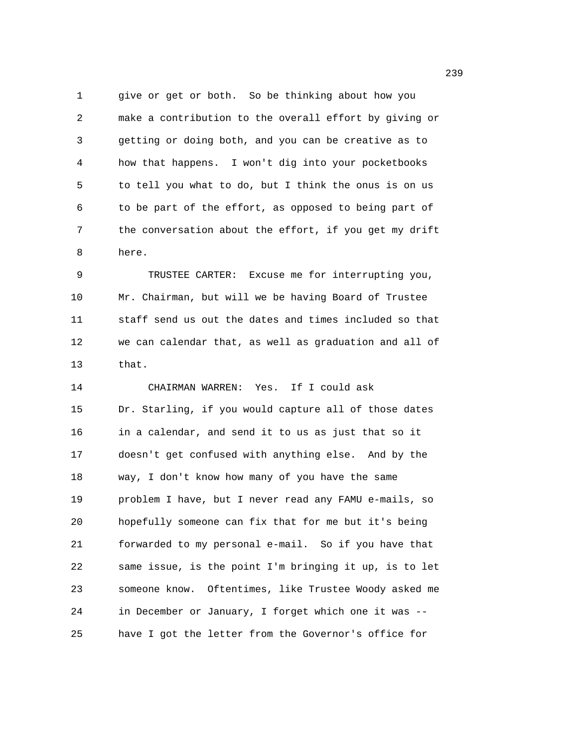1 give or get or both. So be thinking about how you 2 make a contribution to the overall effort by giving or 3 getting or doing both, and you can be creative as to 4 how that happens. I won't dig into your pocketbooks 5 to tell you what to do, but I think the onus is on us 6 to be part of the effort, as opposed to being part of 7 the conversation about the effort, if you get my drift 8 here.

9 TRUSTEE CARTER: Excuse me for interrupting you, 10 Mr. Chairman, but will we be having Board of Trustee 11 staff send us out the dates and times included so that 12 we can calendar that, as well as graduation and all of 13 that.

14 CHAIRMAN WARREN: Yes. If I could ask 15 Dr. Starling, if you would capture all of those dates 16 in a calendar, and send it to us as just that so it 17 doesn't get confused with anything else. And by the 18 way, I don't know how many of you have the same 19 problem I have, but I never read any FAMU e-mails, so 20 hopefully someone can fix that for me but it's being 21 forwarded to my personal e-mail. So if you have that 22 same issue, is the point I'm bringing it up, is to let 23 someone know. Oftentimes, like Trustee Woody asked me 24 in December or January, I forget which one it was -- 25 have I got the letter from the Governor's office for

239 and 239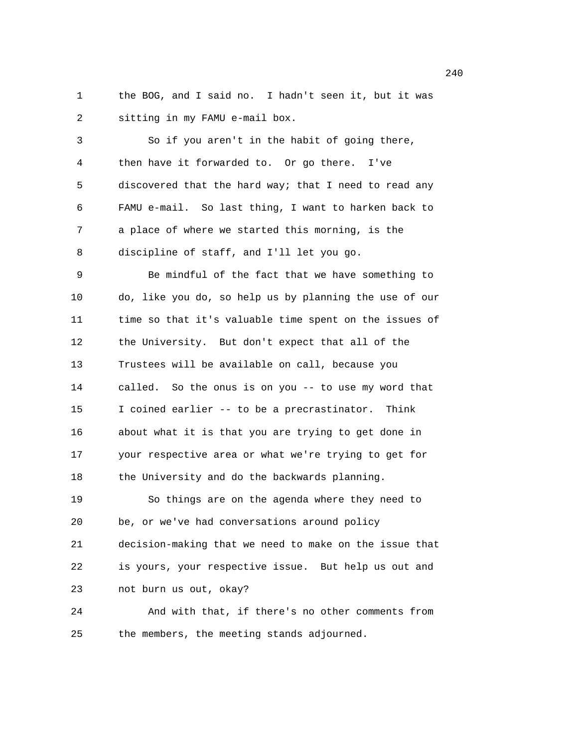1 the BOG, and I said no. I hadn't seen it, but it was 2 sitting in my FAMU e-mail box.

3 So if you aren't in the habit of going there, 4 then have it forwarded to. Or go there. I've 5 discovered that the hard way; that I need to read any 6 FAMU e-mail. So last thing, I want to harken back to 7 a place of where we started this morning, is the 8 discipline of staff, and I'll let you go.

9 Be mindful of the fact that we have something to 10 do, like you do, so help us by planning the use of our 11 time so that it's valuable time spent on the issues of 12 the University. But don't expect that all of the 13 Trustees will be available on call, because you 14 called. So the onus is on you -- to use my word that 15 I coined earlier -- to be a precrastinator. Think 16 about what it is that you are trying to get done in 17 your respective area or what we're trying to get for 18 the University and do the backwards planning. 19 So things are on the agenda where they need to 20 be, or we've had conversations around policy 21 decision-making that we need to make on the issue that 22 is yours, your respective issue. But help us out and 23 not burn us out, okay?

24 And with that, if there's no other comments from 25 the members, the meeting stands adjourned.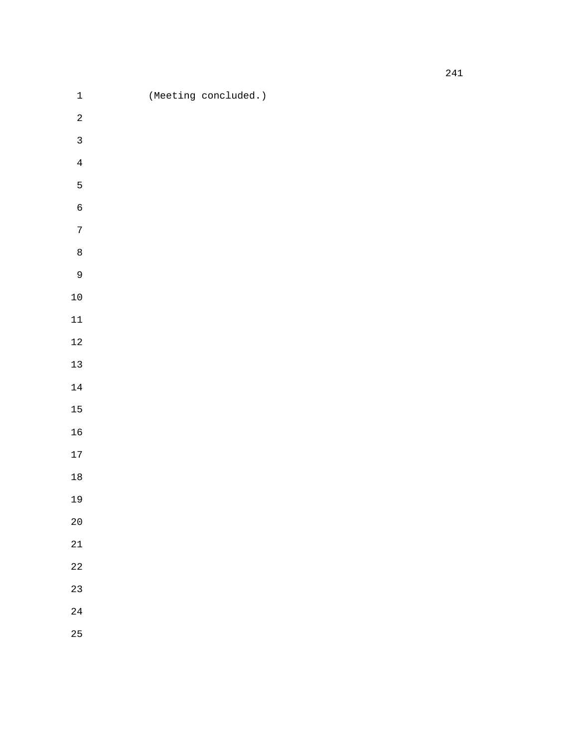| $\mathbf 1$      | (Meeting concluded.) |
|------------------|----------------------|
| $\overline{a}$   |                      |
| $\mathsf{3}$     |                      |
| $\bf 4$          |                      |
| 5                |                      |
| $\epsilon$       |                      |
| $\boldsymbol{7}$ |                      |
| $\,8\,$          |                      |
| $\mathsf{9}$     |                      |
| $10\,$           |                      |
| $11\,$           |                      |
| $12\,$           |                      |
| $13\,$           |                      |
| $1\,4$           |                      |
| 15               |                      |
| $16$             |                      |
| $17\,$           |                      |
| $18\,$           |                      |
| 19               |                      |
| $20\,$           |                      |
| $2\sqrt{1}$      |                      |
| $2\sqrt{2}$      |                      |
| 23               |                      |
| 24               |                      |
| 25               |                      |